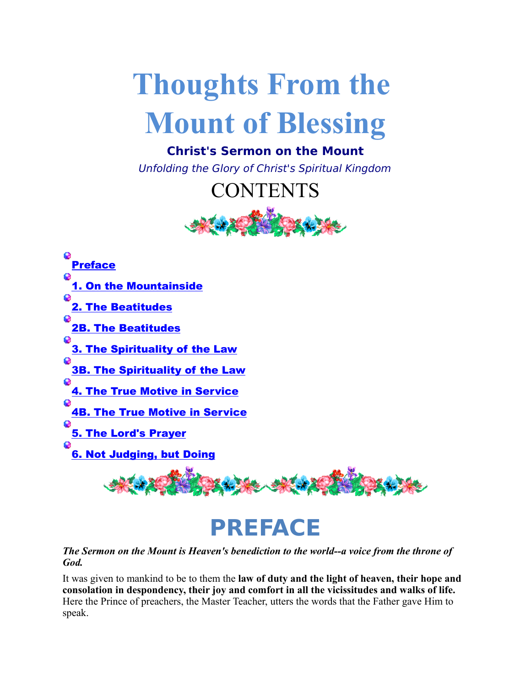**Thoughts From the Mount of Blessing**

#### **Christ's Sermon on the Mount**

Unfolding the Glory of Christ's Spiritual Kingdom

### CONTENTS



Ø [Preface](http://www.worldincrisis.org/Mount-Blessing/mbpreface.htm) 0 1. [On the Mountainside](http://www.worldincrisis.org/Mount-Blessing/mb01.htm) [2. The Beatitudes](http://www.worldincrisis.org/Mount-Blessing/mb02.htm) ● [2B. The Beatitudes](http://www.worldincrisis.org/Mount-Blessing/mb02B.htm) 0 [3. The Spirituality of the Law](http://www.worldincrisis.org/Mount-Blessing/mb03.htm) ◒ **[3B. The Spirituality of the Law](http://www.worldincrisis.org/Mount-Blessing/mb03B.htm)** 0 [4. The True Motive in Service](http://www.worldincrisis.org/Mount-Blessing/mb04.htm) Ø [4B. The True Motive in Service](http://www.worldincrisis.org/Mount-Blessing/mb04B.htm) 0 [5. The Lord's Prayer](http://www.worldincrisis.org/Mount-Blessing/mb05.htm) e [6. Not Judging, but Doing](http://www.worldincrisis.org/Mount-Blessing/mb06.htm)



#### *The Sermon on the Mount is Heaven's benediction to the world--a voice from the throne of God.*

It was given to mankind to be to them the **law of duty and the light of heaven, their hope and consolation in despondency, their joy and comfort in all the vicissitudes and walks of life.** Here the Prince of preachers, the Master Teacher, utters the words that the Father gave Him to speak.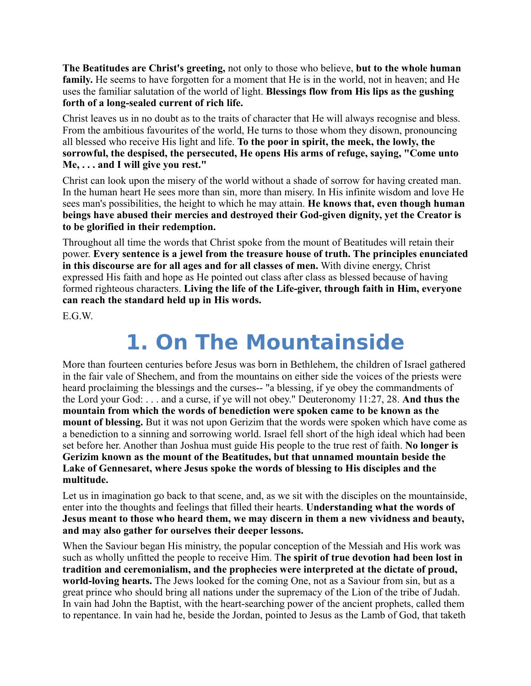**The Beatitudes are Christ's greeting,** not only to those who believe, **but to the whole human family.** He seems to have forgotten for a moment that He is in the world, not in heaven; and He uses the familiar salutation of the world of light. **Blessings flow from His lips as the gushing forth of a long-sealed current of rich life.** 

Christ leaves us in no doubt as to the traits of character that He will always recognise and bless. From the ambitious favourites of the world, He turns to those whom they disown, pronouncing all blessed who receive His light and life. **To the poor in spirit, the meek, the lowly, the sorrowful, the despised, the persecuted, He opens His arms of refuge, saying, "Come unto Me, . . . and I will give you rest."** 

Christ can look upon the misery of the world without a shade of sorrow for having created man. In the human heart He sees more than sin, more than misery. In His infinite wisdom and love He sees man's possibilities, the height to which he may attain. **He knows that, even though human beings have abused their mercies and destroyed their God-given dignity, yet the Creator is to be glorified in their redemption.** 

Throughout all time the words that Christ spoke from the mount of Beatitudes will retain their power. **Every sentence is a jewel from the treasure house of truth. The principles enunciated in this discourse are for all ages and for all classes of men.** With divine energy, Christ expressed His faith and hope as He pointed out class after class as blessed because of having formed righteous characters. **Living the life of the Life-giver, through faith in Him, everyone can reach the standard held up in His words.** 

E.G.W.

# **1. On The Mountainside**

More than fourteen centuries before Jesus was born in Bethlehem, the children of Israel gathered in the fair vale of Shechem, and from the mountains on either side the voices of the priests were heard proclaiming the blessings and the curses-- "a blessing, if ye obey the commandments of the Lord your God: . . . and a curse, if ye will not obey." Deuteronomy 11:27, 28. **And thus the mountain from which the words of benediction were spoken came to be known as the mount of blessing.** But it was not upon Gerizim that the words were spoken which have come as a benediction to a sinning and sorrowing world. Israel fell short of the high ideal which had been set before her. Another than Joshua must guide His people to the true rest of faith. **No longer is Gerizim known as the mount of the Beatitudes, but that unnamed mountain beside the Lake of Gennesaret, where Jesus spoke the words of blessing to His disciples and the multitude.** 

Let us in imagination go back to that scene, and, as we sit with the disciples on the mountainside, enter into the thoughts and feelings that filled their hearts. **Understanding what the words of Jesus meant to those who heard them, we may discern in them a new vividness and beauty, and may also gather for ourselves their deeper lessons.** 

When the Saviour began His ministry, the popular conception of the Messiah and His work was such as wholly unfitted the people to receive Him. T**he spirit of true devotion had been lost in tradition and ceremonialism, and the prophecies were interpreted at the dictate of proud, world-loving hearts.** The Jews looked for the coming One, not as a Saviour from sin, but as a great prince who should bring all nations under the supremacy of the Lion of the tribe of Judah. In vain had John the Baptist, with the heart-searching power of the ancient prophets, called them to repentance. In vain had he, beside the Jordan, pointed to Jesus as the Lamb of God, that taketh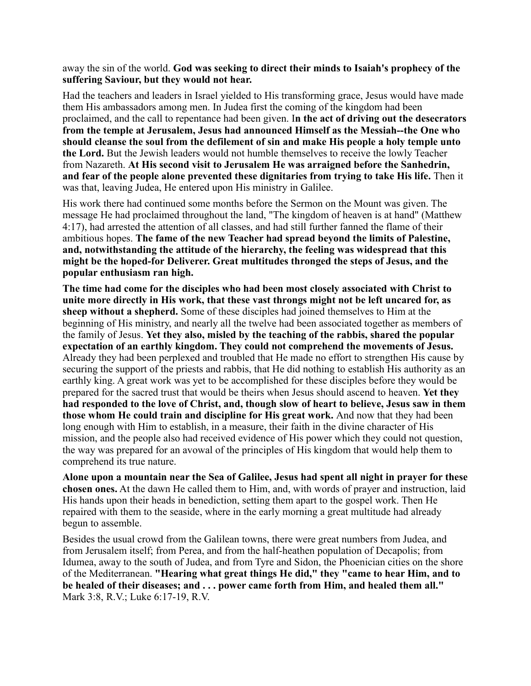away the sin of the world. **God was seeking to direct their minds to Isaiah's prophecy of the suffering Saviour, but they would not hear.** 

Had the teachers and leaders in Israel yielded to His transforming grace, Jesus would have made them His ambassadors among men. In Judea first the coming of the kingdom had been proclaimed, and the call to repentance had been given. I**n the act of driving out the desecrators from the temple at Jerusalem, Jesus had announced Himself as the Messiah--the One who should cleanse the soul from the defilement of sin and make His people a holy temple unto the Lord.** But the Jewish leaders would not humble themselves to receive the lowly Teacher from Nazareth. **At His second visit to Jerusalem He was arraigned before the Sanhedrin, and fear of the people alone prevented these dignitaries from trying to take His life.** Then it was that, leaving Judea, He entered upon His ministry in Galilee.

His work there had continued some months before the Sermon on the Mount was given. The message He had proclaimed throughout the land, "The kingdom of heaven is at hand" (Matthew 4:17), had arrested the attention of all classes, and had still further fanned the flame of their ambitious hopes. **The fame of the new Teacher had spread beyond the limits of Palestine, and, notwithstanding the attitude of the hierarchy, the feeling was widespread that this might be the hoped-for Deliverer. Great multitudes thronged the steps of Jesus, and the popular enthusiasm ran high.** 

**The time had come for the disciples who had been most closely associated with Christ to unite more directly in His work, that these vast throngs might not be left uncared for, as sheep without a shepherd.** Some of these disciples had joined themselves to Him at the beginning of His ministry, and nearly all the twelve had been associated together as members of the family of Jesus. **Yet they also, misled by the teaching of the rabbis, shared the popular expectation of an earthly kingdom. They could not comprehend the movements of Jesus.** Already they had been perplexed and troubled that He made no effort to strengthen His cause by securing the support of the priests and rabbis, that He did nothing to establish His authority as an earthly king. A great work was yet to be accomplished for these disciples before they would be prepared for the sacred trust that would be theirs when Jesus should ascend to heaven. **Yet they had responded to the love of Christ, and, though slow of heart to believe, Jesus saw in them those whom He could train and discipline for His great work.** And now that they had been long enough with Him to establish, in a measure, their faith in the divine character of His mission, and the people also had received evidence of His power which they could not question, the way was prepared for an avowal of the principles of His kingdom that would help them to comprehend its true nature.

**Alone upon a mountain near the Sea of Galilee, Jesus had spent all night in prayer for these chosen ones.** At the dawn He called them to Him, and, with words of prayer and instruction, laid His hands upon their heads in benediction, setting them apart to the gospel work. Then He repaired with them to the seaside, where in the early morning a great multitude had already begun to assemble.

Besides the usual crowd from the Galilean towns, there were great numbers from Judea, and from Jerusalem itself; from Perea, and from the half-heathen population of Decapolis; from Idumea, away to the south of Judea, and from Tyre and Sidon, the Phoenician cities on the shore of the Mediterranean. **"Hearing what great things He did," they "came to hear Him, and to be healed of their diseases; and . . . power came forth from Him, and healed them all."** Mark 3:8, R.V.; Luke 6:17-19, R.V.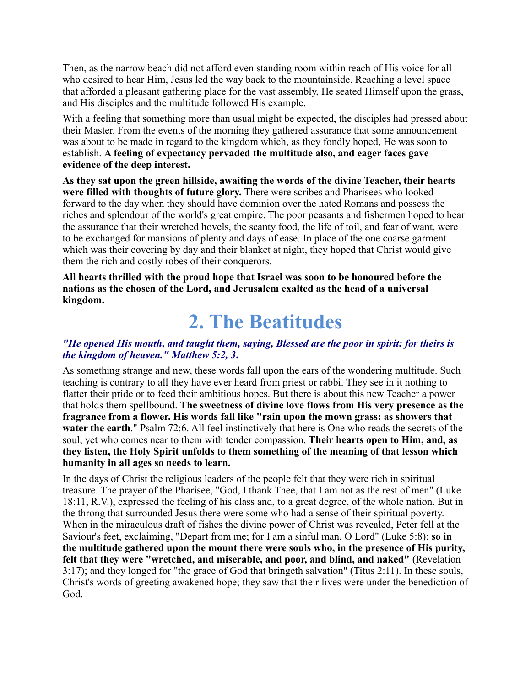Then, as the narrow beach did not afford even standing room within reach of His voice for all who desired to hear Him, Jesus led the way back to the mountainside. Reaching a level space that afforded a pleasant gathering place for the vast assembly, He seated Himself upon the grass, and His disciples and the multitude followed His example.

With a feeling that something more than usual might be expected, the disciples had pressed about their Master. From the events of the morning they gathered assurance that some announcement was about to be made in regard to the kingdom which, as they fondly hoped, He was soon to establish. **A feeling of expectancy pervaded the multitude also, and eager faces gave evidence of the deep interest.** 

**As they sat upon the green hillside, awaiting the words of the divine Teacher, their hearts were filled with thoughts of future glory.** There were scribes and Pharisees who looked forward to the day when they should have dominion over the hated Romans and possess the riches and splendour of the world's great empire. The poor peasants and fishermen hoped to hear the assurance that their wretched hovels, the scanty food, the life of toil, and fear of want, were to be exchanged for mansions of plenty and days of ease. In place of the one coarse garment which was their covering by day and their blanket at night, they hoped that Christ would give them the rich and costly robes of their conquerors.

**All hearts thrilled with the proud hope that Israel was soon to be honoured before the nations as the chosen of the Lord, and Jerusalem exalted as the head of a universal kingdom.** 

### **2. The Beatitudes**

#### *"He opened His mouth, and taught them, saying, Blessed are the poor in spirit: for theirs is the kingdom of heaven." Matthew 5:2, 3***.**

As something strange and new, these words fall upon the ears of the wondering multitude. Such teaching is contrary to all they have ever heard from priest or rabbi. They see in it nothing to flatter their pride or to feed their ambitious hopes. But there is about this new Teacher a power that holds them spellbound. **The sweetness of divine love flows from His very presence as the fragrance from a flower. His words fall like "rain upon the mown grass: as showers that water the earth**." Psalm 72:6. All feel instinctively that here is One who reads the secrets of the soul, yet who comes near to them with tender compassion. **Their hearts open to Him, and, as they listen, the Holy Spirit unfolds to them something of the meaning of that lesson which humanity in all ages so needs to learn.** 

In the days of Christ the religious leaders of the people felt that they were rich in spiritual treasure. The prayer of the Pharisee, "God, I thank Thee, that I am not as the rest of men" (Luke 18:11, R.V.), expressed the feeling of his class and, to a great degree, of the whole nation. But in the throng that surrounded Jesus there were some who had a sense of their spiritual poverty. When in the miraculous draft of fishes the divine power of Christ was revealed, Peter fell at the Saviour's feet, exclaiming, "Depart from me; for I am a sinful man, O Lord" (Luke 5:8); **so in the multitude gathered upon the mount there were souls who, in the presence of His purity, felt that they were "wretched, and miserable, and poor, and blind, and naked"** (Revelation 3:17); and they longed for "the grace of God that bringeth salvation" (Titus 2:11). In these souls, Christ's words of greeting awakened hope; they saw that their lives were under the benediction of God.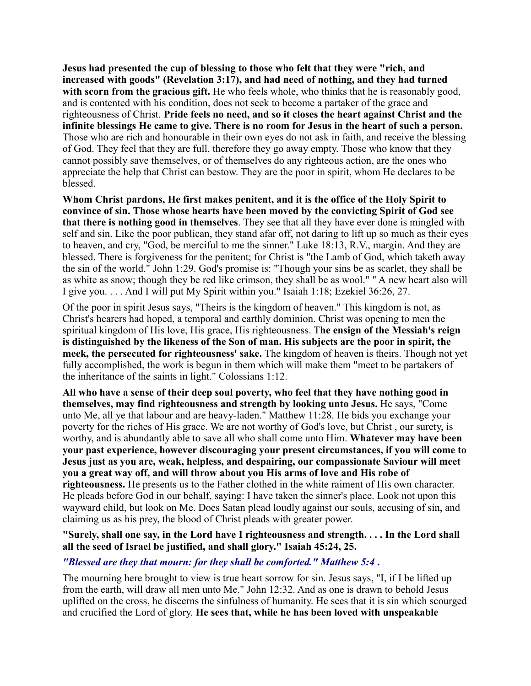**Jesus had presented the cup of blessing to those who felt that they were "rich, and increased with goods" (Revelation 3:17), and had need of nothing, and they had turned** with scorn from the gracious gift. He who feels whole, who thinks that he is reasonably good, and is contented with his condition, does not seek to become a partaker of the grace and righteousness of Christ. **Pride feels no need, and so it closes the heart against Christ and the infinite blessings He came to give. There is no room for Jesus in the heart of such a person.** Those who are rich and honourable in their own eyes do not ask in faith, and receive the blessing of God. They feel that they are full, therefore they go away empty. Those who know that they cannot possibly save themselves, or of themselves do any righteous action, are the ones who appreciate the help that Christ can bestow. They are the poor in spirit, whom He declares to be blessed.

**Whom Christ pardons, He first makes penitent, and it is the office of the Holy Spirit to convince of sin. Those whose hearts have been moved by the convicting Spirit of God see that there is nothing good in themselves**. They see that all they have ever done is mingled with self and sin. Like the poor publican, they stand afar off, not daring to lift up so much as their eyes to heaven, and cry, "God, be merciful to me the sinner." Luke 18:13, R.V., margin. And they are blessed. There is forgiveness for the penitent; for Christ is "the Lamb of God, which taketh away the sin of the world." John 1:29. God's promise is: "Though your sins be as scarlet, they shall be as white as snow; though they be red like crimson, they shall be as wool." " A new heart also will I give you. . . . And I will put My Spirit within you." Isaiah 1:18; Ezekiel 36:26, 27.

Of the poor in spirit Jesus says, "Theirs is the kingdom of heaven." This kingdom is not, as Christ's hearers had hoped, a temporal and earthly dominion. Christ was opening to men the spiritual kingdom of His love, His grace, His righteousness. T**he ensign of the Messiah's reign is distinguished by the likeness of the Son of man. His subjects are the poor in spirit, the meek, the persecuted for righteousness' sake.** The kingdom of heaven is theirs. Though not yet fully accomplished, the work is begun in them which will make them "meet to be partakers of the inheritance of the saints in light." Colossians 1:12.

**All who have a sense of their deep soul poverty, who feel that they have nothing good in themselves, may find righteousness and strength by looking unto Jesus.** He says, "Come unto Me, all ye that labour and are heavy-laden." Matthew 11:28. He bids you exchange your poverty for the riches of His grace. We are not worthy of God's love, but Christ , our surety, is worthy, and is abundantly able to save all who shall come unto Him. **Whatever may have been your past experience, however discouraging your present circumstances, if you will come to Jesus just as you are, weak, helpless, and despairing, our compassionate Saviour will meet you a great way off, and will throw about you His arms of love and His robe of righteousness.** He presents us to the Father clothed in the white raiment of His own character. He pleads before God in our behalf, saying: I have taken the sinner's place. Look not upon this wayward child, but look on Me. Does Satan plead loudly against our souls, accusing of sin, and claiming us as his prey, the blood of Christ pleads with greater power.

**"Surely, shall one say, in the Lord have I righteousness and strength. . . . In the Lord shall all the seed of Israel be justified, and shall glory." Isaiah 45:24, 25.**

#### *"Blessed are they that mourn: for they shall be comforted." Matthew 5:4* **.**

The mourning here brought to view is true heart sorrow for sin. Jesus says, "I, if I be lifted up from the earth, will draw all men unto Me." John 12:32. And as one is drawn to behold Jesus uplifted on the cross, he discerns the sinfulness of humanity. He sees that it is sin which scourged and crucified the Lord of glory. **He sees that, while he has been loved with unspeakable**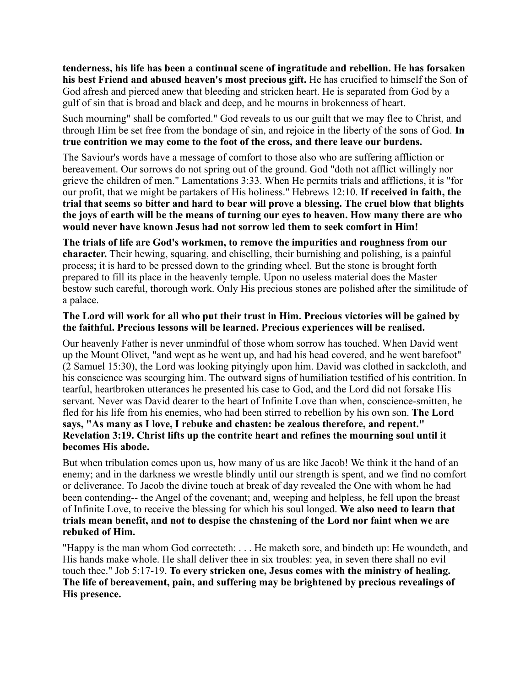**tenderness, his life has been a continual scene of ingratitude and rebellion. He has forsaken his best Friend and abused heaven's most precious gift.** He has crucified to himself the Son of God afresh and pierced anew that bleeding and stricken heart. He is separated from God by a gulf of sin that is broad and black and deep, and he mourns in brokenness of heart.

Such mourning" shall be comforted." God reveals to us our guilt that we may flee to Christ, and through Him be set free from the bondage of sin, and rejoice in the liberty of the sons of God. **In true contrition we may come to the foot of the cross, and there leave our burdens.** 

The Saviour's words have a message of comfort to those also who are suffering affliction or bereavement. Our sorrows do not spring out of the ground. God "doth not afflict willingly nor grieve the children of men." Lamentations 3:33. When He permits trials and afflictions, it is "for our profit, that we might be partakers of His holiness." Hebrews 12:10. **If received in faith, the trial that seems so bitter and hard to bear will prove a blessing. The cruel blow that blights the joys of earth will be the means of turning our eyes to heaven. How many there are who would never have known Jesus had not sorrow led them to seek comfort in Him!** 

**The trials of life are God's workmen, to remove the impurities and roughness from our character.** Their hewing, squaring, and chiselling, their burnishing and polishing, is a painful process; it is hard to be pressed down to the grinding wheel. But the stone is brought forth prepared to fill its place in the heavenly temple. Upon no useless material does the Master bestow such careful, thorough work. Only His precious stones are polished after the similitude of a palace.

#### **The Lord will work for all who put their trust in Him. Precious victories will be gained by the faithful. Precious lessons will be learned. Precious experiences will be realised.**

Our heavenly Father is never unmindful of those whom sorrow has touched. When David went up the Mount Olivet, "and wept as he went up, and had his head covered, and he went barefoot" (2 Samuel 15:30), the Lord was looking pityingly upon him. David was clothed in sackcloth, and his conscience was scourging him. The outward signs of humiliation testified of his contrition. In tearful, heartbroken utterances he presented his case to God, and the Lord did not forsake His servant. Never was David dearer to the heart of Infinite Love than when, conscience-smitten, he fled for his life from his enemies, who had been stirred to rebellion by his own son. **The Lord says, "As many as I love, I rebuke and chasten: be zealous therefore, and repent." Revelation 3:19. Christ lifts up the contrite heart and refines the mourning soul until it becomes His abode.** 

But when tribulation comes upon us, how many of us are like Jacob! We think it the hand of an enemy; and in the darkness we wrestle blindly until our strength is spent, and we find no comfort or deliverance. To Jacob the divine touch at break of day revealed the One with whom he had been contending-- the Angel of the covenant; and, weeping and helpless, he fell upon the breast of Infinite Love, to receive the blessing for which his soul longed. **We also need to learn that trials mean benefit, and not to despise the chastening of the Lord nor faint when we are rebuked of Him.** 

"Happy is the man whom God correcteth: . . . He maketh sore, and bindeth up: He woundeth, and His hands make whole. He shall deliver thee in six troubles: yea, in seven there shall no evil touch thee." Job 5:17-19. **To every stricken one, Jesus comes with the ministry of healing. The life of bereavement, pain, and suffering may be brightened by precious revealings of His presence.**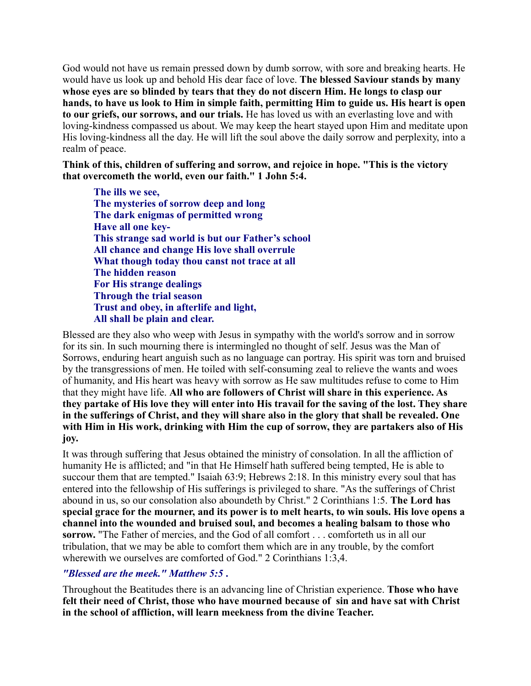God would not have us remain pressed down by dumb sorrow, with sore and breaking hearts. He would have us look up and behold His dear face of love. **The blessed Saviour stands by many whose eyes are so blinded by tears that they do not discern Him. He longs to clasp our hands, to have us look to Him in simple faith, permitting Him to guide us. His heart is open to our griefs, our sorrows, and our trials.** He has loved us with an everlasting love and with loving-kindness compassed us about. We may keep the heart stayed upon Him and meditate upon His loving-kindness all the day. He will lift the soul above the daily sorrow and perplexity, into a realm of peace.

**Think of this, children of suffering and sorrow, and rejoice in hope. "This is the victory that overcometh the world, even our faith." 1 John 5:4.** 

**The ills we see, The mysteries of sorrow deep and long The dark enigmas of permitted wrong Have all one key-This strange sad world is but our Father's school All chance and change His love shall overrule What though today thou canst not trace at all The hidden reason For His strange dealings Through the trial season Trust and obey, in afterlife and light, All shall be plain and clear.**

Blessed are they also who weep with Jesus in sympathy with the world's sorrow and in sorrow for its sin. In such mourning there is intermingled no thought of self. Jesus was the Man of Sorrows, enduring heart anguish such as no language can portray. His spirit was torn and bruised by the transgressions of men. He toiled with self-consuming zeal to relieve the wants and woes of humanity, and His heart was heavy with sorrow as He saw multitudes refuse to come to Him that they might have life. **All who are followers of Christ will share in this experience. As they partake of His love they will enter into His travail for the saving of the lost. They share in the sufferings of Christ, and they will share also in the glory that shall be revealed. One with Him in His work, drinking with Him the cup of sorrow, they are partakers also of His joy.** 

It was through suffering that Jesus obtained the ministry of consolation. In all the affliction of humanity He is afflicted; and "in that He Himself hath suffered being tempted, He is able to succour them that are tempted." Isaiah 63:9; Hebrews 2:18. In this ministry every soul that has entered into the fellowship of His sufferings is privileged to share. "As the sufferings of Christ abound in us, so our consolation also aboundeth by Christ." 2 Corinthians 1:5. **The Lord has special grace for the mourner, and its power is to melt hearts, to win souls. His love opens a channel into the wounded and bruised soul, and becomes a healing balsam to those who sorrow.** "The Father of mercies, and the God of all comfort . . . comforteth us in all our tribulation, that we may be able to comfort them which are in any trouble, by the comfort wherewith we ourselves are comforted of God." 2 Corinthians 1:3,4.

#### *"Blessed are the meek." Matthew 5:5* **.**

Throughout the Beatitudes there is an advancing line of Christian experience. **Those who have felt their need of Christ, those who have mourned because of sin and have sat with Christ in the school of affliction, will learn meekness from the divine Teacher.**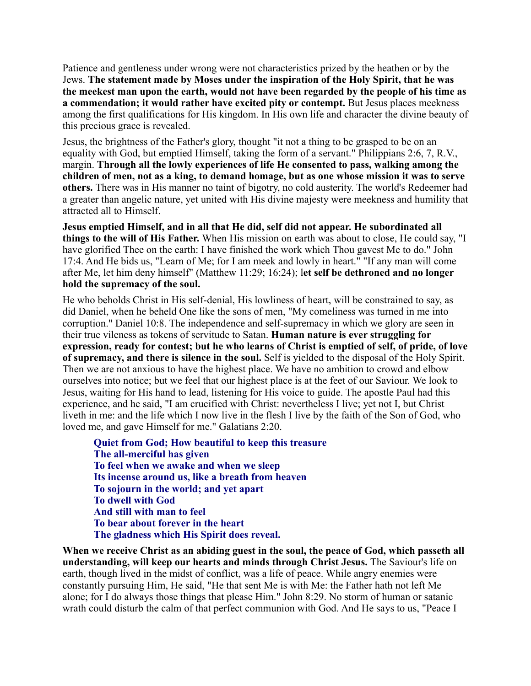Patience and gentleness under wrong were not characteristics prized by the heathen or by the Jews. **The statement made by Moses under the inspiration of the Holy Spirit, that he was the meekest man upon the earth, would not have been regarded by the people of his time as a commendation; it would rather have excited pity or contempt.** But Jesus places meekness among the first qualifications for His kingdom. In His own life and character the divine beauty of this precious grace is revealed.

Jesus, the brightness of the Father's glory, thought "it not a thing to be grasped to be on an equality with God, but emptied Himself, taking the form of a servant." Philippians 2:6, 7, R.V., margin. **Through all the lowly experiences of life He consented to pass, walking among the children of men, not as a king, to demand homage, but as one whose mission it was to serve others.** There was in His manner no taint of bigotry, no cold austerity. The world's Redeemer had a greater than angelic nature, yet united with His divine majesty were meekness and humility that attracted all to Himself.

**Jesus emptied Himself, and in all that He did, self did not appear. He subordinated all things to the will of His Father.** When His mission on earth was about to close, He could say, "I have glorified Thee on the earth: I have finished the work which Thou gavest Me to do." John 17:4. And He bids us, "Learn of Me; for I am meek and lowly in heart." "If any man will come after Me, let him deny himself" (Matthew 11:29; 16:24); l**et self be dethroned and no longer hold the supremacy of the soul.**

He who beholds Christ in His self-denial, His lowliness of heart, will be constrained to say, as did Daniel, when he beheld One like the sons of men, "My comeliness was turned in me into corruption." Daniel 10:8. The independence and self-supremacy in which we glory are seen in their true vileness as tokens of servitude to Satan. **Human nature is ever struggling for expression, ready for contest; but he who learns of Christ is emptied of self, of pride, of love of supremacy, and there is silence in the soul.** Self is yielded to the disposal of the Holy Spirit. Then we are not anxious to have the highest place. We have no ambition to crowd and elbow ourselves into notice; but we feel that our highest place is at the feet of our Saviour. We look to Jesus, waiting for His hand to lead, listening for His voice to guide. The apostle Paul had this experience, and he said, "I am crucified with Christ: nevertheless I live; yet not I, but Christ liveth in me: and the life which I now live in the flesh I live by the faith of the Son of God, who loved me, and gave Himself for me." Galatians 2:20.

**Quiet from God; How beautiful to keep this treasure The all-merciful has given To feel when we awake and when we sleep Its incense around us, like a breath from heaven To sojourn in the world; and yet apart To dwell with God And still with man to feel To bear about forever in the heart The gladness which His Spirit does reveal.**

**When we receive Christ as an abiding guest in the soul, the peace of God, which passeth all understanding, will keep our hearts and minds through Christ Jesus.** The Saviour's life on earth, though lived in the midst of conflict, was a life of peace. While angry enemies were constantly pursuing Him, He said, "He that sent Me is with Me: the Father hath not left Me alone; for I do always those things that please Him." John 8:29. No storm of human or satanic wrath could disturb the calm of that perfect communion with God. And He says to us, "Peace I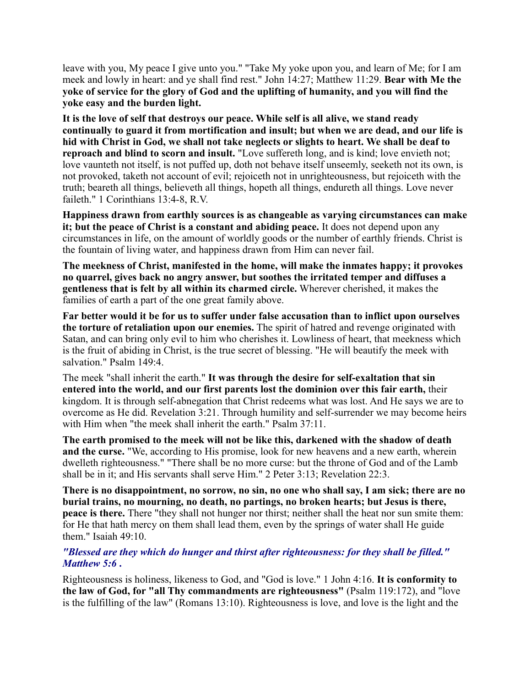leave with you, My peace I give unto you." "Take My yoke upon you, and learn of Me; for I am meek and lowly in heart: and ye shall find rest." John 14:27; Matthew 11:29. **Bear with Me the yoke of service for the glory of God and the uplifting of humanity, and you will find the yoke easy and the burden light.**

**It is the love of self that destroys our peace. While self is all alive, we stand ready continually to guard it from mortification and insult; but when we are dead, and our life is hid with Christ in God, we shall not take neglects or slights to heart. We shall be deaf to reproach and blind to scorn and insult.** "Love suffereth long, and is kind; love envieth not; love vaunteth not itself, is not puffed up, doth not behave itself unseemly, seeketh not its own, is not provoked, taketh not account of evil; rejoiceth not in unrighteousness, but rejoiceth with the truth; beareth all things, believeth all things, hopeth all things, endureth all things. Love never faileth." 1 Corinthians 13:4-8, R.V.

**Happiness drawn from earthly sources is as changeable as varying circumstances can make it; but the peace of Christ is a constant and abiding peace.** It does not depend upon any circumstances in life, on the amount of worldly goods or the number of earthly friends. Christ is the fountain of living water, and happiness drawn from Him can never fail.

**The meekness of Christ, manifested in the home, will make the inmates happy; it provokes no quarrel, gives back no angry answer, but soothes the irritated temper and diffuses a gentleness that is felt by all within its charmed circle.** Wherever cherished, it makes the families of earth a part of the one great family above.

**Far better would it be for us to suffer under false accusation than to inflict upon ourselves the torture of retaliation upon our enemies.** The spirit of hatred and revenge originated with Satan, and can bring only evil to him who cherishes it. Lowliness of heart, that meekness which is the fruit of abiding in Christ, is the true secret of blessing. "He will beautify the meek with salvation." Psalm 149:4.

The meek "shall inherit the earth." **It was through the desire for self-exaltation that sin entered into the world, and our first parents lost the dominion over this fair earth,** their kingdom. It is through self-abnegation that Christ redeems what was lost. And He says we are to overcome as He did. Revelation 3:21. Through humility and self-surrender we may become heirs with Him when "the meek shall inherit the earth." Psalm 37:11.

**The earth promised to the meek will not be like this, darkened with the shadow of death and the curse.** "We, according to His promise, look for new heavens and a new earth, wherein dwelleth righteousness." "There shall be no more curse: but the throne of God and of the Lamb shall be in it; and His servants shall serve Him." 2 Peter 3:13; Revelation 22:3.

**There is no disappointment, no sorrow, no sin, no one who shall say, I am sick; there are no burial trains, no mourning, no death, no partings, no broken hearts; but Jesus is there, peace is there.** There "they shall not hunger nor thirst; neither shall the heat nor sun smite them: for He that hath mercy on them shall lead them, even by the springs of water shall He guide them." Isaiah 49:10.

#### *"Blessed are they which do hunger and thirst after righteousness: for they shall be filled." Matthew 5:6* **.**

Righteousness is holiness, likeness to God, and "God is love." 1 John 4:16. **It is conformity to the law of God, for "all Thy commandments are righteousness"** (Psalm 119:172), and "love is the fulfilling of the law" (Romans 13:10). Righteousness is love, and love is the light and the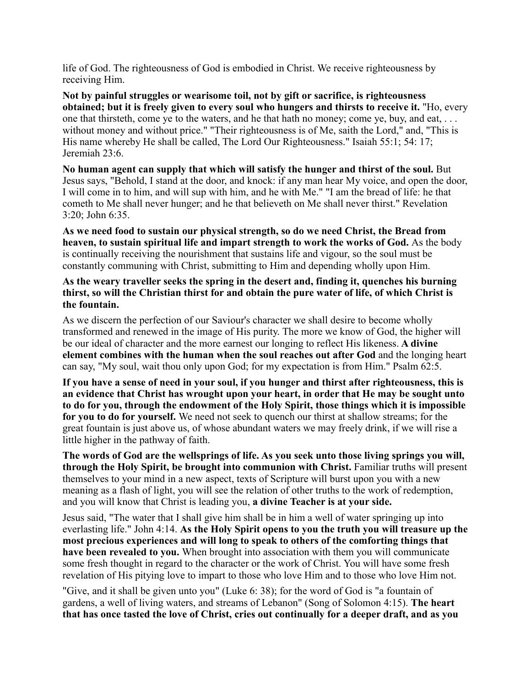life of God. The righteousness of God is embodied in Christ. We receive righteousness by receiving Him.

**Not by painful struggles or wearisome toil, not by gift or sacrifice, is righteousness obtained; but it is freely given to every soul who hungers and thirsts to receive it.** "Ho, every one that thirsteth, come ye to the waters, and he that hath no money; come ye, buy, and eat, . . . without money and without price." "Their righteousness is of Me, saith the Lord," and, "This is His name whereby He shall be called, The Lord Our Righteousness." Isaiah 55:1; 54: 17; Jeremiah 23:6.

**No human agent can supply that which will satisfy the hunger and thirst of the soul.** But Jesus says, "Behold, I stand at the door, and knock: if any man hear My voice, and open the door, I will come in to him, and will sup with him, and he with Me." "I am the bread of life: he that cometh to Me shall never hunger; and he that believeth on Me shall never thirst." Revelation 3:20; John 6:35.

**As we need food to sustain our physical strength, so do we need Christ, the Bread from heaven, to sustain spiritual life and impart strength to work the works of God.** As the body is continually receiving the nourishment that sustains life and vigour, so the soul must be constantly communing with Christ, submitting to Him and depending wholly upon Him.

**As the weary traveller seeks the spring in the desert and, finding it, quenches his burning thirst, so will the Christian thirst for and obtain the pure water of life, of which Christ is the fountain.** 

As we discern the perfection of our Saviour's character we shall desire to become wholly transformed and renewed in the image of His purity. The more we know of God, the higher will be our ideal of character and the more earnest our longing to reflect His likeness. **A divine element combines with the human when the soul reaches out after God** and the longing heart can say, "My soul, wait thou only upon God; for my expectation is from Him." Psalm 62:5.

**If you have a sense of need in your soul, if you hunger and thirst after righteousness, this is an evidence that Christ has wrought upon your heart, in order that He may be sought unto to do for you, through the endowment of the Holy Spirit, those things which it is impossible for you to do for yourself.** We need not seek to quench our thirst at shallow streams; for the great fountain is just above us, of whose abundant waters we may freely drink, if we will rise a little higher in the pathway of faith.

**The words of God are the wellsprings of life. As you seek unto those living springs you will, through the Holy Spirit, be brought into communion with Christ.** Familiar truths will present themselves to your mind in a new aspect, texts of Scripture will burst upon you with a new meaning as a flash of light, you will see the relation of other truths to the work of redemption, and you will know that Christ is leading you, **a divine Teacher is at your side.** 

Jesus said, "The water that I shall give him shall be in him a well of water springing up into everlasting life." John 4:14. **As the Holy Spirit opens to you the truth you will treasure up the most precious experiences and will long to speak to others of the comforting things that have been revealed to you.** When brought into association with them you will communicate some fresh thought in regard to the character or the work of Christ. You will have some fresh revelation of His pitying love to impart to those who love Him and to those who love Him not.

"Give, and it shall be given unto you" (Luke 6: 38); for the word of God is "a fountain of gardens, a well of living waters, and streams of Lebanon" (Song of Solomon 4:15). **The heart that has once tasted the love of Christ, cries out continually for a deeper draft, and as you**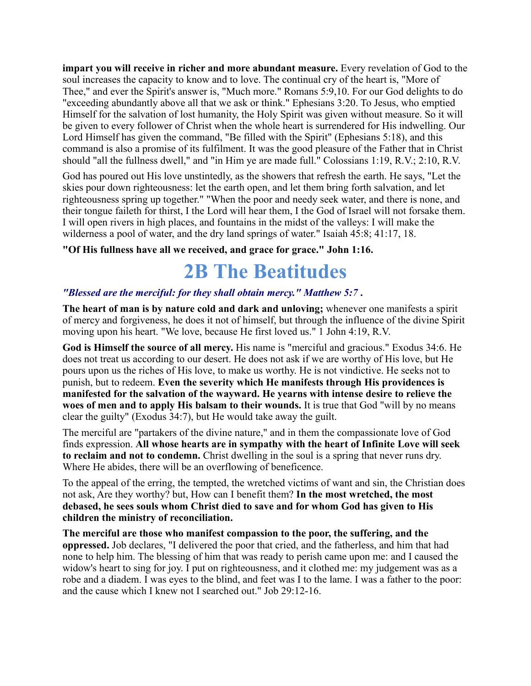**impart you will receive in richer and more abundant measure.** Every revelation of God to the soul increases the capacity to know and to love. The continual cry of the heart is, "More of Thee," and ever the Spirit's answer is, "Much more." Romans 5:9,10. For our God delights to do "exceeding abundantly above all that we ask or think." Ephesians 3:20. To Jesus, who emptied Himself for the salvation of lost humanity, the Holy Spirit was given without measure. So it will be given to every follower of Christ when the whole heart is surrendered for His indwelling. Our Lord Himself has given the command, "Be filled with the Spirit" (Ephesians 5:18), and this command is also a promise of its fulfilment. It was the good pleasure of the Father that in Christ should "all the fullness dwell," and "in Him ye are made full." Colossians 1:19, R.V.; 2:10, R.V.

God has poured out His love unstintedly, as the showers that refresh the earth. He says, "Let the skies pour down righteousness: let the earth open, and let them bring forth salvation, and let righteousness spring up together." "When the poor and needy seek water, and there is none, and their tongue faileth for thirst, I the Lord will hear them, I the God of Israel will not forsake them. I will open rivers in high places, and fountains in the midst of the valleys: I will make the wilderness a pool of water, and the dry land springs of water." Isaiah 45:8; 41:17, 18.

**"Of His fullness have all we received, and grace for grace." John 1:16.** 

### **2B The Beatitudes**

#### *"Blessed are the merciful: for they shall obtain mercy." Matthew 5:7* **.**

**The heart of man is by nature cold and dark and unloving;** whenever one manifests a spirit of mercy and forgiveness, he does it not of himself, but through the influence of the divine Spirit moving upon his heart. "We love, because He first loved us." 1 John 4:19, R.V.

**God is Himself the source of all mercy.** His name is "merciful and gracious." Exodus 34:6. He does not treat us according to our desert. He does not ask if we are worthy of His love, but He pours upon us the riches of His love, to make us worthy. He is not vindictive. He seeks not to punish, but to redeem. **Even the severity which He manifests through His providences is manifested for the salvation of the wayward. He yearns with intense desire to relieve the woes of men and to apply His balsam to their wounds.** It is true that God "will by no means clear the guilty" (Exodus 34:7), but He would take away the guilt.

The merciful are "partakers of the divine nature," and in them the compassionate love of God finds expression. **All whose hearts are in sympathy with the heart of Infinite Love will seek to reclaim and not to condemn.** Christ dwelling in the soul is a spring that never runs dry. Where He abides, there will be an overflowing of beneficence.

To the appeal of the erring, the tempted, the wretched victims of want and sin, the Christian does not ask, Are they worthy? but, How can I benefit them? **In the most wretched, the most debased, he sees souls whom Christ died to save and for whom God has given to His children the ministry of reconciliation.**

**The merciful are those who manifest compassion to the poor, the suffering, and the oppressed.** Job declares, "I delivered the poor that cried, and the fatherless, and him that had none to help him. The blessing of him that was ready to perish came upon me: and I caused the widow's heart to sing for joy. I put on righteousness, and it clothed me: my judgement was as a robe and a diadem. I was eyes to the blind, and feet was I to the lame. I was a father to the poor: and the cause which I knew not I searched out." Job 29:12-16.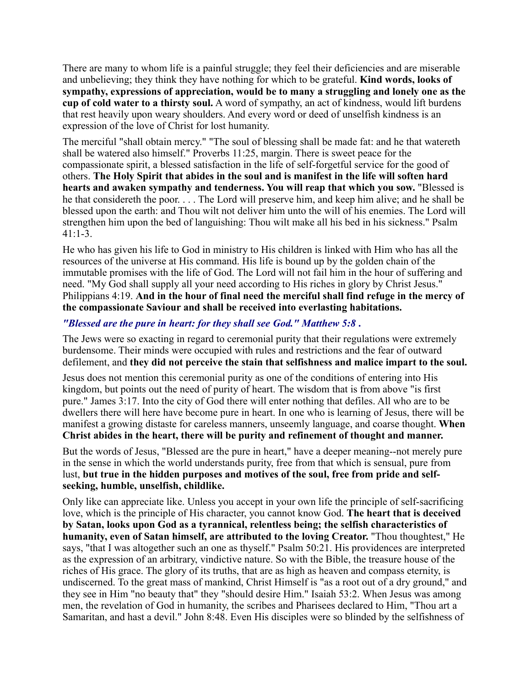There are many to whom life is a painful struggle; they feel their deficiencies and are miserable and unbelieving; they think they have nothing for which to be grateful. **Kind words, looks of sympathy, expressions of appreciation, would be to many a struggling and lonely one as the cup of cold water to a thirsty soul.** A word of sympathy, an act of kindness, would lift burdens that rest heavily upon weary shoulders. And every word or deed of unselfish kindness is an expression of the love of Christ for lost humanity.

The merciful "shall obtain mercy." "The soul of blessing shall be made fat: and he that watereth shall be watered also himself." Proverbs 11:25, margin. There is sweet peace for the compassionate spirit, a blessed satisfaction in the life of self-forgetful service for the good of others. **The Holy Spirit that abides in the soul and is manifest in the life will soften hard hearts and awaken sympathy and tenderness. You will reap that which you sow.** "Blessed is he that considereth the poor. . . . The Lord will preserve him, and keep him alive; and he shall be blessed upon the earth: and Thou wilt not deliver him unto the will of his enemies. The Lord will strengthen him upon the bed of languishing: Thou wilt make all his bed in his sickness." Psalm 41:1-3.

He who has given his life to God in ministry to His children is linked with Him who has all the resources of the universe at His command. His life is bound up by the golden chain of the immutable promises with the life of God. The Lord will not fail him in the hour of suffering and need. "My God shall supply all your need according to His riches in glory by Christ Jesus." Philippians 4:19. **And in the hour of final need the merciful shall find refuge in the mercy of the compassionate Saviour and shall be received into everlasting habitations.** 

#### *"Blessed are the pure in heart: for they shall see God." Matthew 5:8* **.**

The Jews were so exacting in regard to ceremonial purity that their regulations were extremely burdensome. Their minds were occupied with rules and restrictions and the fear of outward defilement, and **they did not perceive the stain that selfishness and malice impart to the soul.**

Jesus does not mention this ceremonial purity as one of the conditions of entering into His kingdom, but points out the need of purity of heart. The wisdom that is from above "is first pure." James 3:17. Into the city of God there will enter nothing that defiles. All who are to be dwellers there will here have become pure in heart. In one who is learning of Jesus, there will be manifest a growing distaste for careless manners, unseemly language, and coarse thought. **When Christ abides in the heart, there will be purity and refinement of thought and manner.** 

But the words of Jesus, "Blessed are the pure in heart," have a deeper meaning--not merely pure in the sense in which the world understands purity, free from that which is sensual, pure from lust, **but true in the hidden purposes and motives of the soul, free from pride and selfseeking, humble, unselfish, childlike.**

Only like can appreciate like. Unless you accept in your own life the principle of self-sacrificing love, which is the principle of His character, you cannot know God. **The heart that is deceived by Satan, looks upon God as a tyrannical, relentless being; the selfish characteristics of humanity, even of Satan himself, are attributed to the loving Creator.** "Thou thoughtest," He says, "that I was altogether such an one as thyself." Psalm 50:21. His providences are interpreted as the expression of an arbitrary, vindictive nature. So with the Bible, the treasure house of the riches of His grace. The glory of its truths, that are as high as heaven and compass eternity, is undiscerned. To the great mass of mankind, Christ Himself is "as a root out of a dry ground," and they see in Him "no beauty that" they "should desire Him." Isaiah 53:2. When Jesus was among men, the revelation of God in humanity, the scribes and Pharisees declared to Him, "Thou art a Samaritan, and hast a devil." John 8:48. Even His disciples were so blinded by the selfishness of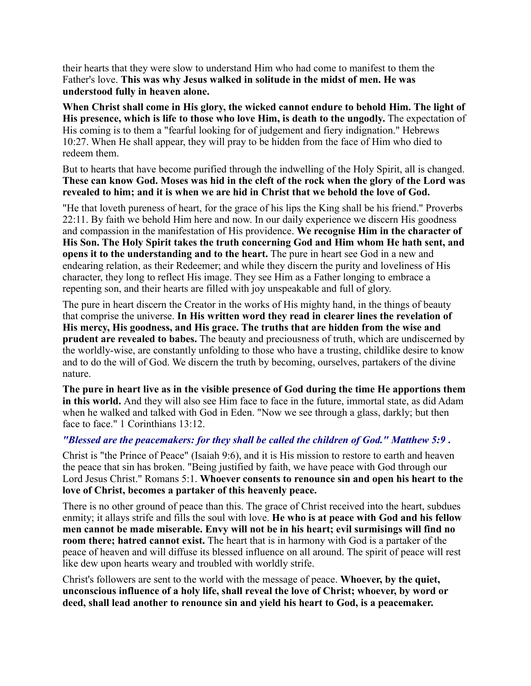their hearts that they were slow to understand Him who had come to manifest to them the Father's love. **This was why Jesus walked in solitude in the midst of men. He was understood fully in heaven alone.** 

**When Christ shall come in His glory, the wicked cannot endure to behold Him. The light of His presence, which is life to those who love Him, is death to the ungodly.** The expectation of His coming is to them a "fearful looking for of judgement and fiery indignation." Hebrews 10:27. When He shall appear, they will pray to be hidden from the face of Him who died to redeem them.

But to hearts that have become purified through the indwelling of the Holy Spirit, all is changed. **These can know God. Moses was hid in the cleft of the rock when the glory of the Lord was revealed to him; and it is when we are hid in Christ that we behold the love of God.** 

"He that loveth pureness of heart, for the grace of his lips the King shall be his friend." Proverbs 22:11. By faith we behold Him here and now. In our daily experience we discern His goodness and compassion in the manifestation of His providence. **We recognise Him in the character of His Son. The Holy Spirit takes the truth concerning God and Him whom He hath sent, and opens it to the understanding and to the heart.** The pure in heart see God in a new and endearing relation, as their Redeemer; and while they discern the purity and loveliness of His character, they long to reflect His image. They see Him as a Father longing to embrace a repenting son, and their hearts are filled with joy unspeakable and full of glory.

The pure in heart discern the Creator in the works of His mighty hand, in the things of beauty that comprise the universe. **In His written word they read in clearer lines the revelation of His mercy, His goodness, and His grace. The truths that are hidden from the wise and prudent are revealed to babes.** The beauty and preciousness of truth, which are undiscerned by the worldly-wise, are constantly unfolding to those who have a trusting, childlike desire to know and to do the will of God. We discern the truth by becoming, ourselves, partakers of the divine nature.

**The pure in heart live as in the visible presence of God during the time He apportions them in this world.** And they will also see Him face to face in the future, immortal state, as did Adam when he walked and talked with God in Eden. "Now we see through a glass, darkly; but then face to face." 1 Corinthians 13:12.

#### *"Blessed are the peacemakers: for they shall be called the children of God." Matthew 5:9* **.**

Christ is "the Prince of Peace" (Isaiah 9:6), and it is His mission to restore to earth and heaven the peace that sin has broken. "Being justified by faith, we have peace with God through our Lord Jesus Christ." Romans 5:1. **Whoever consents to renounce sin and open his heart to the love of Christ, becomes a partaker of this heavenly peace.** 

There is no other ground of peace than this. The grace of Christ received into the heart, subdues enmity; it allays strife and fills the soul with love. **He who is at peace with God and his fellow men cannot be made miserable. Envy will not be in his heart; evil surmisings will find no room there; hatred cannot exist.** The heart that is in harmony with God is a partaker of the peace of heaven and will diffuse its blessed influence on all around. The spirit of peace will rest like dew upon hearts weary and troubled with worldly strife.

Christ's followers are sent to the world with the message of peace. **Whoever, by the quiet, unconscious influence of a holy life, shall reveal the love of Christ; whoever, by word or deed, shall lead another to renounce sin and yield his heart to God, is a peacemaker.**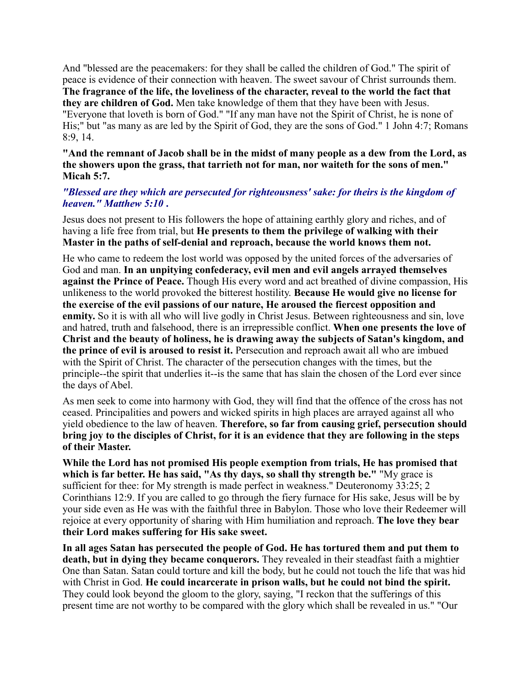And "blessed are the peacemakers: for they shall be called the children of God." The spirit of peace is evidence of their connection with heaven. The sweet savour of Christ surrounds them. **The fragrance of the life, the loveliness of the character, reveal to the world the fact that**

**they are children of God.** Men take knowledge of them that they have been with Jesus. "Everyone that loveth is born of God." "If any man have not the Spirit of Christ, he is none of His;" but "as many as are led by the Spirit of God, they are the sons of God." 1 John 4:7; Romans 8:9, 14.

**"And the remnant of Jacob shall be in the midst of many people as a dew from the Lord, as the showers upon the grass, that tarrieth not for man, nor waiteth for the sons of men." Micah 5:7.** 

#### *"Blessed are they which are persecuted for righteousness' sake: for theirs is the kingdom of heaven." Matthew 5:10* **.**

Jesus does not present to His followers the hope of attaining earthly glory and riches, and of having a life free from trial, but **He presents to them the privilege of walking with their Master in the paths of self-denial and reproach, because the world knows them not.** 

He who came to redeem the lost world was opposed by the united forces of the adversaries of God and man. **In an unpitying confederacy, evil men and evil angels arrayed themselves against the Prince of Peace.** Though His every word and act breathed of divine compassion, His unlikeness to the world provoked the bitterest hostility. **Because He would give no license for the exercise of the evil passions of our nature, He aroused the fiercest opposition and enmity.** So it is with all who will live godly in Christ Jesus. Between righteousness and sin, love and hatred, truth and falsehood, there is an irrepressible conflict. **When one presents the love of Christ and the beauty of holiness, he is drawing away the subjects of Satan's kingdom, and the prince of evil is aroused to resist it.** Persecution and reproach await all who are imbued with the Spirit of Christ. The character of the persecution changes with the times, but the principle--the spirit that underlies it--is the same that has slain the chosen of the Lord ever since the days of Abel.

As men seek to come into harmony with God, they will find that the offence of the cross has not ceased. Principalities and powers and wicked spirits in high places are arrayed against all who yield obedience to the law of heaven. **Therefore, so far from causing grief, persecution should bring joy to the disciples of Christ, for it is an evidence that they are following in the steps of their Master.** 

**While the Lord has not promised His people exemption from trials, He has promised that which is far better. He has said, "As thy days, so shall thy strength be."** "My grace is sufficient for thee: for My strength is made perfect in weakness." Deuteronomy 33:25; 2 Corinthians 12:9. If you are called to go through the fiery furnace for His sake, Jesus will be by your side even as He was with the faithful three in Babylon. Those who love their Redeemer will rejoice at every opportunity of sharing with Him humiliation and reproach. **The love they bear their Lord makes suffering for His sake sweet.** 

**In all ages Satan has persecuted the people of God. He has tortured them and put them to death, but in dying they became conquerors.** They revealed in their steadfast faith a mightier One than Satan. Satan could torture and kill the body, but he could not touch the life that was hid with Christ in God. **He could incarcerate in prison walls, but he could not bind the spirit.** They could look beyond the gloom to the glory, saying, "I reckon that the sufferings of this present time are not worthy to be compared with the glory which shall be revealed in us." "Our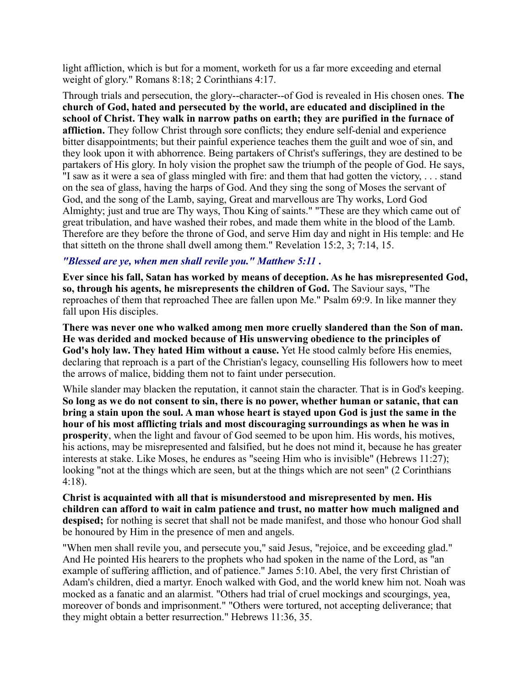light affliction, which is but for a moment, worketh for us a far more exceeding and eternal weight of glory." Romans 8:18; 2 Corinthians 4:17.

Through trials and persecution, the glory--character--of God is revealed in His chosen ones. **The church of God, hated and persecuted by the world, are educated and disciplined in the school of Christ. They walk in narrow paths on earth; they are purified in the furnace of affliction.** They follow Christ through sore conflicts; they endure self-denial and experience bitter disappointments; but their painful experience teaches them the guilt and woe of sin, and they look upon it with abhorrence. Being partakers of Christ's sufferings, they are destined to be partakers of His glory. In holy vision the prophet saw the triumph of the people of God. He says, "I saw as it were a sea of glass mingled with fire: and them that had gotten the victory, . . . stand on the sea of glass, having the harps of God. And they sing the song of Moses the servant of God, and the song of the Lamb, saying, Great and marvellous are Thy works, Lord God Almighty; just and true are Thy ways, Thou King of saints." "These are they which came out of great tribulation, and have washed their robes, and made them white in the blood of the Lamb. Therefore are they before the throne of God, and serve Him day and night in His temple: and He that sitteth on the throne shall dwell among them." Revelation 15:2, 3; 7:14, 15.

#### *"Blessed are ye, when men shall revile you." Matthew 5:11* **.**

**Ever since his fall, Satan has worked by means of deception. As he has misrepresented God, so, through his agents, he misrepresents the children of God.** The Saviour says, "The reproaches of them that reproached Thee are fallen upon Me." Psalm 69:9. In like manner they fall upon His disciples.

**There was never one who walked among men more cruelly slandered than the Son of man. He was derided and mocked because of His unswerving obedience to the principles of God's holy law. They hated Him without a cause.** Yet He stood calmly before His enemies, declaring that reproach is a part of the Christian's legacy, counselling His followers how to meet the arrows of malice, bidding them not to faint under persecution.

While slander may blacken the reputation, it cannot stain the character. That is in God's keeping. **So long as we do not consent to sin, there is no power, whether human or satanic, that can bring a stain upon the soul. A man whose heart is stayed upon God is just the same in the hour of his most afflicting trials and most discouraging surroundings as when he was in prosperity**, when the light and favour of God seemed to be upon him. His words, his motives, his actions, may be misrepresented and falsified, but he does not mind it, because he has greater interests at stake. Like Moses, he endures as "seeing Him who is invisible" (Hebrews 11:27); looking "not at the things which are seen, but at the things which are not seen" (2 Corinthians 4:18).

**Christ is acquainted with all that is misunderstood and misrepresented by men. His children can afford to wait in calm patience and trust, no matter how much maligned and despised;** for nothing is secret that shall not be made manifest, and those who honour God shall be honoured by Him in the presence of men and angels.

"When men shall revile you, and persecute you," said Jesus, "rejoice, and be exceeding glad." And He pointed His hearers to the prophets who had spoken in the name of the Lord, as "an example of suffering affliction, and of patience." James 5:10. Abel, the very first Christian of Adam's children, died a martyr. Enoch walked with God, and the world knew him not. Noah was mocked as a fanatic and an alarmist. "Others had trial of cruel mockings and scourgings, yea, moreover of bonds and imprisonment." "Others were tortured, not accepting deliverance; that they might obtain a better resurrection." Hebrews 11:36, 35.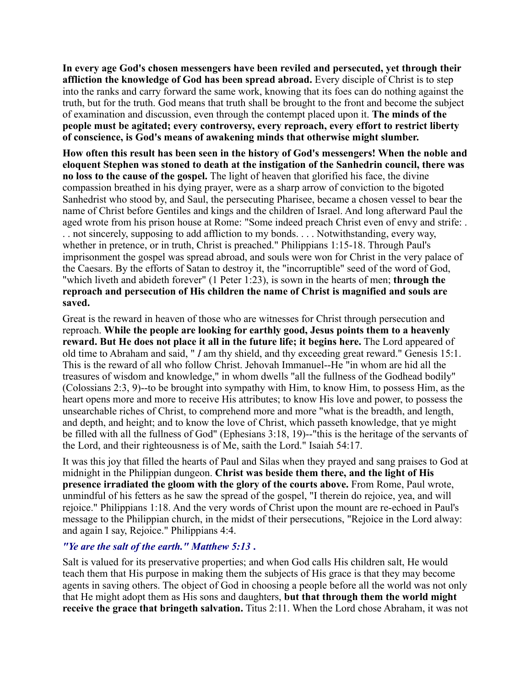**In every age God's chosen messengers have been reviled and persecuted, yet through their affliction the knowledge of God has been spread abroad.** Every disciple of Christ is to step into the ranks and carry forward the same work, knowing that its foes can do nothing against the truth, but for the truth. God means that truth shall be brought to the front and become the subject of examination and discussion, even through the contempt placed upon it. **The minds of the people must be agitated; every controversy, every reproach, every effort to restrict liberty of conscience, is God's means of awakening minds that otherwise might slumber.**

**How often this result has been seen in the history of God's messengers! When the noble and eloquent Stephen was stoned to death at the instigation of the Sanhedrin council, there was no loss to the cause of the gospel.** The light of heaven that glorified his face, the divine compassion breathed in his dying prayer, were as a sharp arrow of conviction to the bigoted Sanhedrist who stood by, and Saul, the persecuting Pharisee, became a chosen vessel to bear the name of Christ before Gentiles and kings and the children of Israel. And long afterward Paul the aged wrote from his prison house at Rome: "Some indeed preach Christ even of envy and strife: . . . not sincerely, supposing to add affliction to my bonds. . . . Notwithstanding, every way, whether in pretence, or in truth, Christ is preached." Philippians 1:15-18. Through Paul's imprisonment the gospel was spread abroad, and souls were won for Christ in the very palace of the Caesars. By the efforts of Satan to destroy it, the "incorruptible" seed of the word of God, "which liveth and abideth forever" (1 Peter 1:23), is sown in the hearts of men; **through the reproach and persecution of His children the name of Christ is magnified and souls are saved.** 

Great is the reward in heaven of those who are witnesses for Christ through persecution and reproach. **While the people are looking for earthly good, Jesus points them to a heavenly reward. But He does not place it all in the future life; it begins here.** The Lord appeared of old time to Abraham and said, " *I* am thy shield, and thy exceeding great reward." Genesis 15:1. This is the reward of all who follow Christ. Jehovah Immanuel--He "in whom are hid all the treasures of wisdom and knowledge," in whom dwells "all the fullness of the Godhead bodily" (Colossians 2:3, 9)--to be brought into sympathy with Him, to know Him, to possess Him, as the heart opens more and more to receive His attributes; to know His love and power, to possess the unsearchable riches of Christ, to comprehend more and more "what is the breadth, and length, and depth, and height; and to know the love of Christ, which passeth knowledge, that ye might be filled with all the fullness of God" (Ephesians 3:18, 19)--"this is the heritage of the servants of the Lord, and their righteousness is of Me, saith the Lord." Isaiah 54:17.

It was this joy that filled the hearts of Paul and Silas when they prayed and sang praises to God at midnight in the Philippian dungeon. **Christ was beside them there, and the light of His presence irradiated the gloom with the glory of the courts above.** From Rome, Paul wrote, unmindful of his fetters as he saw the spread of the gospel, "I therein do rejoice, yea, and will rejoice." Philippians 1:18. And the very words of Christ upon the mount are re-echoed in Paul's message to the Philippian church, in the midst of their persecutions, "Rejoice in the Lord alway: and again I say, Rejoice." Philippians 4:4.

#### *"Ye are the salt of the earth." Matthew 5:13* **.**

Salt is valued for its preservative properties; and when God calls His children salt, He would teach them that His purpose in making them the subjects of His grace is that they may become agents in saving others. The object of God in choosing a people before all the world was not only that He might adopt them as His sons and daughters, **but that through them the world might receive the grace that bringeth salvation.** Titus 2:11. When the Lord chose Abraham, it was not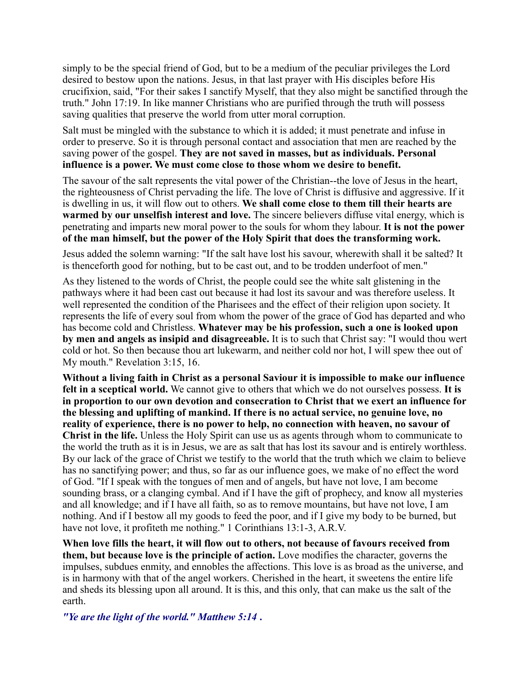simply to be the special friend of God, but to be a medium of the peculiar privileges the Lord desired to bestow upon the nations. Jesus, in that last prayer with His disciples before His crucifixion, said, "For their sakes I sanctify Myself, that they also might be sanctified through the truth." John 17:19. In like manner Christians who are purified through the truth will possess saving qualities that preserve the world from utter moral corruption.

Salt must be mingled with the substance to which it is added; it must penetrate and infuse in order to preserve. So it is through personal contact and association that men are reached by the saving power of the gospel. **They are not saved in masses, but as individuals. Personal influence is a power. We must come close to those whom we desire to benefit.** 

The savour of the salt represents the vital power of the Christian--the love of Jesus in the heart, the righteousness of Christ pervading the life. The love of Christ is diffusive and aggressive. If it is dwelling in us, it will flow out to others. **We shall come close to them till their hearts are warmed by our unselfish interest and love.** The sincere believers diffuse vital energy, which is penetrating and imparts new moral power to the souls for whom they labour. **It is not the power of the man himself, but the power of the Holy Spirit that does the transforming work.** 

Jesus added the solemn warning: "If the salt have lost his savour, wherewith shall it be salted? It is thenceforth good for nothing, but to be cast out, and to be trodden underfoot of men."

As they listened to the words of Christ, the people could see the white salt glistening in the pathways where it had been cast out because it had lost its savour and was therefore useless. It well represented the condition of the Pharisees and the effect of their religion upon society. It represents the life of every soul from whom the power of the grace of God has departed and who has become cold and Christless. **Whatever may be his profession, such a one is looked upon by men and angels as insipid and disagreeable.** It is to such that Christ say: "I would thou wert cold or hot. So then because thou art lukewarm, and neither cold nor hot, I will spew thee out of My mouth." Revelation 3:15, 16.

**Without a living faith in Christ as a personal Saviour it is impossible to make our influence felt in a sceptical world.** We cannot give to others that which we do not ourselves possess. **It is in proportion to our own devotion and consecration to Christ that we exert an influence for the blessing and uplifting of mankind. If there is no actual service, no genuine love, no reality of experience, there is no power to help, no connection with heaven, no savour of Christ in the life.** Unless the Holy Spirit can use us as agents through whom to communicate to the world the truth as it is in Jesus, we are as salt that has lost its savour and is entirely worthless. By our lack of the grace of Christ we testify to the world that the truth which we claim to believe has no sanctifying power; and thus, so far as our influence goes, we make of no effect the word of God. "If I speak with the tongues of men and of angels, but have not love, I am become sounding brass, or a clanging cymbal. And if I have the gift of prophecy, and know all mysteries and all knowledge; and if I have all faith, so as to remove mountains, but have not love, I am nothing. And if I bestow all my goods to feed the poor, and if I give my body to be burned, but have not love, it profiteth me nothing." 1 Corinthians 13:1-3, A.R.V.

**When love fills the heart, it will flow out to others, not because of favours received from them, but because love is the principle of action.** Love modifies the character, governs the impulses, subdues enmity, and ennobles the affections. This love is as broad as the universe, and is in harmony with that of the angel workers. Cherished in the heart, it sweetens the entire life and sheds its blessing upon all around. It is this, and this only, that can make us the salt of the earth.

*"Ye are the light of the world." Matthew 5:14* **.**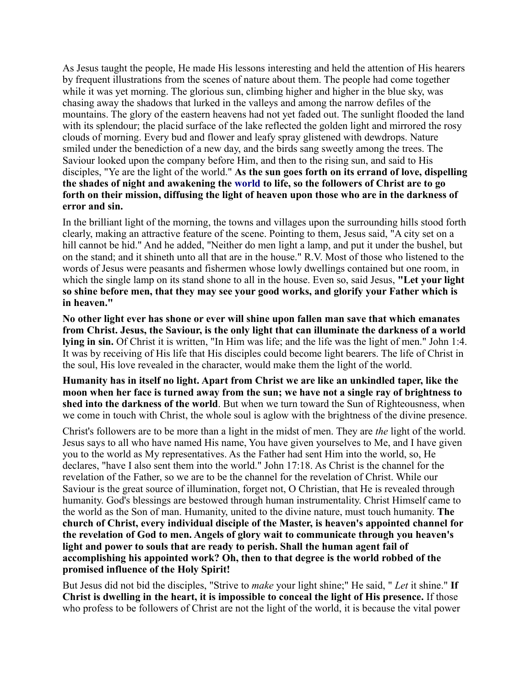As Jesus taught the people, He made His lessons interesting and held the attention of His hearers by frequent illustrations from the scenes of nature about them. The people had come together while it was yet morning. The glorious sun, climbing higher and higher in the blue sky, was chasing away the shadows that lurked in the valleys and among the narrow defiles of the mountains. The glory of the eastern heavens had not yet faded out. The sunlight flooded the land with its splendour; the placid surface of the lake reflected the golden light and mirrored the rosy clouds of morning. Every bud and flower and leafy spray glistened with dewdrops. Nature smiled under the benediction of a new day, and the birds sang sweetly among the trees. The Saviour looked upon the company before Him, and then to the rising sun, and said to His disciples, "Ye are the light of the world." **As the sun goes forth on its errand of love, dispelling the shades of night and awakening the world to life, so the followers of Christ are to go forth on their mission, diffusing the light of heaven upon those who are in the darkness of error and sin.** 

In the brilliant light of the morning, the towns and villages upon the surrounding hills stood forth clearly, making an attractive feature of the scene. Pointing to them, Jesus said, "A city set on a hill cannot be hid." And he added, "Neither do men light a lamp, and put it under the bushel, but on the stand; and it shineth unto all that are in the house." R.V. Most of those who listened to the words of Jesus were peasants and fishermen whose lowly dwellings contained but one room, in which the single lamp on its stand shone to all in the house. Even so, said Jesus, **"Let your light so shine before men, that they may see your good works, and glorify your Father which is in heaven."** 

**No other light ever has shone or ever will shine upon fallen man save that which emanates from Christ. Jesus, the Saviour, is the only light that can illuminate the darkness of a world lying in sin.** Of Christ it is written, "In Him was life; and the life was the light of men." John 1:4. It was by receiving of His life that His disciples could become light bearers. The life of Christ in the soul, His love revealed in the character, would make them the light of the world.

**Humanity has in itself no light. Apart from Christ we are like an unkindled taper, like the moon when her face is turned away from the sun; we have not a single ray of brightness to shed into the darkness of the world**. But when we turn toward the Sun of Righteousness, when we come in touch with Christ, the whole soul is aglow with the brightness of the divine presence.

Christ's followers are to be more than a light in the midst of men. They are *the* light of the world. Jesus says to all who have named His name, You have given yourselves to Me, and I have given you to the world as My representatives. As the Father had sent Him into the world, so, He declares, "have I also sent them into the world." John 17:18. As Christ is the channel for the revelation of the Father, so we are to be the channel for the revelation of Christ. While our Saviour is the great source of illumination, forget not, O Christian, that He is revealed through humanity. God's blessings are bestowed through human instrumentality. Christ Himself came to the world as the Son of man. Humanity, united to the divine nature, must touch humanity. **The church of Christ, every individual disciple of the Master, is heaven's appointed channel for the revelation of God to men. Angels of glory wait to communicate through you heaven's light and power to souls that are ready to perish. Shall the human agent fail of accomplishing his appointed work? Oh, then to that degree is the world robbed of the promised influence of the Holy Spirit!**

But Jesus did not bid the disciples, "Strive to *make* your light shine;" He said, " *Let* it shine." **If Christ is dwelling in the heart, it is impossible to conceal the light of His presence.** If those who profess to be followers of Christ are not the light of the world, it is because the vital power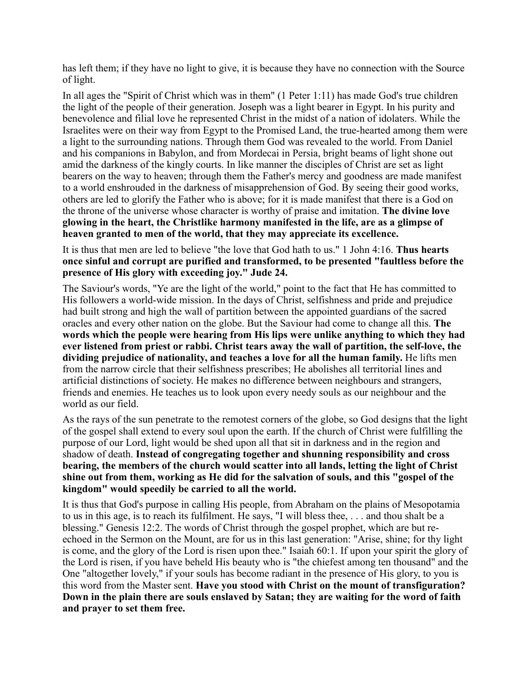has left them; if they have no light to give, it is because they have no connection with the Source of light.

In all ages the "Spirit of Christ which was in them" (1 Peter 1:11) has made God's true children the light of the people of their generation. Joseph was a light bearer in Egypt. In his purity and benevolence and filial love he represented Christ in the midst of a nation of idolaters. While the Israelites were on their way from Egypt to the Promised Land, the true-hearted among them were a light to the surrounding nations. Through them God was revealed to the world. From Daniel and his companions in Babylon, and from Mordecai in Persia, bright beams of light shone out amid the darkness of the kingly courts. In like manner the disciples of Christ are set as light bearers on the way to heaven; through them the Father's mercy and goodness are made manifest to a world enshrouded in the darkness of misapprehension of God. By seeing their good works, others are led to glorify the Father who is above; for it is made manifest that there is a God on the throne of the universe whose character is worthy of praise and imitation. **The divine love glowing in the heart, the Christlike harmony manifested in the life, are as a glimpse of heaven granted to men of the world, that they may appreciate its excellence.** 

It is thus that men are led to believe "the love that God hath to us." 1 John 4:16. **Thus hearts once sinful and corrupt are purified and transformed, to be presented "faultless before the presence of His glory with exceeding joy." Jude 24.** 

The Saviour's words, "Ye are the light of the world," point to the fact that He has committed to His followers a world-wide mission. In the days of Christ, selfishness and pride and prejudice had built strong and high the wall of partition between the appointed guardians of the sacred oracles and every other nation on the globe. But the Saviour had come to change all this. **The words which the people were hearing from His lips were unlike anything to which they had ever listened from priest or rabbi. Christ tears away the wall of partition, the self-love, the dividing prejudice of nationality, and teaches a love for all the human family.** He lifts men from the narrow circle that their selfishness prescribes; He abolishes all territorial lines and artificial distinctions of society. He makes no difference between neighbours and strangers, friends and enemies. He teaches us to look upon every needy souls as our neighbour and the world as our field.

As the rays of the sun penetrate to the remotest corners of the globe, so God designs that the light of the gospel shall extend to every soul upon the earth. If the church of Christ were fulfilling the purpose of our Lord, light would be shed upon all that sit in darkness and in the region and shadow of death. **Instead of congregating together and shunning responsibility and cross bearing, the members of the church would scatter into all lands, letting the light of Christ shine out from them, working as He did for the salvation of souls, and this "gospel of the kingdom" would speedily be carried to all the world.** 

It is thus that God's purpose in calling His people, from Abraham on the plains of Mesopotamia to us in this age, is to reach its fulfilment. He says, "I will bless thee, . . . and thou shalt be a blessing." Genesis 12:2. The words of Christ through the gospel prophet, which are but reechoed in the Sermon on the Mount, are for us in this last generation: "Arise, shine; for thy light is come, and the glory of the Lord is risen upon thee." Isaiah 60:1. If upon your spirit the glory of the Lord is risen, if you have beheld His beauty who is "the chiefest among ten thousand" and the One "altogether lovely," if your souls has become radiant in the presence of His glory, to you is this word from the Master sent. **Have you stood with Christ on the mount of transfiguration? Down in the plain there are souls enslaved by Satan; they are waiting for the word of faith and prayer to set them free.**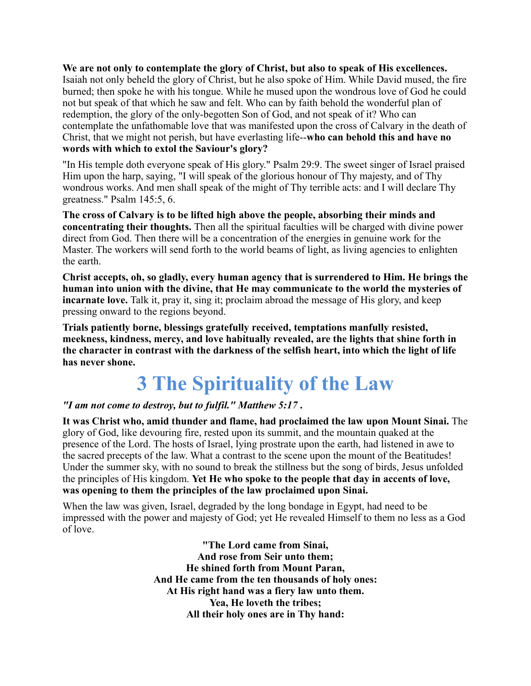**We are not only to contemplate the glory of Christ, but also to speak of His excellences.** Isaiah not only beheld the glory of Christ, but he also spoke of Him. While David mused, the fire burned; then spoke he with his tongue. While he mused upon the wondrous love of God he could not but speak of that which he saw and felt. Who can by faith behold the wonderful plan of redemption, the glory of the only-begotten Son of God, and not speak of it? Who can contemplate the unfathomable love that was manifested upon the cross of Calvary in the death of Christ, that we might not perish, but have everlasting life--**who can behold this and have no words with which to extol the Saviour's glory?** 

"In His temple doth everyone speak of His glory." Psalm 29:9. The sweet singer of Israel praised Him upon the harp, saying, "I will speak of the glorious honour of Thy majesty, and of Thy wondrous works. And men shall speak of the might of Thy terrible acts: and I will declare Thy greatness." Psalm 145:5, 6.

**The cross of Calvary is to be lifted high above the people, absorbing their minds and concentrating their thoughts.** Then all the spiritual faculties will be charged with divine power direct from God. Then there will be a concentration of the energies in genuine work for the Master. The workers will send forth to the world beams of light, as living agencies to enlighten the earth.

**Christ accepts, oh, so gladly, every human agency that is surrendered to Him. He brings the human into union with the divine, that He may communicate to the world the mysteries of incarnate love.** Talk it, pray it, sing it; proclaim abroad the message of His glory, and keep pressing onward to the regions beyond.

**Trials patiently borne, blessings gratefully received, temptations manfully resisted, meekness, kindness, mercy, and love habitually revealed, are the lights that shine forth in the character in contrast with the darkness of the selfish heart, into which the light of life has never shone.** 

## **3 The Spirituality of the Law**

#### *"I am not come to destroy, but to fulfil." Matthew 5:17* **.**

**It was Christ who, amid thunder and flame, had proclaimed the law upon Mount Sinai.** The glory of God, like devouring fire, rested upon its summit, and the mountain quaked at the presence of the Lord. The hosts of Israel, lying prostrate upon the earth, had listened in awe to the sacred precepts of the law. What a contrast to the scene upon the mount of the Beatitudes! Under the summer sky, with no sound to break the stillness but the song of birds, Jesus unfolded the principles of His kingdom. **Yet He who spoke to the people that day in accents of love, was opening to them the principles of the law proclaimed upon Sinai.** 

When the law was given, Israel, degraded by the long bondage in Egypt, had need to be impressed with the power and majesty of God; yet He revealed Himself to them no less as a God of love.

> **"The Lord came from Sinai, And rose from Seir unto them; He shined forth from Mount Paran, And He came from the ten thousands of holy ones: At His right hand was a fiery law unto them. Yea, He loveth the tribes; All their holy ones are in Thy hand:**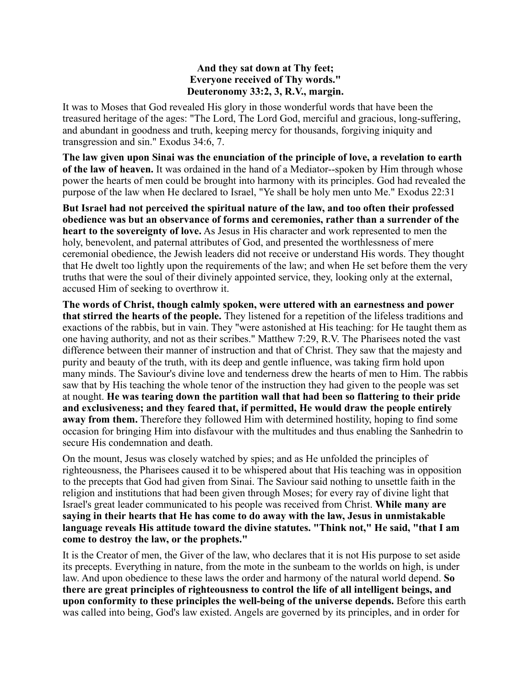#### **And they sat down at Thy feet; Everyone received of Thy words." Deuteronomy 33:2, 3, R.V., margin.**

It was to Moses that God revealed His glory in those wonderful words that have been the treasured heritage of the ages: "The Lord, The Lord God, merciful and gracious, long-suffering, and abundant in goodness and truth, keeping mercy for thousands, forgiving iniquity and transgression and sin." Exodus 34:6, 7.

**The law given upon Sinai was the enunciation of the principle of love, a revelation to earth of the law of heaven.** It was ordained in the hand of a Mediator--spoken by Him through whose power the hearts of men could be brought into harmony with its principles. God had revealed the purpose of the law when He declared to Israel, "Ye shall be holy men unto Me." Exodus 22:31

**But Israel had not perceived the spiritual nature of the law, and too often their professed obedience was but an observance of forms and ceremonies, rather than a surrender of the heart to the sovereignty of love.** As Jesus in His character and work represented to men the holy, benevolent, and paternal attributes of God, and presented the worthlessness of mere ceremonial obedience, the Jewish leaders did not receive or understand His words. They thought that He dwelt too lightly upon the requirements of the law; and when He set before them the very truths that were the soul of their divinely appointed service, they, looking only at the external, accused Him of seeking to overthrow it.

**The words of Christ, though calmly spoken, were uttered with an earnestness and power that stirred the hearts of the people.** They listened for a repetition of the lifeless traditions and exactions of the rabbis, but in vain. They "were astonished at His teaching: for He taught them as one having authority, and not as their scribes." Matthew 7:29, R.V. The Pharisees noted the vast difference between their manner of instruction and that of Christ. They saw that the majesty and purity and beauty of the truth, with its deep and gentle influence, was taking firm hold upon many minds. The Saviour's divine love and tenderness drew the hearts of men to Him. The rabbis saw that by His teaching the whole tenor of the instruction they had given to the people was set at nought. **He was tearing down the partition wall that had been so flattering to their pride and exclusiveness; and they feared that, if permitted, He would draw the people entirely away from them.** Therefore they followed Him with determined hostility, hoping to find some occasion for bringing Him into disfavour with the multitudes and thus enabling the Sanhedrin to secure His condemnation and death.

On the mount, Jesus was closely watched by spies; and as He unfolded the principles of righteousness, the Pharisees caused it to be whispered about that His teaching was in opposition to the precepts that God had given from Sinai. The Saviour said nothing to unsettle faith in the religion and institutions that had been given through Moses; for every ray of divine light that Israel's great leader communicated to his people was received from Christ. **While many are saying in their hearts that He has come to do away with the law, Jesus in unmistakable language reveals His attitude toward the divine statutes. "Think not," He said, "that I am come to destroy the law, or the prophets."** 

It is the Creator of men, the Giver of the law, who declares that it is not His purpose to set aside its precepts. Everything in nature, from the mote in the sunbeam to the worlds on high, is under law. And upon obedience to these laws the order and harmony of the natural world depend. **So there are great principles of righteousness to control the life of all intelligent beings, and upon conformity to these principles the well-being of the universe depends.** Before this earth was called into being, God's law existed. Angels are governed by its principles, and in order for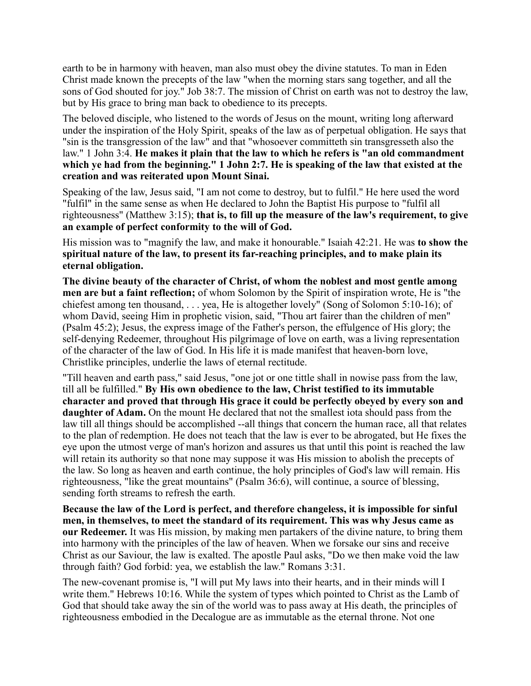earth to be in harmony with heaven, man also must obey the divine statutes. To man in Eden Christ made known the precepts of the law "when the morning stars sang together, and all the sons of God shouted for joy." Job 38:7. The mission of Christ on earth was not to destroy the law, but by His grace to bring man back to obedience to its precepts.

The beloved disciple, who listened to the words of Jesus on the mount, writing long afterward under the inspiration of the Holy Spirit, speaks of the law as of perpetual obligation. He says that "sin is the transgression of the law" and that "whosoever committeth sin transgresseth also the law." 1 John 3:4. **He makes it plain that the law to which he refers is "an old commandment which ye had from the beginning." 1 John 2:7. He is speaking of the law that existed at the creation and was reiterated upon Mount Sinai.** 

Speaking of the law, Jesus said, "I am not come to destroy, but to fulfil." He here used the word "fulfil" in the same sense as when He declared to John the Baptist His purpose to "fulfil all righteousness" (Matthew 3:15); **that is, to fill up the measure of the law's requirement, to give an example of perfect conformity to the will of God.** 

His mission was to "magnify the law, and make it honourable." Isaiah 42:21. He was **to show the spiritual nature of the law, to present its far-reaching principles, and to make plain its eternal obligation.**

**The divine beauty of the character of Christ, of whom the noblest and most gentle among men are but a faint reflection;** of whom Solomon by the Spirit of inspiration wrote, He is "the chiefest among ten thousand, . . . yea, He is altogether lovely" (Song of Solomon 5:10-16); of whom David, seeing Him in prophetic vision, said, "Thou art fairer than the children of men" (Psalm 45:2); Jesus, the express image of the Father's person, the effulgence of His glory; the self-denying Redeemer, throughout His pilgrimage of love on earth, was a living representation of the character of the law of God. In His life it is made manifest that heaven-born love, Christlike principles, underlie the laws of eternal rectitude.

"Till heaven and earth pass," said Jesus, "one jot or one tittle shall in nowise pass from the law, till all be fulfilled." **By His own obedience to the law, Christ testified to its immutable character and proved that through His grace it could be perfectly obeyed by every son and daughter of Adam.** On the mount He declared that not the smallest iota should pass from the law till all things should be accomplished --all things that concern the human race, all that relates to the plan of redemption. He does not teach that the law is ever to be abrogated, but He fixes the eye upon the utmost verge of man's horizon and assures us that until this point is reached the law will retain its authority so that none may suppose it was His mission to abolish the precepts of the law. So long as heaven and earth continue, the holy principles of God's law will remain. His righteousness, "like the great mountains" (Psalm 36:6), will continue, a source of blessing, sending forth streams to refresh the earth.

**Because the law of the Lord is perfect, and therefore changeless, it is impossible for sinful men, in themselves, to meet the standard of its requirement. This was why Jesus came as our Redeemer.** It was His mission, by making men partakers of the divine nature, to bring them into harmony with the principles of the law of heaven. When we forsake our sins and receive Christ as our Saviour, the law is exalted. The apostle Paul asks, "Do we then make void the law through faith? God forbid: yea, we establish the law." Romans 3:31.

The new-covenant promise is, "I will put My laws into their hearts, and in their minds will I write them." Hebrews 10:16. While the system of types which pointed to Christ as the Lamb of God that should take away the sin of the world was to pass away at His death, the principles of righteousness embodied in the Decalogue are as immutable as the eternal throne. Not one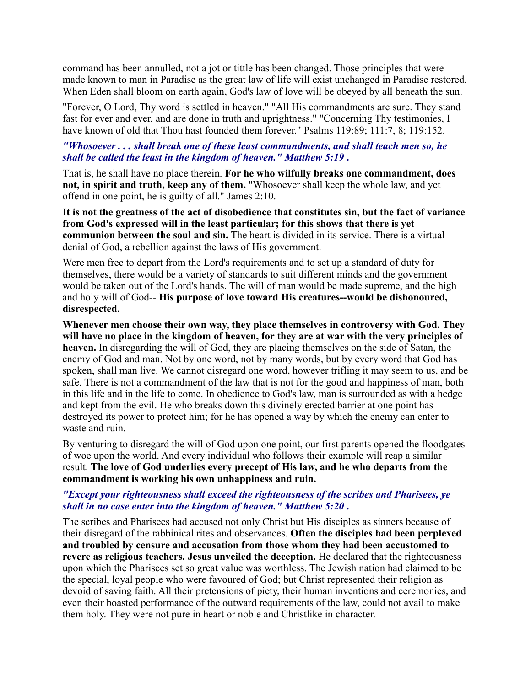command has been annulled, not a jot or tittle has been changed. Those principles that were made known to man in Paradise as the great law of life will exist unchanged in Paradise restored. When Eden shall bloom on earth again, God's law of love will be obeyed by all beneath the sun.

"Forever, O Lord, Thy word is settled in heaven." "All His commandments are sure. They stand fast for ever and ever, and are done in truth and uprightness." "Concerning Thy testimonies, I have known of old that Thou hast founded them forever." Psalms 119:89: 111:7, 8: 119:152.

#### *"Whosoever . . . shall break one of these least commandments, and shall teach men so, he shall be called the least in the kingdom of heaven." Matthew 5:19* **.**

That is, he shall have no place therein. **For he who wilfully breaks one commandment, does not, in spirit and truth, keep any of them.** "Whosoever shall keep the whole law, and yet offend in one point, he is guilty of all." James 2:10.

**It is not the greatness of the act of disobedience that constitutes sin, but the fact of variance from God's expressed will in the least particular; for this shows that there is yet communion between the soul and sin.** The heart is divided in its service. There is a virtual denial of God, a rebellion against the laws of His government.

Were men free to depart from the Lord's requirements and to set up a standard of duty for themselves, there would be a variety of standards to suit different minds and the government would be taken out of the Lord's hands. The will of man would be made supreme, and the high and holy will of God-- **His purpose of love toward His creatures--would be dishonoured, disrespected.** 

**Whenever men choose their own way, they place themselves in controversy with God. They will have no place in the kingdom of heaven, for they are at war with the very principles of heaven.** In disregarding the will of God, they are placing themselves on the side of Satan, the enemy of God and man. Not by one word, not by many words, but by every word that God has spoken, shall man live. We cannot disregard one word, however trifling it may seem to us, and be safe. There is not a commandment of the law that is not for the good and happiness of man, both in this life and in the life to come. In obedience to God's law, man is surrounded as with a hedge and kept from the evil. He who breaks down this divinely erected barrier at one point has destroyed its power to protect him; for he has opened a way by which the enemy can enter to waste and ruin.

By venturing to disregard the will of God upon one point, our first parents opened the floodgates of woe upon the world. And every individual who follows their example will reap a similar result. **The love of God underlies every precept of His law, and he who departs from the commandment is working his own unhappiness and ruin.** 

#### *"Except your righteousness shall exceed the righteousness of the scribes and Pharisees, ye shall in no case enter into the kingdom of heaven." Matthew 5:20* **.**

The scribes and Pharisees had accused not only Christ but His disciples as sinners because of their disregard of the rabbinical rites and observances. **Often the disciples had been perplexed and troubled by censure and accusation from those whom they had been accustomed to revere as religious teachers. Jesus unveiled the deception.** He declared that the righteousness upon which the Pharisees set so great value was worthless. The Jewish nation had claimed to be the special, loyal people who were favoured of God; but Christ represented their religion as devoid of saving faith. All their pretensions of piety, their human inventions and ceremonies, and even their boasted performance of the outward requirements of the law, could not avail to make them holy. They were not pure in heart or noble and Christlike in character.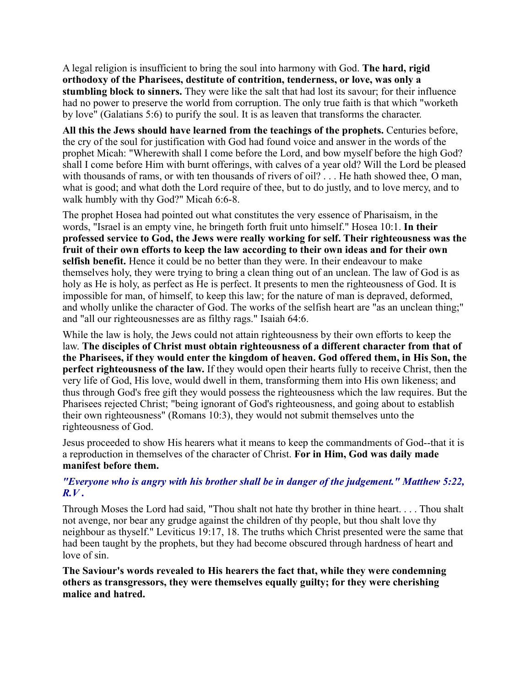A legal religion is insufficient to bring the soul into harmony with God. **The hard, rigid orthodoxy of the Pharisees, destitute of contrition, tenderness, or love, was only a stumbling block to sinners.** They were like the salt that had lost its savour; for their influence had no power to preserve the world from corruption. The only true faith is that which "worketh by love" (Galatians 5:6) to purify the soul. It is as leaven that transforms the character.

**All this the Jews should have learned from the teachings of the prophets.** Centuries before, the cry of the soul for justification with God had found voice and answer in the words of the prophet Micah: "Wherewith shall I come before the Lord, and bow myself before the high God? shall I come before Him with burnt offerings, with calves of a year old? Will the Lord be pleased with thousands of rams, or with ten thousands of rivers of oil? . . . He hath showed thee, O man, what is good; and what doth the Lord require of thee, but to do justly, and to love mercy, and to walk humbly with thy God?" Micah 6:6-8.

The prophet Hosea had pointed out what constitutes the very essence of Pharisaism, in the words, "Israel is an empty vine, he bringeth forth fruit unto himself." Hosea 10:1. **In their professed service to God, the Jews were really working for self. Their righteousness was the fruit of their own efforts to keep the law according to their own ideas and for their own selfish benefit.** Hence it could be no better than they were. In their endeavour to make themselves holy, they were trying to bring a clean thing out of an unclean. The law of God is as holy as He is holy, as perfect as He is perfect. It presents to men the righteousness of God. It is impossible for man, of himself, to keep this law; for the nature of man is depraved, deformed, and wholly unlike the character of God. The works of the selfish heart are "as an unclean thing;" and "all our righteousnesses are as filthy rags." Isaiah 64:6.

While the law is holy, the Jews could not attain righteousness by their own efforts to keep the law. **The disciples of Christ must obtain righteousness of a different character from that of the Pharisees, if they would enter the kingdom of heaven. God offered them, in His Son, the perfect righteousness of the law.** If they would open their hearts fully to receive Christ, then the very life of God, His love, would dwell in them, transforming them into His own likeness; and thus through God's free gift they would possess the righteousness which the law requires. But the Pharisees rejected Christ; "being ignorant of God's righteousness, and going about to establish their own righteousness" (Romans 10:3), they would not submit themselves unto the righteousness of God.

Jesus proceeded to show His hearers what it means to keep the commandments of God--that it is a reproduction in themselves of the character of Christ. **For in Him, God was daily made manifest before them.**

#### *"Everyone who is angry with his brother shall be in danger of the judgement." Matthew 5:22,*  $R.V.$

Through Moses the Lord had said, "Thou shalt not hate thy brother in thine heart. . . . Thou shalt not avenge, nor bear any grudge against the children of thy people, but thou shalt love thy neighbour as thyself." Leviticus 19:17, 18. The truths which Christ presented were the same that had been taught by the prophets, but they had become obscured through hardness of heart and love of sin.

**The Saviour's words revealed to His hearers the fact that, while they were condemning others as transgressors, they were themselves equally guilty; for they were cherishing malice and hatred.**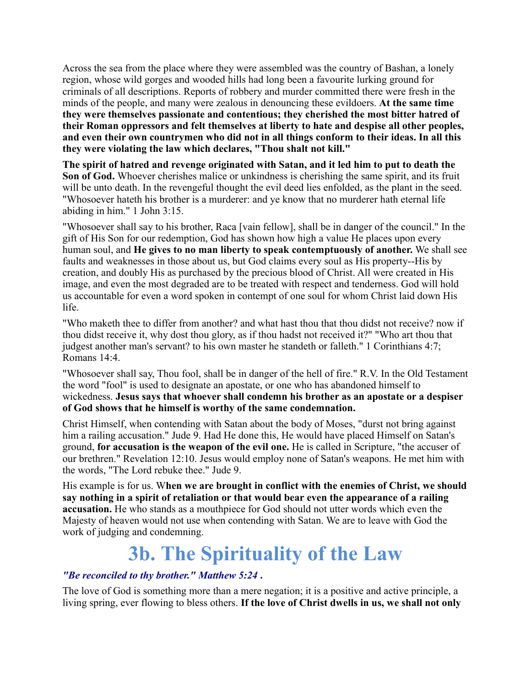Across the sea from the place where they were assembled was the country of Bashan, a lonely region, whose wild gorges and wooded hills had long been a favourite lurking ground for criminals of all descriptions. Reports of robbery and murder committed there were fresh in the minds of the people, and many were zealous in denouncing these evildoers. **At the same time they were themselves passionate and contentious; they cherished the most bitter hatred of their Roman oppressors and felt themselves at liberty to hate and despise all other peoples, and even their own countrymen who did not in all things conform to their ideas. In all this they were violating the law which declares, "Thou shalt not kill."** 

**The spirit of hatred and revenge originated with Satan, and it led him to put to death the Son of God.** Whoever cherishes malice or unkindness is cherishing the same spirit, and its fruit will be unto death. In the revengeful thought the evil deed lies enfolded, as the plant in the seed. "Whosoever hateth his brother is a murderer: and ye know that no murderer hath eternal life abiding in him." 1 John 3:15.

"Whosoever shall say to his brother, Raca [vain fellow], shall be in danger of the council." In the gift of His Son for our redemption, God has shown how high a value He places upon every human soul, and **He gives to no man liberty to speak contemptuously of another.** We shall see faults and weaknesses in those about us, but God claims every soul as His property--His by creation, and doubly His as purchased by the precious blood of Christ. All were created in His image, and even the most degraded are to be treated with respect and tenderness. God will hold us accountable for even a word spoken in contempt of one soul for whom Christ laid down His life.

"Who maketh thee to differ from another? and what hast thou that thou didst not receive? now if thou didst receive it, why dost thou glory, as if thou hadst not received it?" "Who art thou that judgest another man's servant? to his own master he standeth or falleth." 1 Corinthians 4:7; Romans 14:4.

"Whosoever shall say, Thou fool, shall be in danger of the hell of fire." R.V. In the Old Testament the word "fool" is used to designate an apostate, or one who has abandoned himself to wickedness. **Jesus says that whoever shall condemn his brother as an apostate or a despiser of God shows that he himself is worthy of the same condemnation.**

Christ Himself, when contending with Satan about the body of Moses, "durst not bring against him a railing accusation." Jude 9. Had He done this, He would have placed Himself on Satan's ground, **for accusation is the weapon of the evil one.** He is called in Scripture, "the accuser of our brethren." Revelation 12:10. Jesus would employ none of Satan's weapons. He met him with the words, "The Lord rebuke thee." Jude 9.

His example is for us. W**hen we are brought in conflict with the enemies of Christ, we should say nothing in a spirit of retaliation or that would bear even the appearance of a railing accusation.** He who stands as a mouthpiece for God should not utter words which even the Majesty of heaven would not use when contending with Satan. We are to leave with God the work of judging and condemning.

# **3b. The Spirituality of the Law**

#### *"Be reconciled to thy brother." Matthew 5:24* **.**

The love of God is something more than a mere negation; it is a positive and active principle, a living spring, ever flowing to bless others. **If the love of Christ dwells in us, we shall not only**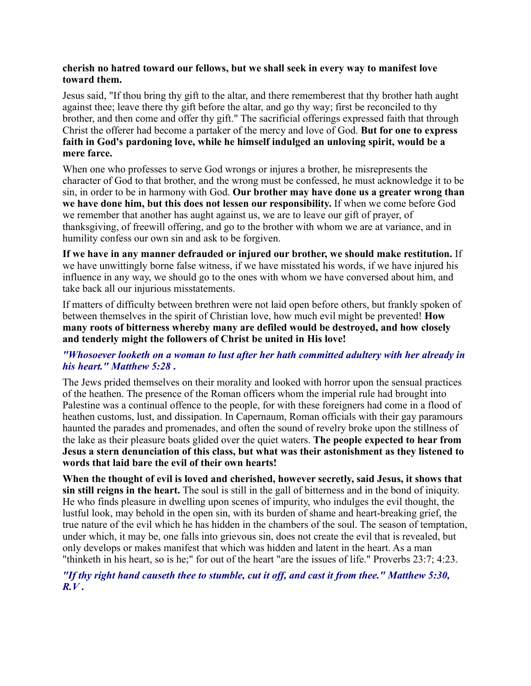#### **cherish no hatred toward our fellows, but we shall seek in every way to manifest love toward them.**

Jesus said, "If thou bring thy gift to the altar, and there rememberest that thy brother hath aught against thee; leave there thy gift before the altar, and go thy way; first be reconciled to thy brother, and then come and offer thy gift." The sacrificial offerings expressed faith that through Christ the offerer had become a partaker of the mercy and love of God. **But for one to express faith in God's pardoning love, while he himself indulged an unloving spirit, would be a mere farce.** 

When one who professes to serve God wrongs or injures a brother, he misrepresents the character of God to that brother, and the wrong must be confessed, he must acknowledge it to be sin, in order to be in harmony with God. **Our brother may have done us a greater wrong than we have done him, but this does not lessen our responsibility.** If when we come before God we remember that another has aught against us, we are to leave our gift of prayer, of thanksgiving, of freewill offering, and go to the brother with whom we are at variance, and in humility confess our own sin and ask to be forgiven.

**If we have in any manner defrauded or injured our brother, we should make restitution.** If we have unwittingly borne false witness, if we have misstated his words, if we have injured his influence in any way, we should go to the ones with whom we have conversed about him, and take back all our injurious misstatements.

If matters of difficulty between brethren were not laid open before others, but frankly spoken of between themselves in the spirit of Christian love, how much evil might be prevented! **How many roots of bitterness whereby many are defiled would be destroyed, and how closely and tenderly might the followers of Christ be united in His love!** 

#### *"Whosoever looketh on a woman to lust after her hath committed adultery with her already in his heart." Matthew 5:28* **.**

The Jews prided themselves on their morality and looked with horror upon the sensual practices of the heathen. The presence of the Roman officers whom the imperial rule had brought into Palestine was a continual offence to the people, for with these foreigners had come in a flood of heathen customs, lust, and dissipation. In Capernaum, Roman officials with their gay paramours haunted the parades and promenades, and often the sound of revelry broke upon the stillness of the lake as their pleasure boats glided over the quiet waters. **The people expected to hear from Jesus a stern denunciation of this class, but what was their astonishment as they listened to words that laid bare the evil of their own hearts!** 

**When the thought of evil is loved and cherished, however secretly, said Jesus, it shows that sin still reigns in the heart.** The soul is still in the gall of bitterness and in the bond of iniquity. He who finds pleasure in dwelling upon scenes of impurity, who indulges the evil thought, the lustful look, may behold in the open sin, with its burden of shame and heart-breaking grief, the true nature of the evil which he has hidden in the chambers of the soul. The season of temptation, under which, it may be, one falls into grievous sin, does not create the evil that is revealed, but only develops or makes manifest that which was hidden and latent in the heart. As a man "thinketh in his heart, so is he;" for out of the heart "are the issues of life." Proverbs 23:7; 4:23.

#### *"If thy right hand causeth thee to stumble, cut it off, and cast it from thee." Matthew 5:30, R.V* **.**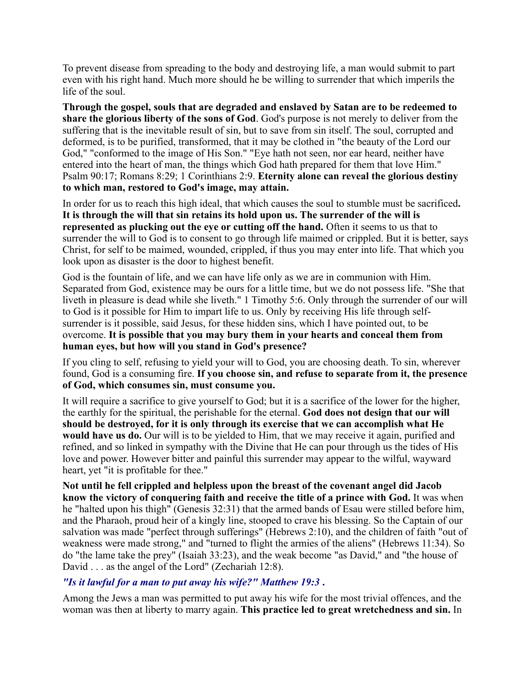To prevent disease from spreading to the body and destroying life, a man would submit to part even with his right hand. Much more should he be willing to surrender that which imperils the life of the soul.

**Through the gospel, souls that are degraded and enslaved by Satan are to be redeemed to share the glorious liberty of the sons of God**. God's purpose is not merely to deliver from the suffering that is the inevitable result of sin, but to save from sin itself. The soul, corrupted and deformed, is to be purified, transformed, that it may be clothed in "the beauty of the Lord our God," "conformed to the image of His Son." "Eye hath not seen, nor ear heard, neither have entered into the heart of man, the things which God hath prepared for them that love Him." Psalm 90:17; Romans 8:29; 1 Corinthians 2:9. **Eternity alone can reveal the glorious destiny to which man, restored to God's image, may attain.** 

In order for us to reach this high ideal, that which causes the soul to stumble must be sacrificed**. It is through the will that sin retains its hold upon us. The surrender of the will is represented as plucking out the eye or cutting off the hand.** Often it seems to us that to surrender the will to God is to consent to go through life maimed or crippled. But it is better, says Christ, for self to be maimed, wounded, crippled, if thus you may enter into life. That which you look upon as disaster is the door to highest benefit.

God is the fountain of life, and we can have life only as we are in communion with Him. Separated from God, existence may be ours for a little time, but we do not possess life. "She that liveth in pleasure is dead while she liveth." 1 Timothy 5:6. Only through the surrender of our will to God is it possible for Him to impart life to us. Only by receiving His life through selfsurrender is it possible, said Jesus, for these hidden sins, which I have pointed out, to be overcome. **It is possible that you may bury them in your hearts and conceal them from human eyes, but how will you stand in God's presence?**

If you cling to self, refusing to yield your will to God, you are choosing death. To sin, wherever found, God is a consuming fire. **If you choose sin, and refuse to separate from it, the presence of God, which consumes sin, must consume you.** 

It will require a sacrifice to give yourself to God; but it is a sacrifice of the lower for the higher, the earthly for the spiritual, the perishable for the eternal. **God does not design that our will should be destroyed, for it is only through its exercise that we can accomplish what He would have us do.** Our will is to be yielded to Him, that we may receive it again, purified and refined, and so linked in sympathy with the Divine that He can pour through us the tides of His love and power. However bitter and painful this surrender may appear to the wilful, wayward heart, yet "it is profitable for thee."

**Not until he fell crippled and helpless upon the breast of the covenant angel did Jacob know the victory of conquering faith and receive the title of a prince with God.** It was when he "halted upon his thigh" (Genesis 32:31) that the armed bands of Esau were stilled before him, and the Pharaoh, proud heir of a kingly line, stooped to crave his blessing. So the Captain of our salvation was made "perfect through sufferings" (Hebrews 2:10), and the children of faith "out of weakness were made strong," and "turned to flight the armies of the aliens" (Hebrews 11:34). So do "the lame take the prey" (Isaiah 33:23), and the weak become "as David," and "the house of David . . . as the angel of the Lord" (Zechariah 12:8).

#### *"Is it lawful for a man to put away his wife?" Matthew 19:3* **.**

Among the Jews a man was permitted to put away his wife for the most trivial offences, and the woman was then at liberty to marry again. **This practice led to great wretchedness and sin.** In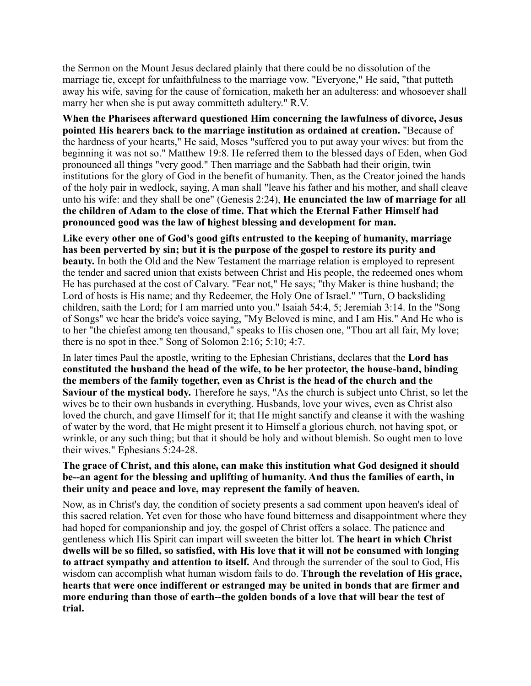the Sermon on the Mount Jesus declared plainly that there could be no dissolution of the marriage tie, except for unfaithfulness to the marriage vow. "Everyone," He said, "that putteth away his wife, saving for the cause of fornication, maketh her an adulteress: and whosoever shall marry her when she is put away committeth adultery." R.V.

**When the Pharisees afterward questioned Him concerning the lawfulness of divorce, Jesus pointed His hearers back to the marriage institution as ordained at creation.** "Because of the hardness of your hearts," He said, Moses "suffered you to put away your wives: but from the beginning it was not so." Matthew 19:8. He referred them to the blessed days of Eden, when God pronounced all things "very good." Then marriage and the Sabbath had their origin, twin institutions for the glory of God in the benefit of humanity. Then, as the Creator joined the hands of the holy pair in wedlock, saying, A man shall "leave his father and his mother, and shall cleave unto his wife: and they shall be one" (Genesis 2:24), **He enunciated the law of marriage for all the children of Adam to the close of time. That which the Eternal Father Himself had pronounced good was the law of highest blessing and development for man.** 

**Like every other one of God's good gifts entrusted to the keeping of humanity, marriage has been perverted by sin; but it is the purpose of the gospel to restore its purity and beauty.** In both the Old and the New Testament the marriage relation is employed to represent the tender and sacred union that exists between Christ and His people, the redeemed ones whom He has purchased at the cost of Calvary. "Fear not," He says; "thy Maker is thine husband; the Lord of hosts is His name; and thy Redeemer, the Holy One of Israel." "Turn, O backsliding children, saith the Lord; for I am married unto you." Isaiah 54:4, 5; Jeremiah 3:14. In the "Song of Songs" we hear the bride's voice saying, "My Beloved is mine, and I am His." And He who is to her "the chiefest among ten thousand," speaks to His chosen one, "Thou art all fair, My love; there is no spot in thee." Song of Solomon 2:16; 5:10; 4:7.

In later times Paul the apostle, writing to the Ephesian Christians, declares that the **Lord has constituted the husband the head of the wife, to be her protector, the house-band, binding the members of the family together, even as Christ is the head of the church and the Saviour of the mystical body.** Therefore he says, "As the church is subject unto Christ, so let the wives be to their own husbands in everything. Husbands, love your wives, even as Christ also loved the church, and gave Himself for it; that He might sanctify and cleanse it with the washing of water by the word, that He might present it to Himself a glorious church, not having spot, or wrinkle, or any such thing; but that it should be holy and without blemish. So ought men to love their wives." Ephesians 5:24-28.

#### **The grace of Christ, and this alone, can make this institution what God designed it should be--an agent for the blessing and uplifting of humanity. And thus the families of earth, in their unity and peace and love, may represent the family of heaven.**

Now, as in Christ's day, the condition of society presents a sad comment upon heaven's ideal of this sacred relation. Yet even for those who have found bitterness and disappointment where they had hoped for companionship and joy, the gospel of Christ offers a solace. The patience and gentleness which His Spirit can impart will sweeten the bitter lot. **The heart in which Christ dwells will be so filled, so satisfied, with His love that it will not be consumed with longing to attract sympathy and attention to itself.** And through the surrender of the soul to God, His wisdom can accomplish what human wisdom fails to do. **Through the revelation of His grace, hearts that were once indifferent or estranged may be united in bonds that are firmer and more enduring than those of earth--the golden bonds of a love that will bear the test of trial.**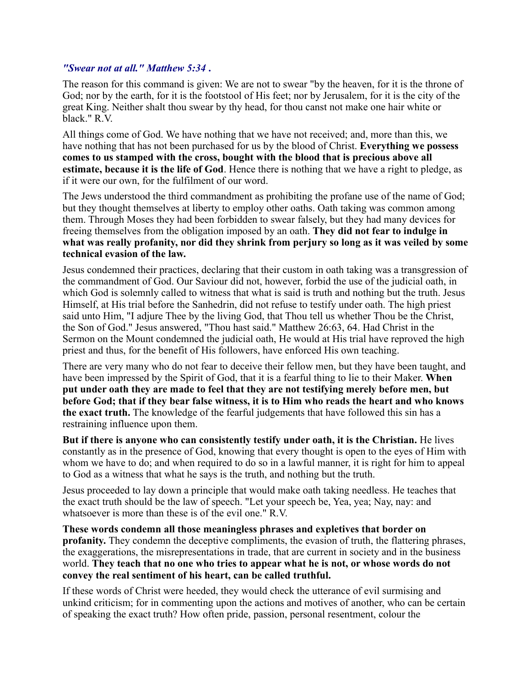#### *"Swear not at all." Matthew 5:34* **.**

The reason for this command is given: We are not to swear "by the heaven, for it is the throne of God; nor by the earth, for it is the footstool of His feet; nor by Jerusalem, for it is the city of the great King. Neither shalt thou swear by thy head, for thou canst not make one hair white or black." R.V.

All things come of God. We have nothing that we have not received; and, more than this, we have nothing that has not been purchased for us by the blood of Christ. **Everything we possess comes to us stamped with the cross, bought with the blood that is precious above all estimate, because it is the life of God**. Hence there is nothing that we have a right to pledge, as if it were our own, for the fulfilment of our word.

The Jews understood the third commandment as prohibiting the profane use of the name of God; but they thought themselves at liberty to employ other oaths. Oath taking was common among them. Through Moses they had been forbidden to swear falsely, but they had many devices for freeing themselves from the obligation imposed by an oath. **They did not fear to indulge in what was really profanity, nor did they shrink from perjury so long as it was veiled by some technical evasion of the law.** 

Jesus condemned their practices, declaring that their custom in oath taking was a transgression of the commandment of God. Our Saviour did not, however, forbid the use of the judicial oath, in which God is solemnly called to witness that what is said is truth and nothing but the truth. Jesus Himself, at His trial before the Sanhedrin, did not refuse to testify under oath. The high priest said unto Him, "I adjure Thee by the living God, that Thou tell us whether Thou be the Christ, the Son of God." Jesus answered, "Thou hast said." Matthew 26:63, 64. Had Christ in the Sermon on the Mount condemned the judicial oath, He would at His trial have reproved the high priest and thus, for the benefit of His followers, have enforced His own teaching.

There are very many who do not fear to deceive their fellow men, but they have been taught, and have been impressed by the Spirit of God, that it is a fearful thing to lie to their Maker. **When put under oath they are made to feel that they are not testifying merely before men, but before God; that if they bear false witness, it is to Him who reads the heart and who knows the exact truth.** The knowledge of the fearful judgements that have followed this sin has a restraining influence upon them.

**But if there is anyone who can consistently testify under oath, it is the Christian.** He lives constantly as in the presence of God, knowing that every thought is open to the eyes of Him with whom we have to do; and when required to do so in a lawful manner, it is right for him to appeal to God as a witness that what he says is the truth, and nothing but the truth.

Jesus proceeded to lay down a principle that would make oath taking needless. He teaches that the exact truth should be the law of speech. "Let your speech be, Yea, yea; Nay, nay: and whatsoever is more than these is of the evil one." R.V.

**These words condemn all those meaningless phrases and expletives that border on profanity.** They condemn the deceptive compliments, the evasion of truth, the flattering phrases, the exaggerations, the misrepresentations in trade, that are current in society and in the business world. **They teach that no one who tries to appear what he is not, or whose words do not convey the real sentiment of his heart, can be called truthful.** 

If these words of Christ were heeded, they would check the utterance of evil surmising and unkind criticism; for in commenting upon the actions and motives of another, who can be certain of speaking the exact truth? How often pride, passion, personal resentment, colour the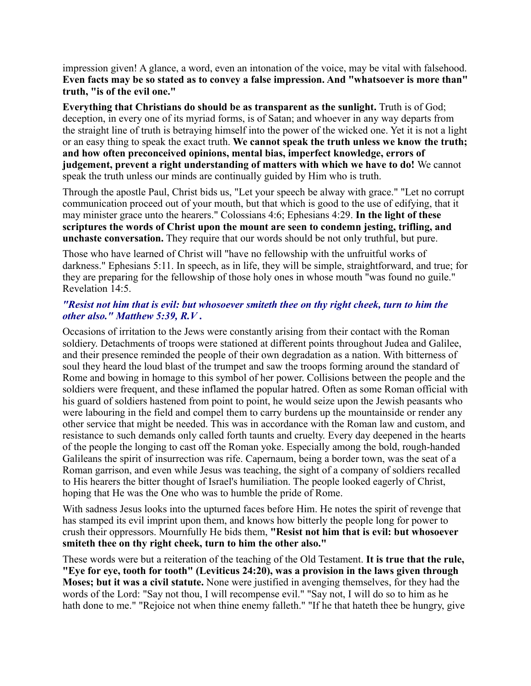impression given! A glance, a word, even an intonation of the voice, may be vital with falsehood. **Even facts may be so stated as to convey a false impression. And "whatsoever is more than" truth, "is of the evil one."** 

**Everything that Christians do should be as transparent as the sunlight.** Truth is of God; deception, in every one of its myriad forms, is of Satan; and whoever in any way departs from the straight line of truth is betraying himself into the power of the wicked one. Yet it is not a light or an easy thing to speak the exact truth. **We cannot speak the truth unless we know the truth; and how often preconceived opinions, mental bias, imperfect knowledge, errors of judgement, prevent a right understanding of matters with which we have to do!** We cannot speak the truth unless our minds are continually guided by Him who is truth.

Through the apostle Paul, Christ bids us, "Let your speech be alway with grace." "Let no corrupt communication proceed out of your mouth, but that which is good to the use of edifying, that it may minister grace unto the hearers." Colossians 4:6; Ephesians 4:29. **In the light of these scriptures the words of Christ upon the mount are seen to condemn jesting, trifling, and unchaste conversation.** They require that our words should be not only truthful, but pure.

Those who have learned of Christ will "have no fellowship with the unfruitful works of darkness." Ephesians 5:11. In speech, as in life, they will be simple, straightforward, and true; for they are preparing for the fellowship of those holy ones in whose mouth "was found no guile." Revelation 14:5.

#### *"Resist not him that is evil: but whosoever smiteth thee on thy right cheek, turn to him the other also." Matthew 5:39, R.V* **.**

Occasions of irritation to the Jews were constantly arising from their contact with the Roman soldiery. Detachments of troops were stationed at different points throughout Judea and Galilee, and their presence reminded the people of their own degradation as a nation. With bitterness of soul they heard the loud blast of the trumpet and saw the troops forming around the standard of Rome and bowing in homage to this symbol of her power. Collisions between the people and the soldiers were frequent, and these inflamed the popular hatred. Often as some Roman official with his guard of soldiers hastened from point to point, he would seize upon the Jewish peasants who were labouring in the field and compel them to carry burdens up the mountainside or render any other service that might be needed. This was in accordance with the Roman law and custom, and resistance to such demands only called forth taunts and cruelty. Every day deepened in the hearts of the people the longing to cast off the Roman yoke. Especially among the bold, rough-handed Galileans the spirit of insurrection was rife. Capernaum, being a border town, was the seat of a Roman garrison, and even while Jesus was teaching, the sight of a company of soldiers recalled to His hearers the bitter thought of Israel's humiliation. The people looked eagerly of Christ, hoping that He was the One who was to humble the pride of Rome.

With sadness Jesus looks into the upturned faces before Him. He notes the spirit of revenge that has stamped its evil imprint upon them, and knows how bitterly the people long for power to crush their oppressors. Mournfully He bids them, **"Resist not him that is evil: but whosoever smiteth thee on thy right cheek, turn to him the other also."** 

These words were but a reiteration of the teaching of the Old Testament. **It is true that the rule, "Eye for eye, tooth for tooth" (Leviticus 24:20), was a provision in the laws given through Moses; but it was a civil statute.** None were justified in avenging themselves, for they had the words of the Lord: "Say not thou, I will recompense evil." "Say not, I will do so to him as he hath done to me." "Rejoice not when thine enemy falleth." "If he that hateth thee be hungry, give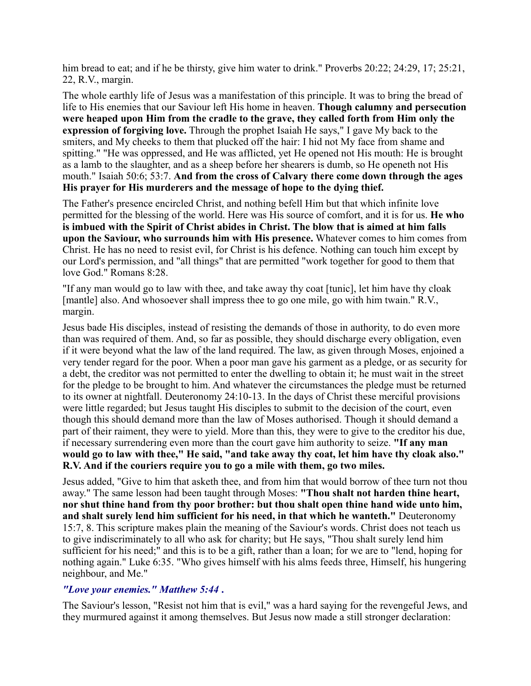him bread to eat; and if he be thirsty, give him water to drink." Proverbs 20:22; 24:29, 17; 25:21, 22, R.V., margin.

The whole earthly life of Jesus was a manifestation of this principle. It was to bring the bread of life to His enemies that our Saviour left His home in heaven. **Though calumny and persecution were heaped upon Him from the cradle to the grave, they called forth from Him only the expression of forgiving love.** Through the prophet Isaiah He says," I gave My back to the smiters, and My cheeks to them that plucked off the hair: I hid not My face from shame and spitting." "He was oppressed, and He was afflicted, yet He opened not His mouth: He is brought as a lamb to the slaughter, and as a sheep before her shearers is dumb, so He openeth not His mouth." Isaiah 50:6; 53:7. **And from the cross of Calvary there come down through the ages His prayer for His murderers and the message of hope to the dying thief.** 

The Father's presence encircled Christ, and nothing befell Him but that which infinite love permitted for the blessing of the world. Here was His source of comfort, and it is for us. **He who is imbued with the Spirit of Christ abides in Christ. The blow that is aimed at him falls upon the Saviour, who surrounds him with His presence.** Whatever comes to him comes from Christ. He has no need to resist evil, for Christ is his defence. Nothing can touch him except by our Lord's permission, and "all things" that are permitted "work together for good to them that love God." Romans 8:28.

"If any man would go to law with thee, and take away thy coat [tunic], let him have thy cloak [mantle] also. And whosoever shall impress thee to go one mile, go with him twain." R.V., margin.

Jesus bade His disciples, instead of resisting the demands of those in authority, to do even more than was required of them. And, so far as possible, they should discharge every obligation, even if it were beyond what the law of the land required. The law, as given through Moses, enjoined a very tender regard for the poor. When a poor man gave his garment as a pledge, or as security for a debt, the creditor was not permitted to enter the dwelling to obtain it; he must wait in the street for the pledge to be brought to him. And whatever the circumstances the pledge must be returned to its owner at nightfall. Deuteronomy 24:10-13. In the days of Christ these merciful provisions were little regarded; but Jesus taught His disciples to submit to the decision of the court, even though this should demand more than the law of Moses authorised. Though it should demand a part of their raiment, they were to yield. More than this, they were to give to the creditor his due, if necessary surrendering even more than the court gave him authority to seize. **"If any man would go to law with thee," He said, "and take away thy coat, let him have thy cloak also." R.V. And if the couriers require you to go a mile with them, go two miles.** 

Jesus added, "Give to him that asketh thee, and from him that would borrow of thee turn not thou away." The same lesson had been taught through Moses: **"Thou shalt not harden thine heart, nor shut thine hand from thy poor brother: but thou shalt open thine hand wide unto him, and shalt surely lend him sufficient for his need, in that which he wanteth."** Deuteronomy 15:7, 8. This scripture makes plain the meaning of the Saviour's words. Christ does not teach us to give indiscriminately to all who ask for charity; but He says, "Thou shalt surely lend him sufficient for his need;" and this is to be a gift, rather than a loan; for we are to "lend, hoping for nothing again." Luke 6:35. "Who gives himself with his alms feeds three, Himself, his hungering neighbour, and Me."

#### *"Love your enemies." Matthew 5:44* **.**

The Saviour's lesson, "Resist not him that is evil," was a hard saying for the revengeful Jews, and they murmured against it among themselves. But Jesus now made a still stronger declaration: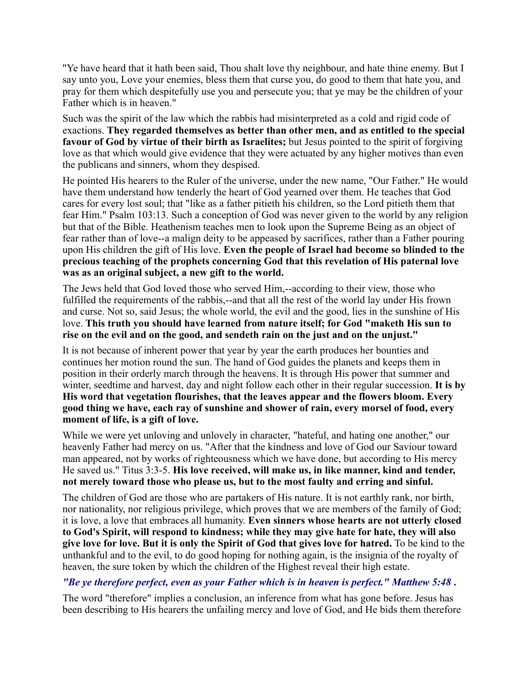"Ye have heard that it hath been said, Thou shalt love thy neighbour, and hate thine enemy. But I say unto you, Love your enemies, bless them that curse you, do good to them that hate you, and pray for them which despitefully use you and persecute you; that ye may be the children of your Father which is in heaven."

Such was the spirit of the law which the rabbis had misinterpreted as a cold and rigid code of exactions. **They regarded themselves as better than other men, and as entitled to the special favour of God by virtue of their birth as Israelites;** but Jesus pointed to the spirit of forgiving love as that which would give evidence that they were actuated by any higher motives than even the publicans and sinners, whom they despised.

He pointed His hearers to the Ruler of the universe, under the new name, "Our Father." He would have them understand how tenderly the heart of God yearned over them. He teaches that God cares for every lost soul; that "like as a father pitieth his children, so the Lord pitieth them that fear Him." Psalm 103:13. Such a conception of God was never given to the world by any religion but that of the Bible. Heathenism teaches men to look upon the Supreme Being as an object of fear rather than of love--a malign deity to be appeased by sacrifices, rather than a Father pouring upon His children the gift of His love. **Even the people of Israel had become so blinded to the precious teaching of the prophets concerning God that this revelation of His paternal love was as an original subject, a new gift to the world.** 

The Jews held that God loved those who served Him,--according to their view, those who fulfilled the requirements of the rabbis,--and that all the rest of the world lay under His frown and curse. Not so, said Jesus; the whole world, the evil and the good, lies in the sunshine of His love. **This truth you should have learned from nature itself; for God "maketh His sun to rise on the evil and on the good, and sendeth rain on the just and on the unjust."** 

It is not because of inherent power that year by year the earth produces her bounties and continues her motion round the sun. The hand of God guides the planets and keeps them in position in their orderly march through the heavens. It is through His power that summer and winter, seedtime and harvest, day and night follow each other in their regular succession. **It is by His word that vegetation flourishes, that the leaves appear and the flowers bloom. Every good thing we have, each ray of sunshine and shower of rain, every morsel of food, every moment of life, is a gift of love.**

While we were yet unloving and unlovely in character, "hateful, and hating one another," our heavenly Father had mercy on us. "After that the kindness and love of God our Saviour toward man appeared, not by works of righteousness which we have done, but according to His mercy He saved us." Titus 3:3-5. **His love received, will make us, in like manner, kind and tender, not merely toward those who please us, but to the most faulty and erring and sinful.** 

The children of God are those who are partakers of His nature. It is not earthly rank, nor birth, nor nationality, nor religious privilege, which proves that we are members of the family of God; it is love, a love that embraces all humanity. **Even sinners whose hearts are not utterly closed to God's Spirit, will respond to kindness; while they may give hate for hate, they will also give love for love. But it is only the Spirit of God that gives love for hatred.** To be kind to the unthankful and to the evil, to do good hoping for nothing again, is the insignia of the royalty of heaven, the sure token by which the children of the Highest reveal their high estate.

#### *"Be ye therefore perfect, even as your Father which is in heaven is perfect." Matthew 5:48* **.**

The word "therefore" implies a conclusion, an inference from what has gone before. Jesus has been describing to His hearers the unfailing mercy and love of God, and He bids them therefore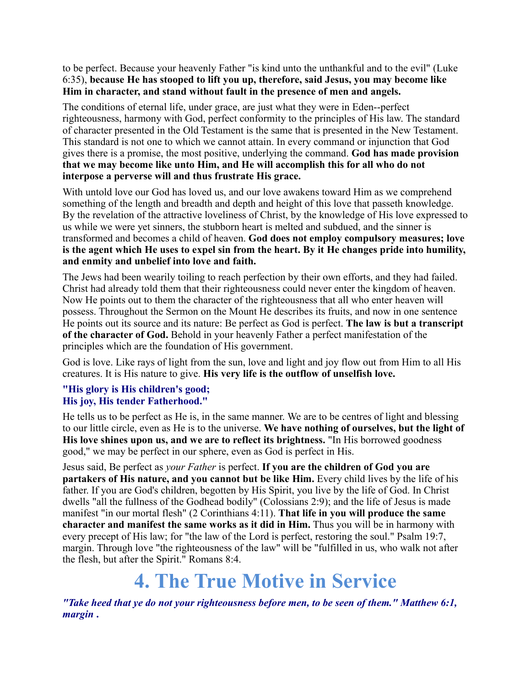to be perfect. Because your heavenly Father "is kind unto the unthankful and to the evil" (Luke 6:35), **because He has stooped to lift you up, therefore, said Jesus, you may become like Him in character, and stand without fault in the presence of men and angels.** 

The conditions of eternal life, under grace, are just what they were in Eden--perfect righteousness, harmony with God, perfect conformity to the principles of His law. The standard of character presented in the Old Testament is the same that is presented in the New Testament. This standard is not one to which we cannot attain. In every command or injunction that God gives there is a promise, the most positive, underlying the command. **God has made provision that we may become like unto Him, and He will accomplish this for all who do not interpose a perverse will and thus frustrate His grace.**

With untold love our God has loved us, and our love awakens toward Him as we comprehend something of the length and breadth and depth and height of this love that passeth knowledge. By the revelation of the attractive loveliness of Christ, by the knowledge of His love expressed to us while we were yet sinners, the stubborn heart is melted and subdued, and the sinner is transformed and becomes a child of heaven. **God does not employ compulsory measures; love is the agent which He uses to expel sin from the heart. By it He changes pride into humility, and enmity and unbelief into love and faith.** 

The Jews had been wearily toiling to reach perfection by their own efforts, and they had failed. Christ had already told them that their righteousness could never enter the kingdom of heaven. Now He points out to them the character of the righteousness that all who enter heaven will possess. Throughout the Sermon on the Mount He describes its fruits, and now in one sentence He points out its source and its nature: Be perfect as God is perfect. **The law is but a transcript of the character of God.** Behold in your heavenly Father a perfect manifestation of the principles which are the foundation of His government.

God is love. Like rays of light from the sun, love and light and joy flow out from Him to all His creatures. It is His nature to give. **His very life is the outflow of unselfish love.**

#### **"His glory is His children's good; His joy, His tender Fatherhood."**

He tells us to be perfect as He is, in the same manner. We are to be centres of light and blessing to our little circle, even as He is to the universe. **We have nothing of ourselves, but the light of His love shines upon us, and we are to reflect its brightness.** "In His borrowed goodness good," we may be perfect in our sphere, even as God is perfect in His.

Jesus said, Be perfect as *your Father* is perfect. **If you are the children of God you are partakers of His nature, and you cannot but be like Him.** Every child lives by the life of his father. If you are God's children, begotten by His Spirit, you live by the life of God. In Christ dwells "all the fullness of the Godhead bodily" (Colossians 2:9); and the life of Jesus is made manifest "in our mortal flesh" (2 Corinthians 4:11). **That life in you will produce the same character and manifest the same works as it did in Him.** Thus you will be in harmony with every precept of His law; for "the law of the Lord is perfect, restoring the soul." Psalm 19:7, margin. Through love "the righteousness of the law" will be "fulfilled in us, who walk not after the flesh, but after the Spirit." Romans 8:4.

# **4. The True Motive in Service**

*"Take heed that ye do not your righteousness before men, to be seen of them." Matthew 6:1, margin* **.**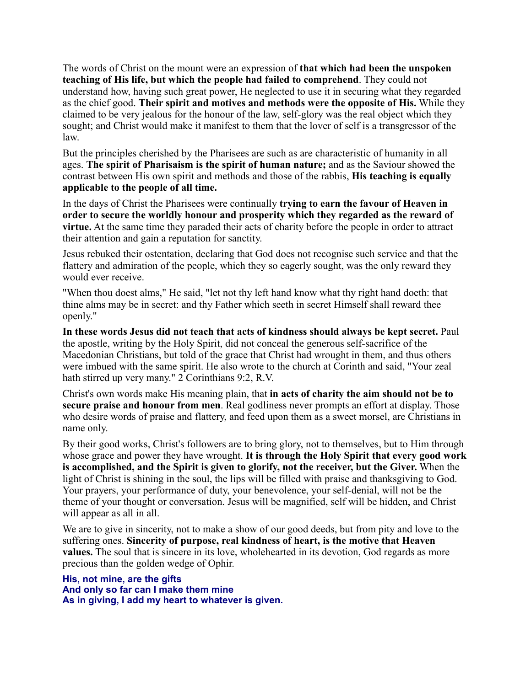The words of Christ on the mount were an expression of **that which had been the unspoken teaching of His life, but which the people had failed to comprehend**. They could not understand how, having such great power, He neglected to use it in securing what they regarded as the chief good. **Their spirit and motives and methods were the opposite of His.** While they claimed to be very jealous for the honour of the law, self-glory was the real object which they sought; and Christ would make it manifest to them that the lover of self is a transgressor of the law.

But the principles cherished by the Pharisees are such as are characteristic of humanity in all ages. **The spirit of Pharisaism is the spirit of human nature;** and as the Saviour showed the contrast between His own spirit and methods and those of the rabbis, **His teaching is equally applicable to the people of all time.** 

In the days of Christ the Pharisees were continually **trying to earn the favour of Heaven in order to secure the worldly honour and prosperity which they regarded as the reward of virtue.** At the same time they paraded their acts of charity before the people in order to attract their attention and gain a reputation for sanctity.

Jesus rebuked their ostentation, declaring that God does not recognise such service and that the flattery and admiration of the people, which they so eagerly sought, was the only reward they would ever receive.

"When thou doest alms," He said, "let not thy left hand know what thy right hand doeth: that thine alms may be in secret: and thy Father which seeth in secret Himself shall reward thee openly."

**In these words Jesus did not teach that acts of kindness should always be kept secret.** Paul the apostle, writing by the Holy Spirit, did not conceal the generous self-sacrifice of the Macedonian Christians, but told of the grace that Christ had wrought in them, and thus others were imbued with the same spirit. He also wrote to the church at Corinth and said, "Your zeal hath stirred up very many." 2 Corinthians 9:2, R.V.

Christ's own words make His meaning plain, that **in acts of charity the aim should not be to secure praise and honour from men**. Real godliness never prompts an effort at display. Those who desire words of praise and flattery, and feed upon them as a sweet morsel, are Christians in name only.

By their good works, Christ's followers are to bring glory, not to themselves, but to Him through whose grace and power they have wrought. **It is through the Holy Spirit that every good work is accomplished, and the Spirit is given to glorify, not the receiver, but the Giver.** When the light of Christ is shining in the soul, the lips will be filled with praise and thanksgiving to God. Your prayers, your performance of duty, your benevolence, your self-denial, will not be the theme of your thought or conversation. Jesus will be magnified, self will be hidden, and Christ will appear as all in all.

We are to give in sincerity, not to make a show of our good deeds, but from pity and love to the suffering ones. **Sincerity of purpose, real kindness of heart, is the motive that Heaven values.** The soul that is sincere in its love, wholehearted in its devotion, God regards as more precious than the golden wedge of Ophir.

**His, not mine, are the gifts And only so far can I make them mine As in giving, I add my heart to whatever is given.**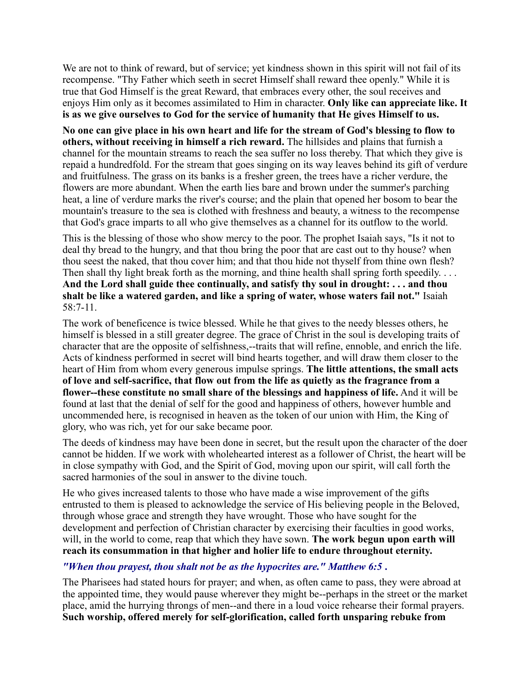We are not to think of reward, but of service; yet kindness shown in this spirit will not fail of its recompense. "Thy Father which seeth in secret Himself shall reward thee openly." While it is true that God Himself is the great Reward, that embraces every other, the soul receives and enjoys Him only as it becomes assimilated to Him in character. **Only like can appreciate like. It is as we give ourselves to God for the service of humanity that He gives Himself to us.** 

**No one can give place in his own heart and life for the stream of God's blessing to flow to others, without receiving in himself a rich reward.** The hillsides and plains that furnish a channel for the mountain streams to reach the sea suffer no loss thereby. That which they give is repaid a hundredfold. For the stream that goes singing on its way leaves behind its gift of verdure and fruitfulness. The grass on its banks is a fresher green, the trees have a richer verdure, the flowers are more abundant. When the earth lies bare and brown under the summer's parching heat, a line of verdure marks the river's course; and the plain that opened her bosom to bear the mountain's treasure to the sea is clothed with freshness and beauty, a witness to the recompense that God's grace imparts to all who give themselves as a channel for its outflow to the world.

This is the blessing of those who show mercy to the poor. The prophet Isaiah says, "Is it not to deal thy bread to the hungry, and that thou bring the poor that are cast out to thy house? when thou seest the naked, that thou cover him; and that thou hide not thyself from thine own flesh? Then shall thy light break forth as the morning, and thine health shall spring forth speedily. . . . **And the Lord shall guide thee continually, and satisfy thy soul in drought: . . . and thou shalt be like a watered garden, and like a spring of water, whose waters fail not."** Isaiah  $58.7 - 11$ 

The work of beneficence is twice blessed. While he that gives to the needy blesses others, he himself is blessed in a still greater degree. The grace of Christ in the soul is developing traits of character that are the opposite of selfishness,--traits that will refine, ennoble, and enrich the life. Acts of kindness performed in secret will bind hearts together, and will draw them closer to the heart of Him from whom every generous impulse springs. **The little attentions, the small acts of love and self-sacrifice, that flow out from the life as quietly as the fragrance from a flower--these constitute no small share of the blessings and happiness of life.** And it will be found at last that the denial of self for the good and happiness of others, however humble and uncommended here, is recognised in heaven as the token of our union with Him, the King of glory, who was rich, yet for our sake became poor.

The deeds of kindness may have been done in secret, but the result upon the character of the doer cannot be hidden. If we work with wholehearted interest as a follower of Christ, the heart will be in close sympathy with God, and the Spirit of God, moving upon our spirit, will call forth the sacred harmonies of the soul in answer to the divine touch.

He who gives increased talents to those who have made a wise improvement of the gifts entrusted to them is pleased to acknowledge the service of His believing people in the Beloved, through whose grace and strength they have wrought. Those who have sought for the development and perfection of Christian character by exercising their faculties in good works, will, in the world to come, reap that which they have sown. **The work begun upon earth will reach its consummation in that higher and holier life to endure throughout eternity.** 

#### *"When thou prayest, thou shalt not be as the hypocrites are." Matthew 6:5* **.**

The Pharisees had stated hours for prayer; and when, as often came to pass, they were abroad at the appointed time, they would pause wherever they might be--perhaps in the street or the market place, amid the hurrying throngs of men--and there in a loud voice rehearse their formal prayers. **Such worship, offered merely for self-glorification, called forth unsparing rebuke from**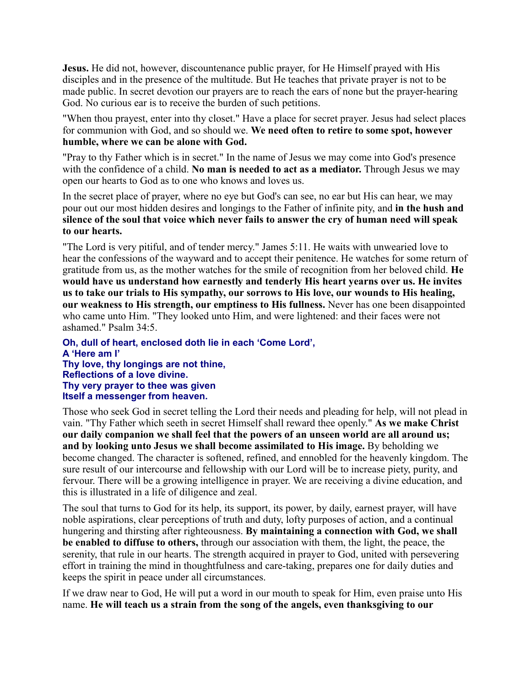**Jesus.** He did not, however, discountenance public prayer, for He Himself prayed with His disciples and in the presence of the multitude. But He teaches that private prayer is not to be made public. In secret devotion our prayers are to reach the ears of none but the prayer-hearing God. No curious ear is to receive the burden of such petitions.

"When thou prayest, enter into thy closet." Have a place for secret prayer. Jesus had select places for communion with God, and so should we. **We need often to retire to some spot, however humble, where we can be alone with God.** 

"Pray to thy Father which is in secret." In the name of Jesus we may come into God's presence with the confidence of a child. **No man is needed to act as a mediator.** Through Jesus we may open our hearts to God as to one who knows and loves us.

In the secret place of prayer, where no eye but God's can see, no ear but His can hear, we may pour out our most hidden desires and longings to the Father of infinite pity, and **in the hush and silence of the soul that voice which never fails to answer the cry of human need will speak to our hearts.** 

"The Lord is very pitiful, and of tender mercy." James 5:11. He waits with unwearied love to hear the confessions of the wayward and to accept their penitence. He watches for some return of gratitude from us, as the mother watches for the smile of recognition from her beloved child. **He would have us understand how earnestly and tenderly His heart yearns over us. He invites us to take our trials to His sympathy, our sorrows to His love, our wounds to His healing, our weakness to His strength, our emptiness to His fullness.** Never has one been disappointed who came unto Him. "They looked unto Him, and were lightened: and their faces were not ashamed." Psalm 34:5.

**Oh, dull of heart, enclosed doth lie in each 'Come Lord', A 'Here am I' Thy love, thy longings are not thine, Reflections of a love divine. Thy very prayer to thee was given Itself a messenger from heaven.**

Those who seek God in secret telling the Lord their needs and pleading for help, will not plead in vain. "Thy Father which seeth in secret Himself shall reward thee openly." **As we make Christ our daily companion we shall feel that the powers of an unseen world are all around us; and by looking unto Jesus we shall become assimilated to His image.** By beholding we become changed. The character is softened, refined, and ennobled for the heavenly kingdom. The sure result of our intercourse and fellowship with our Lord will be to increase piety, purity, and fervour. There will be a growing intelligence in prayer. We are receiving a divine education, and this is illustrated in a life of diligence and zeal.

The soul that turns to God for its help, its support, its power, by daily, earnest prayer, will have noble aspirations, clear perceptions of truth and duty, lofty purposes of action, and a continual hungering and thirsting after righteousness. **By maintaining a connection with God, we shall be enabled to diffuse to others,** through our association with them, the light, the peace, the serenity, that rule in our hearts. The strength acquired in prayer to God, united with persevering effort in training the mind in thoughtfulness and care-taking, prepares one for daily duties and keeps the spirit in peace under all circumstances.

If we draw near to God, He will put a word in our mouth to speak for Him, even praise unto His name. **He will teach us a strain from the song of the angels, even thanksgiving to our**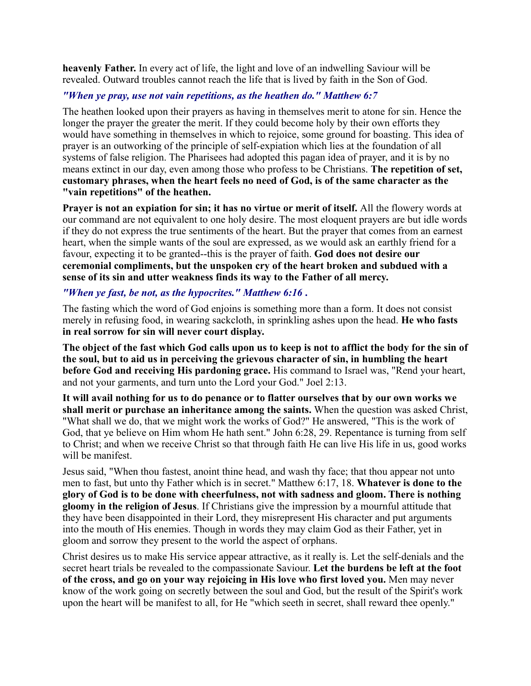**heavenly Father.** In every act of life, the light and love of an indwelling Saviour will be revealed. Outward troubles cannot reach the life that is lived by faith in the Son of God.

#### *"When ye pray, use not vain repetitions, as the heathen do." Matthew 6:7*

The heathen looked upon their prayers as having in themselves merit to atone for sin. Hence the longer the prayer the greater the merit. If they could become holy by their own efforts they would have something in themselves in which to rejoice, some ground for boasting. This idea of prayer is an outworking of the principle of self-expiation which lies at the foundation of all systems of false religion. The Pharisees had adopted this pagan idea of prayer, and it is by no means extinct in our day, even among those who profess to be Christians. **The repetition of set, customary phrases, when the heart feels no need of God, is of the same character as the "vain repetitions" of the heathen.** 

**Prayer is not an expiation for sin; it has no virtue or merit of itself.** All the flowery words at our command are not equivalent to one holy desire. The most eloquent prayers are but idle words if they do not express the true sentiments of the heart. But the prayer that comes from an earnest heart, when the simple wants of the soul are expressed, as we would ask an earthly friend for a favour, expecting it to be granted--this is the prayer of faith. **God does not desire our ceremonial compliments, but the unspoken cry of the heart broken and subdued with a sense of its sin and utter weakness finds its way to the Father of all mercy.** 

#### *"When ye fast, be not, as the hypocrites." Matthew 6:16* **.**

The fasting which the word of God enjoins is something more than a form. It does not consist merely in refusing food, in wearing sackcloth, in sprinkling ashes upon the head. **He who fasts in real sorrow for sin will never court display.** 

**The object of the fast which God calls upon us to keep is not to afflict the body for the sin of the soul, but to aid us in perceiving the grievous character of sin, in humbling the heart before God and receiving His pardoning grace.** His command to Israel was, "Rend your heart, and not your garments, and turn unto the Lord your God." Joel 2:13.

**It will avail nothing for us to do penance or to flatter ourselves that by our own works we shall merit or purchase an inheritance among the saints.** When the question was asked Christ, "What shall we do, that we might work the works of God?" He answered, "This is the work of God, that ye believe on Him whom He hath sent." John 6:28, 29. Repentance is turning from self to Christ; and when we receive Christ so that through faith He can live His life in us, good works will be manifest.

Jesus said, "When thou fastest, anoint thine head, and wash thy face; that thou appear not unto men to fast, but unto thy Father which is in secret." Matthew 6:17, 18. **Whatever is done to the glory of God is to be done with cheerfulness, not with sadness and gloom. There is nothing gloomy in the religion of Jesus**. If Christians give the impression by a mournful attitude that they have been disappointed in their Lord, they misrepresent His character and put arguments into the mouth of His enemies. Though in words they may claim God as their Father, yet in gloom and sorrow they present to the world the aspect of orphans.

Christ desires us to make His service appear attractive, as it really is. Let the self-denials and the secret heart trials be revealed to the compassionate Saviour. **Let the burdens be left at the foot of the cross, and go on your way rejoicing in His love who first loved you.** Men may never know of the work going on secretly between the soul and God, but the result of the Spirit's work upon the heart will be manifest to all, for He "which seeth in secret, shall reward thee openly."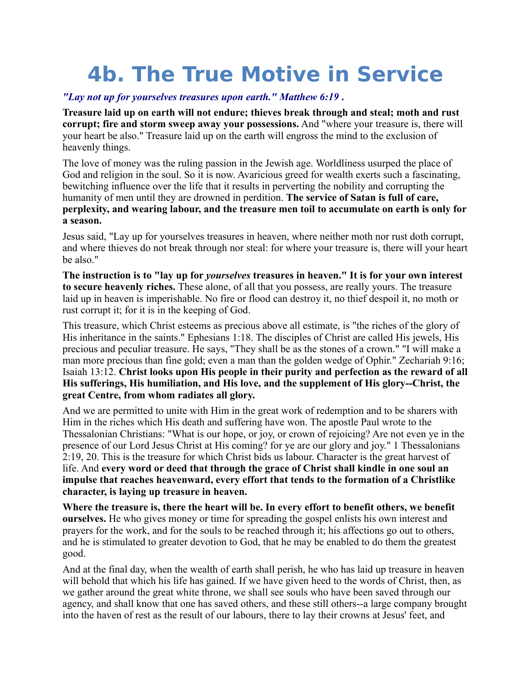# **4b. The True Motive in Service**

#### *"Lay not up for yourselves treasures upon earth." Matthew 6:19* **.**

**Treasure laid up on earth will not endure; thieves break through and steal; moth and rust corrupt; fire and storm sweep away your possessions.** And "where your treasure is, there will your heart be also." Treasure laid up on the earth will engross the mind to the exclusion of heavenly things.

The love of money was the ruling passion in the Jewish age. Worldliness usurped the place of God and religion in the soul. So it is now. Avaricious greed for wealth exerts such a fascinating, bewitching influence over the life that it results in perverting the nobility and corrupting the humanity of men until they are drowned in perdition. **The service of Satan is full of care, perplexity, and wearing labour, and the treasure men toil to accumulate on earth is only for a season.** 

Jesus said, "Lay up for yourselves treasures in heaven, where neither moth nor rust doth corrupt, and where thieves do not break through nor steal: for where your treasure is, there will your heart be also."

**The instruction is to "lay up for** *yourselves* **treasures in heaven." It is for your own interest to secure heavenly riches.** These alone, of all that you possess, are really yours. The treasure laid up in heaven is imperishable. No fire or flood can destroy it, no thief despoil it, no moth or rust corrupt it; for it is in the keeping of God.

This treasure, which Christ esteems as precious above all estimate, is "the riches of the glory of His inheritance in the saints." Ephesians 1:18. The disciples of Christ are called His jewels, His precious and peculiar treasure. He says, "They shall be as the stones of a crown." "I will make a man more precious than fine gold; even a man than the golden wedge of Ophir." Zechariah 9:16; Isaiah 13:12. **Christ looks upon His people in their purity and perfection as the reward of all His sufferings, His humiliation, and His love, and the supplement of His glory--Christ, the great Centre, from whom radiates all glory.** 

And we are permitted to unite with Him in the great work of redemption and to be sharers with Him in the riches which His death and suffering have won. The apostle Paul wrote to the Thessalonian Christians: "What is our hope, or joy, or crown of rejoicing? Are not even ye in the presence of our Lord Jesus Christ at His coming? for ye are our glory and joy." 1 Thessalonians 2:19, 20. This is the treasure for which Christ bids us labour. Character is the great harvest of life. And **every word or deed that through the grace of Christ shall kindle in one soul an impulse that reaches heavenward, every effort that tends to the formation of a Christlike character, is laying up treasure in heaven.** 

**Where the treasure is, there the heart will be. In every effort to benefit others, we benefit ourselves.** He who gives money or time for spreading the gospel enlists his own interest and prayers for the work, and for the souls to be reached through it; his affections go out to others, and he is stimulated to greater devotion to God, that he may be enabled to do them the greatest good.

And at the final day, when the wealth of earth shall perish, he who has laid up treasure in heaven will behold that which his life has gained. If we have given heed to the words of Christ, then, as we gather around the great white throne, we shall see souls who have been saved through our agency, and shall know that one has saved others, and these still others--a large company brought into the haven of rest as the result of our labours, there to lay their crowns at Jesus' feet, and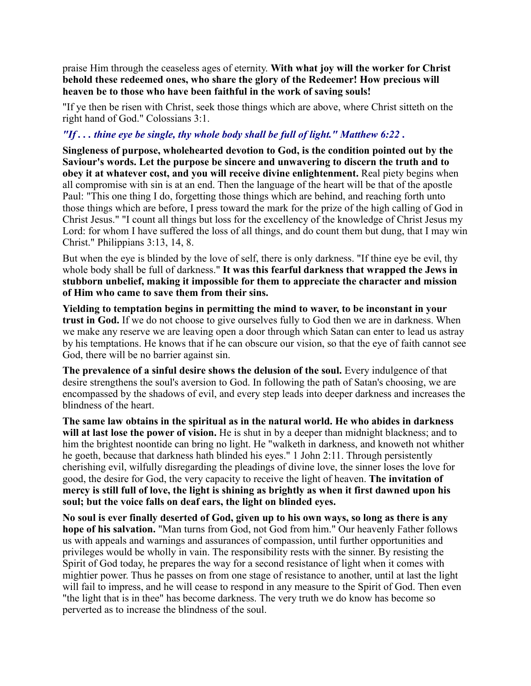praise Him through the ceaseless ages of eternity. **With what joy will the worker for Christ behold these redeemed ones, who share the glory of the Redeemer! How precious will heaven be to those who have been faithful in the work of saving souls!** 

"If ye then be risen with Christ, seek those things which are above, where Christ sitteth on the right hand of God." Colossians 3:1.

*"If . . . thine eye be single, thy whole body shall be full of light." Matthew 6:22* **.**

**Singleness of purpose, wholehearted devotion to God, is the condition pointed out by the Saviour's words. Let the purpose be sincere and unwavering to discern the truth and to obey it at whatever cost, and you will receive divine enlightenment.** Real piety begins when all compromise with sin is at an end. Then the language of the heart will be that of the apostle Paul: "This one thing I do, forgetting those things which are behind, and reaching forth unto those things which are before, I press toward the mark for the prize of the high calling of God in Christ Jesus." "I count all things but loss for the excellency of the knowledge of Christ Jesus my Lord: for whom I have suffered the loss of all things, and do count them but dung, that I may win Christ." Philippians 3:13, 14, 8.

But when the eye is blinded by the love of self, there is only darkness. "If thine eye be evil, thy whole body shall be full of darkness." **It was this fearful darkness that wrapped the Jews in stubborn unbelief, making it impossible for them to appreciate the character and mission of Him who came to save them from their sins.** 

**Yielding to temptation begins in permitting the mind to waver, to be inconstant in your trust in God.** If we do not choose to give ourselves fully to God then we are in darkness. When we make any reserve we are leaving open a door through which Satan can enter to lead us astray by his temptations. He knows that if he can obscure our vision, so that the eye of faith cannot see God, there will be no barrier against sin.

**The prevalence of a sinful desire shows the delusion of the soul.** Every indulgence of that desire strengthens the soul's aversion to God. In following the path of Satan's choosing, we are encompassed by the shadows of evil, and every step leads into deeper darkness and increases the blindness of the heart.

**The same law obtains in the spiritual as in the natural world. He who abides in darkness will at last lose the power of vision.** He is shut in by a deeper than midnight blackness; and to him the brightest noontide can bring no light. He "walketh in darkness, and knoweth not whither he goeth, because that darkness hath blinded his eyes." 1 John 2:11. Through persistently cherishing evil, wilfully disregarding the pleadings of divine love, the sinner loses the love for good, the desire for God, the very capacity to receive the light of heaven. **The invitation of mercy is still full of love, the light is shining as brightly as when it first dawned upon his soul; but the voice falls on deaf ears, the light on blinded eyes.** 

**No soul is ever finally deserted of God, given up to his own ways, so long as there is any hope of his salvation.** "Man turns from God, not God from him." Our heavenly Father follows us with appeals and warnings and assurances of compassion, until further opportunities and privileges would be wholly in vain. The responsibility rests with the sinner. By resisting the Spirit of God today, he prepares the way for a second resistance of light when it comes with mightier power. Thus he passes on from one stage of resistance to another, until at last the light will fail to impress, and he will cease to respond in any measure to the Spirit of God. Then even "the light that is in thee" has become darkness. The very truth we do know has become so perverted as to increase the blindness of the soul.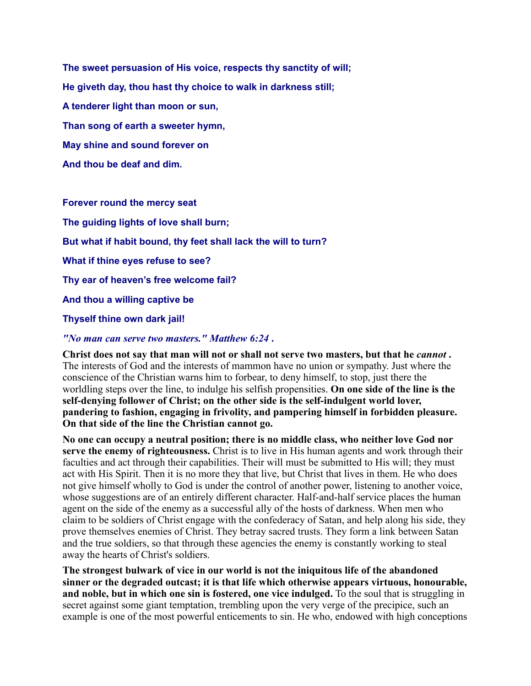**The sweet persuasion of His voice, respects thy sanctity of will; He giveth day, thou hast thy choice to walk in darkness still; A tenderer light than moon or sun, Than song of earth a sweeter hymn, May shine and sound forever on And thou be deaf and dim.**

**Forever round the mercy seat The guiding lights of love shall burn; But what if habit bound, thy feet shall lack the will to turn? What if thine eyes refuse to see? Thy ear of heaven's free welcome fail? And thou a willing captive be Thyself thine own dark jail!**

#### *"No man can serve two masters." Matthew 6:24* **.**

**Christ does not say that man will not or shall not serve two masters, but that he** *cannot* **.** The interests of God and the interests of mammon have no union or sympathy. Just where the conscience of the Christian warns him to forbear, to deny himself, to stop, just there the worldling steps over the line, to indulge his selfish propensities. **On one side of the line is the self-denying follower of Christ; on the other side is the self-indulgent world lover, pandering to fashion, engaging in frivolity, and pampering himself in forbidden pleasure. On that side of the line the Christian cannot go.** 

**No one can occupy a neutral position; there is no middle class, who neither love God nor serve the enemy of righteousness.** Christ is to live in His human agents and work through their faculties and act through their capabilities. Their will must be submitted to His will; they must act with His Spirit. Then it is no more they that live, but Christ that lives in them. He who does not give himself wholly to God is under the control of another power, listening to another voice, whose suggestions are of an entirely different character. Half-and-half service places the human agent on the side of the enemy as a successful ally of the hosts of darkness. When men who claim to be soldiers of Christ engage with the confederacy of Satan, and help along his side, they prove themselves enemies of Christ. They betray sacred trusts. They form a link between Satan and the true soldiers, so that through these agencies the enemy is constantly working to steal away the hearts of Christ's soldiers.

**The strongest bulwark of vice in our world is not the iniquitous life of the abandoned sinner or the degraded outcast; it is that life which otherwise appears virtuous, honourable, and noble, but in which one sin is fostered, one vice indulged.** To the soul that is struggling in secret against some giant temptation, trembling upon the very verge of the precipice, such an example is one of the most powerful enticements to sin. He who, endowed with high conceptions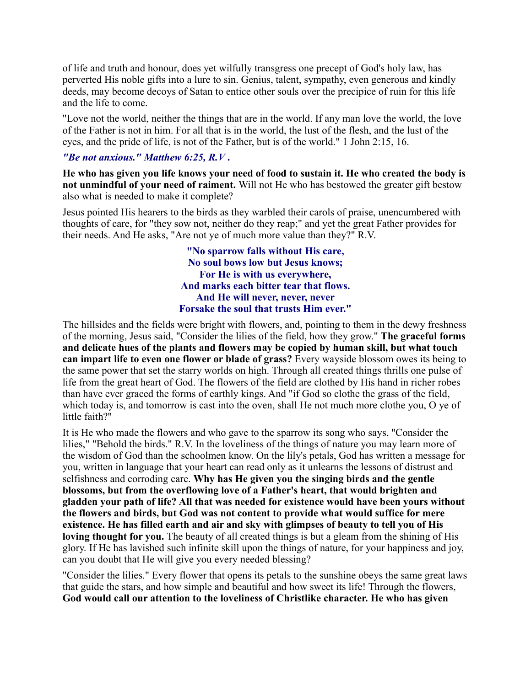of life and truth and honour, does yet wilfully transgress one precept of God's holy law, has perverted His noble gifts into a lure to sin. Genius, talent, sympathy, even generous and kindly deeds, may become decoys of Satan to entice other souls over the precipice of ruin for this life and the life to come.

"Love not the world, neither the things that are in the world. If any man love the world, the love of the Father is not in him. For all that is in the world, the lust of the flesh, and the lust of the eyes, and the pride of life, is not of the Father, but is of the world." 1 John 2:15, 16.

#### *"Be not anxious." Matthew 6:25, R.V* **.**

**He who has given you life knows your need of food to sustain it. He who created the body is not unmindful of your need of raiment.** Will not He who has bestowed the greater gift bestow also what is needed to make it complete?

Jesus pointed His hearers to the birds as they warbled their carols of praise, unencumbered with thoughts of care, for "they sow not, neither do they reap;" and yet the great Father provides for their needs. And He asks, "Are not ye of much more value than they?" R.V.

> **"No sparrow falls without His care, No soul bows low but Jesus knows; For He is with us everywhere, And marks each bitter tear that flows. And He will never, never, never Forsake the soul that trusts Him ever."**

The hillsides and the fields were bright with flowers, and, pointing to them in the dewy freshness of the morning, Jesus said, "Consider the lilies of the field, how they grow." **The graceful forms and delicate hues of the plants and flowers may be copied by human skill, but what touch can impart life to even one flower or blade of grass?** Every wayside blossom owes its being to the same power that set the starry worlds on high. Through all created things thrills one pulse of life from the great heart of God. The flowers of the field are clothed by His hand in richer robes than have ever graced the forms of earthly kings. And "if God so clothe the grass of the field, which today is, and tomorrow is cast into the oven, shall He not much more clothe you, O ye of little faith?"

It is He who made the flowers and who gave to the sparrow its song who says, "Consider the lilies," "Behold the birds." R.V. In the loveliness of the things of nature you may learn more of the wisdom of God than the schoolmen know. On the lily's petals, God has written a message for you, written in language that your heart can read only as it unlearns the lessons of distrust and selfishness and corroding care. **Why has He given you the singing birds and the gentle blossoms, but from the overflowing love of a Father's heart, that would brighten and gladden your path of life? All that was needed for existence would have been yours without the flowers and birds, but God was not content to provide what would suffice for mere existence. He has filled earth and air and sky with glimpses of beauty to tell you of His loving thought for you.** The beauty of all created things is but a gleam from the shining of His glory. If He has lavished such infinite skill upon the things of nature, for your happiness and joy, can you doubt that He will give you every needed blessing?

"Consider the lilies." Every flower that opens its petals to the sunshine obeys the same great laws that guide the stars, and how simple and beautiful and how sweet its life! Through the flowers, **God would call our attention to the loveliness of Christlike character. He who has given**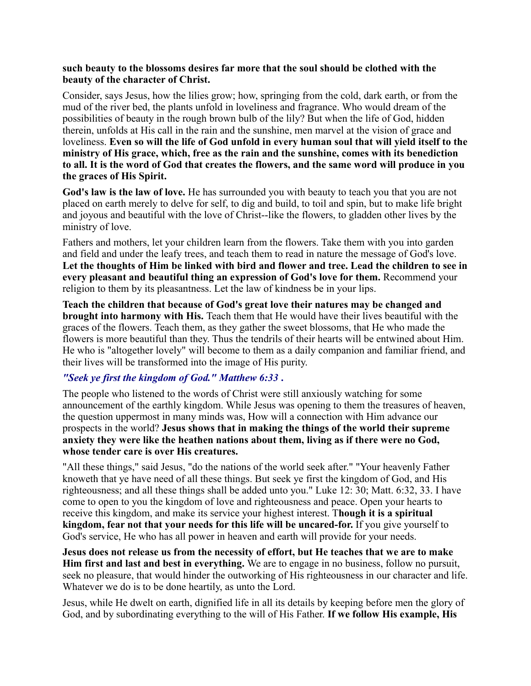#### **such beauty to the blossoms desires far more that the soul should be clothed with the beauty of the character of Christ.**

Consider, says Jesus, how the lilies grow; how, springing from the cold, dark earth, or from the mud of the river bed, the plants unfold in loveliness and fragrance. Who would dream of the possibilities of beauty in the rough brown bulb of the lily? But when the life of God, hidden therein, unfolds at His call in the rain and the sunshine, men marvel at the vision of grace and loveliness. **Even so will the life of God unfold in every human soul that will yield itself to the ministry of His grace, which, free as the rain and the sunshine, comes with its benediction to all. It is the word of God that creates the flowers, and the same word will produce in you the graces of His Spirit.** 

**God's law is the law of love.** He has surrounded you with beauty to teach you that you are not placed on earth merely to delve for self, to dig and build, to toil and spin, but to make life bright and joyous and beautiful with the love of Christ--like the flowers, to gladden other lives by the ministry of love.

Fathers and mothers, let your children learn from the flowers. Take them with you into garden and field and under the leafy trees, and teach them to read in nature the message of God's love. **Let the thoughts of Him be linked with bird and flower and tree. Lead the children to see in every pleasant and beautiful thing an expression of God's love for them.** Recommend your religion to them by its pleasantness. Let the law of kindness be in your lips.

**Teach the children that because of God's great love their natures may be changed and brought into harmony with His.** Teach them that He would have their lives beautiful with the graces of the flowers. Teach them, as they gather the sweet blossoms, that He who made the flowers is more beautiful than they. Thus the tendrils of their hearts will be entwined about Him. He who is "altogether lovely" will become to them as a daily companion and familiar friend, and their lives will be transformed into the image of His purity.

#### *"Seek ye first the kingdom of God." Matthew 6:33* **.**

The people who listened to the words of Christ were still anxiously watching for some announcement of the earthly kingdom. While Jesus was opening to them the treasures of heaven, the question uppermost in many minds was, How will a connection with Him advance our prospects in the world? **Jesus shows that in making the things of the world their supreme anxiety they were like the heathen nations about them, living as if there were no God, whose tender care is over His creatures.**

"All these things," said Jesus, "do the nations of the world seek after." "Your heavenly Father knoweth that ye have need of all these things. But seek ye first the kingdom of God, and His righteousness; and all these things shall be added unto you." Luke 12: 30; Matt. 6:32, 33. I have come to open to you the kingdom of love and righteousness and peace. Open your hearts to receive this kingdom, and make its service your highest interest. T**hough it is a spiritual kingdom, fear not that your needs for this life will be uncared-for.** If you give yourself to God's service, He who has all power in heaven and earth will provide for your needs.

**Jesus does not release us from the necessity of effort, but He teaches that we are to make Him first and last and best in everything.** We are to engage in no business, follow no pursuit, seek no pleasure, that would hinder the outworking of His righteousness in our character and life. Whatever we do is to be done heartily, as unto the Lord.

Jesus, while He dwelt on earth, dignified life in all its details by keeping before men the glory of God, and by subordinating everything to the will of His Father. **If we follow His example, His**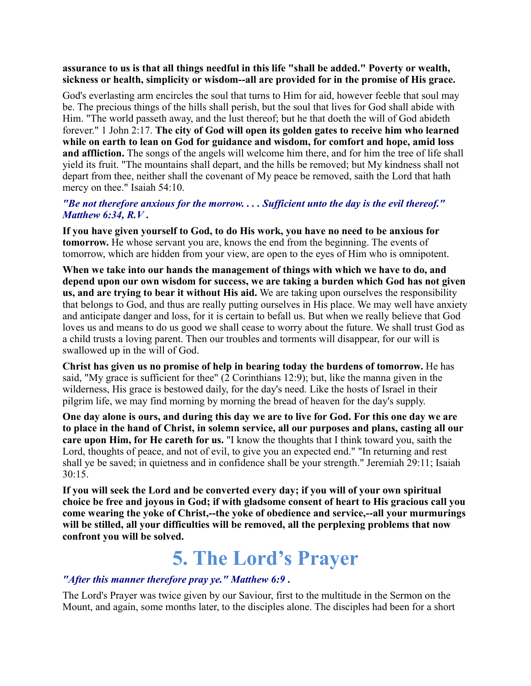#### **assurance to us is that all things needful in this life "shall be added." Poverty or wealth, sickness or health, simplicity or wisdom--all are provided for in the promise of His grace.**

God's everlasting arm encircles the soul that turns to Him for aid, however feeble that soul may be. The precious things of the hills shall perish, but the soul that lives for God shall abide with Him. "The world passeth away, and the lust thereof; but he that doeth the will of God abideth forever." 1 John 2:17. **The city of God will open its golden gates to receive him who learned while on earth to lean on God for guidance and wisdom, for comfort and hope, amid loss and affliction.** The songs of the angels will welcome him there, and for him the tree of life shall yield its fruit. "The mountains shall depart, and the hills be removed; but My kindness shall not depart from thee, neither shall the covenant of My peace be removed, saith the Lord that hath mercy on thee." Isaiah 54:10.

#### *"Be not therefore anxious for the morrow. . . . Sufficient unto the day is the evil thereof." Matthew 6:34, R.V* **.**

**If you have given yourself to God, to do His work, you have no need to be anxious for tomorrow.** He whose servant you are, knows the end from the beginning. The events of tomorrow, which are hidden from your view, are open to the eyes of Him who is omnipotent.

**When we take into our hands the management of things with which we have to do, and depend upon our own wisdom for success, we are taking a burden which God has not given us, and are trying to bear it without His aid.** We are taking upon ourselves the responsibility that belongs to God, and thus are really putting ourselves in His place. We may well have anxiety and anticipate danger and loss, for it is certain to befall us. But when we really believe that God loves us and means to do us good we shall cease to worry about the future. We shall trust God as a child trusts a loving parent. Then our troubles and torments will disappear, for our will is swallowed up in the will of God.

**Christ has given us no promise of help in bearing today the burdens of tomorrow.** He has said, "My grace is sufficient for thee" (2 Corinthians 12:9); but, like the manna given in the wilderness, His grace is bestowed daily, for the day's need. Like the hosts of Israel in their pilgrim life, we may find morning by morning the bread of heaven for the day's supply.

**One day alone is ours, and during this day we are to live for God. For this one day we are to place in the hand of Christ, in solemn service, all our purposes and plans, casting all our care upon Him, for He careth for us.** "I know the thoughts that I think toward you, saith the Lord, thoughts of peace, and not of evil, to give you an expected end." "In returning and rest shall ye be saved; in quietness and in confidence shall be your strength." Jeremiah 29:11; Isaiah 30:15.

**If you will seek the Lord and be converted every day; if you will of your own spiritual choice be free and joyous in God; if with gladsome consent of heart to His gracious call you come wearing the yoke of Christ,--the yoke of obedience and service,--all your murmurings will be stilled, all your difficulties will be removed, all the perplexing problems that now confront you will be solved.**

## **5. The Lord's Prayer**

#### *"After this manner therefore pray ye." Matthew 6:9* **.**

The Lord's Prayer was twice given by our Saviour, first to the multitude in the Sermon on the Mount, and again, some months later, to the disciples alone. The disciples had been for a short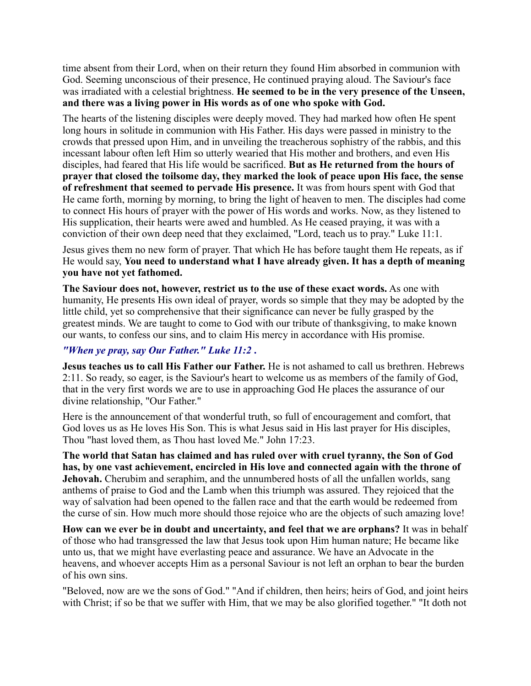time absent from their Lord, when on their return they found Him absorbed in communion with God. Seeming unconscious of their presence, He continued praying aloud. The Saviour's face was irradiated with a celestial brightness. **He seemed to be in the very presence of the Unseen, and there was a living power in His words as of one who spoke with God.**

The hearts of the listening disciples were deeply moved. They had marked how often He spent long hours in solitude in communion with His Father. His days were passed in ministry to the crowds that pressed upon Him, and in unveiling the treacherous sophistry of the rabbis, and this incessant labour often left Him so utterly wearied that His mother and brothers, and even His disciples, had feared that His life would be sacrificed. **But as He returned from the hours of prayer that closed the toilsome day, they marked the look of peace upon His face, the sense of refreshment that seemed to pervade His presence.** It was from hours spent with God that He came forth, morning by morning, to bring the light of heaven to men. The disciples had come to connect His hours of prayer with the power of His words and works. Now, as they listened to His supplication, their hearts were awed and humbled. As He ceased praying, it was with a conviction of their own deep need that they exclaimed, "Lord, teach us to pray." Luke 11:1.

Jesus gives them no new form of prayer. That which He has before taught them He repeats, as if He would say, **You need to understand what I have already given. It has a depth of meaning you have not yet fathomed.** 

**The Saviour does not, however, restrict us to the use of these exact words.** As one with humanity, He presents His own ideal of prayer, words so simple that they may be adopted by the little child, yet so comprehensive that their significance can never be fully grasped by the greatest minds. We are taught to come to God with our tribute of thanksgiving, to make known our wants, to confess our sins, and to claim His mercy in accordance with His promise.

#### *"When ye pray, say Our Father." Luke 11:2* **.**

**Jesus teaches us to call His Father our Father.** He is not ashamed to call us brethren. Hebrews 2:11. So ready, so eager, is the Saviour's heart to welcome us as members of the family of God, that in the very first words we are to use in approaching God He places the assurance of our divine relationship, "Our Father."

Here is the announcement of that wonderful truth, so full of encouragement and comfort, that God loves us as He loves His Son. This is what Jesus said in His last prayer for His disciples, Thou "hast loved them, as Thou hast loved Me." John 17:23.

**The world that Satan has claimed and has ruled over with cruel tyranny, the Son of God has, by one vast achievement, encircled in His love and connected again with the throne of Jehovah.** Cherubim and seraphim, and the unnumbered hosts of all the unfallen worlds, sang anthems of praise to God and the Lamb when this triumph was assured. They rejoiced that the way of salvation had been opened to the fallen race and that the earth would be redeemed from the curse of sin. How much more should those rejoice who are the objects of such amazing love!

**How can we ever be in doubt and uncertainty, and feel that we are orphans?** It was in behalf of those who had transgressed the law that Jesus took upon Him human nature; He became like unto us, that we might have everlasting peace and assurance. We have an Advocate in the heavens, and whoever accepts Him as a personal Saviour is not left an orphan to bear the burden of his own sins.

"Beloved, now are we the sons of God." "And if children, then heirs; heirs of God, and joint heirs with Christ; if so be that we suffer with Him, that we may be also glorified together." "It doth not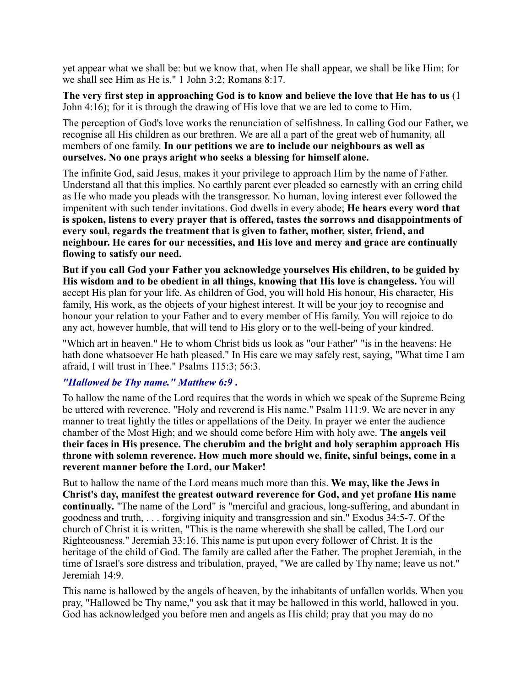yet appear what we shall be: but we know that, when He shall appear, we shall be like Him; for we shall see Him as He is." 1 John 3:2; Romans 8:17.

**The very first step in approaching God is to know and believe the love that He has to us** (1 John 4:16); for it is through the drawing of His love that we are led to come to Him.

The perception of God's love works the renunciation of selfishness. In calling God our Father, we recognise all His children as our brethren. We are all a part of the great web of humanity, all members of one family. **In our petitions we are to include our neighbours as well as ourselves. No one prays aright who seeks a blessing for himself alone.**

The infinite God, said Jesus, makes it your privilege to approach Him by the name of Father. Understand all that this implies. No earthly parent ever pleaded so earnestly with an erring child as He who made you pleads with the transgressor. No human, loving interest ever followed the impenitent with such tender invitations. God dwells in every abode; **He hears every word that is spoken, listens to every prayer that is offered, tastes the sorrows and disappointments of every soul, regards the treatment that is given to father, mother, sister, friend, and neighbour. He cares for our necessities, and His love and mercy and grace are continually flowing to satisfy our need.** 

**But if you call God your Father you acknowledge yourselves His children, to be guided by His wisdom and to be obedient in all things, knowing that His love is changeless.** You will accept His plan for your life. As children of God, you will hold His honour, His character, His family, His work, as the objects of your highest interest. It will be your joy to recognise and honour your relation to your Father and to every member of His family. You will rejoice to do any act, however humble, that will tend to His glory or to the well-being of your kindred.

"Which art in heaven." He to whom Christ bids us look as "our Father" "is in the heavens: He hath done whatsoever He hath pleased." In His care we may safely rest, saying, "What time I am afraid, I will trust in Thee." Psalms 115:3; 56:3.

#### *"Hallowed be Thy name." Matthew 6:9* **.**

To hallow the name of the Lord requires that the words in which we speak of the Supreme Being be uttered with reverence. "Holy and reverend is His name." Psalm 111:9. We are never in any manner to treat lightly the titles or appellations of the Deity. In prayer we enter the audience chamber of the Most High; and we should come before Him with holy awe. **The angels veil their faces in His presence. The cherubim and the bright and holy seraphim approach His throne with solemn reverence. How much more should we, finite, sinful beings, come in a reverent manner before the Lord, our Maker!** 

But to hallow the name of the Lord means much more than this. **We may, like the Jews in Christ's day, manifest the greatest outward reverence for God, and yet profane His name continually.** "The name of the Lord" is "merciful and gracious, long-suffering, and abundant in goodness and truth, . . . forgiving iniquity and transgression and sin." Exodus 34:5-7. Of the church of Christ it is written, "This is the name wherewith she shall be called, The Lord our Righteousness." Jeremiah 33:16. This name is put upon every follower of Christ. It is the heritage of the child of God. The family are called after the Father. The prophet Jeremiah, in the time of Israel's sore distress and tribulation, prayed, "We are called by Thy name; leave us not." Jeremiah 14:9.

This name is hallowed by the angels of heaven, by the inhabitants of unfallen worlds. When you pray, "Hallowed be Thy name," you ask that it may be hallowed in this world, hallowed in you. God has acknowledged you before men and angels as His child; pray that you may do no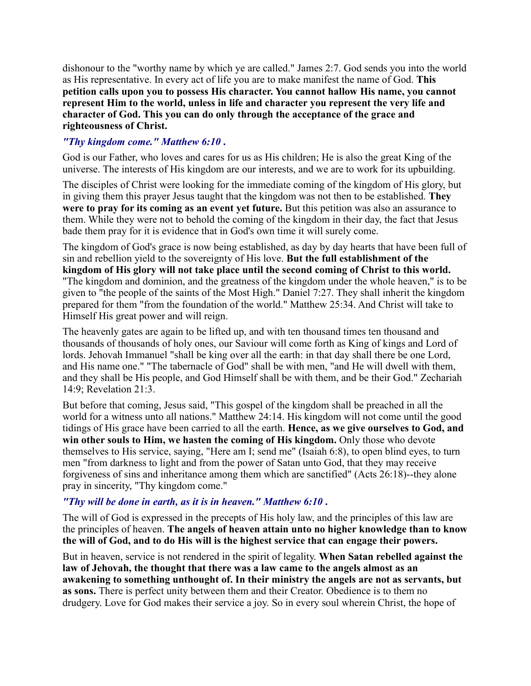dishonour to the "worthy name by which ye are called." James 2:7. God sends you into the world as His representative. In every act of life you are to make manifest the name of God. **This petition calls upon you to possess His character. You cannot hallow His name, you cannot represent Him to the world, unless in life and character you represent the very life and character of God. This you can do only through the acceptance of the grace and righteousness of Christ.** 

#### *"Thy kingdom come." Matthew 6:10* **.**

God is our Father, who loves and cares for us as His children; He is also the great King of the universe. The interests of His kingdom are our interests, and we are to work for its upbuilding.

The disciples of Christ were looking for the immediate coming of the kingdom of His glory, but in giving them this prayer Jesus taught that the kingdom was not then to be established. **They were to pray for its coming as an event yet future.** But this petition was also an assurance to them. While they were not to behold the coming of the kingdom in their day, the fact that Jesus bade them pray for it is evidence that in God's own time it will surely come.

The kingdom of God's grace is now being established, as day by day hearts that have been full of sin and rebellion yield to the sovereignty of His love. **But the full establishment of the kingdom of His glory will not take place until the second coming of Christ to this world.** "The kingdom and dominion, and the greatness of the kingdom under the whole heaven," is to be given to "the people of the saints of the Most High." Daniel 7:27. They shall inherit the kingdom prepared for them "from the foundation of the world." Matthew 25:34. And Christ will take to Himself His great power and will reign.

The heavenly gates are again to be lifted up, and with ten thousand times ten thousand and thousands of thousands of holy ones, our Saviour will come forth as King of kings and Lord of lords. Jehovah Immanuel "shall be king over all the earth: in that day shall there be one Lord, and His name one." "The tabernacle of God" shall be with men, "and He will dwell with them, and they shall be His people, and God Himself shall be with them, and be their God." Zechariah 14:9; Revelation 21:3.

But before that coming, Jesus said, "This gospel of the kingdom shall be preached in all the world for a witness unto all nations." Matthew 24:14. His kingdom will not come until the good tidings of His grace have been carried to all the earth. **Hence, as we give ourselves to God, and win other souls to Him, we hasten the coming of His kingdom.** Only those who devote themselves to His service, saying, "Here am I; send me" (Isaiah 6:8), to open blind eyes, to turn men "from darkness to light and from the power of Satan unto God, that they may receive forgiveness of sins and inheritance among them which are sanctified" (Acts 26:18)--they alone pray in sincerity, "Thy kingdom come."

#### *"Thy will be done in earth, as it is in heaven." Matthew 6:10* **.**

The will of God is expressed in the precepts of His holy law, and the principles of this law are the principles of heaven. **The angels of heaven attain unto no higher knowledge than to know the will of God, and to do His will is the highest service that can engage their powers.** 

But in heaven, service is not rendered in the spirit of legality. **When Satan rebelled against the law of Jehovah, the thought that there was a law came to the angels almost as an awakening to something unthought of. In their ministry the angels are not as servants, but as sons.** There is perfect unity between them and their Creator. Obedience is to them no drudgery. Love for God makes their service a joy. So in every soul wherein Christ, the hope of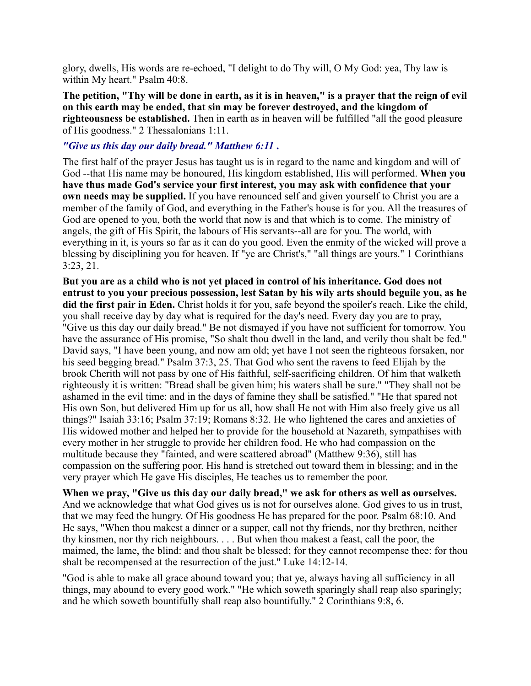glory, dwells, His words are re-echoed, "I delight to do Thy will, O My God: yea, Thy law is within My heart." Psalm 40:8.

**The petition, "Thy will be done in earth, as it is in heaven," is a prayer that the reign of evil on this earth may be ended, that sin may be forever destroyed, and the kingdom of righteousness be established.** Then in earth as in heaven will be fulfilled "all the good pleasure of His goodness." 2 Thessalonians 1:11.

#### *"Give us this day our daily bread." Matthew 6:11* **.**

The first half of the prayer Jesus has taught us is in regard to the name and kingdom and will of God --that His name may be honoured, His kingdom established, His will performed. **When you have thus made God's service your first interest, you may ask with confidence that your own needs may be supplied.** If you have renounced self and given yourself to Christ you are a member of the family of God, and everything in the Father's house is for you. All the treasures of God are opened to you, both the world that now is and that which is to come. The ministry of angels, the gift of His Spirit, the labours of His servants--all are for you. The world, with everything in it, is yours so far as it can do you good. Even the enmity of the wicked will prove a blessing by disciplining you for heaven. If "ye are Christ's," "all things are yours." 1 Corinthians 3:23, 21.

**But you are as a child who is not yet placed in control of his inheritance. God does not entrust to you your precious possession, lest Satan by his wily arts should beguile you, as he did the first pair in Eden.** Christ holds it for you, safe beyond the spoiler's reach. Like the child, you shall receive day by day what is required for the day's need. Every day you are to pray, "Give us this day our daily bread." Be not dismayed if you have not sufficient for tomorrow. You have the assurance of His promise, "So shalt thou dwell in the land, and verily thou shalt be fed." David says, "I have been young, and now am old; yet have I not seen the righteous forsaken, nor his seed begging bread." Psalm 37:3, 25. That God who sent the ravens to feed Elijah by the brook Cherith will not pass by one of His faithful, self-sacrificing children. Of him that walketh righteously it is written: "Bread shall be given him; his waters shall be sure." "They shall not be ashamed in the evil time: and in the days of famine they shall be satisfied." "He that spared not His own Son, but delivered Him up for us all, how shall He not with Him also freely give us all things?" Isaiah 33:16; Psalm 37:19; Romans 8:32. He who lightened the cares and anxieties of His widowed mother and helped her to provide for the household at Nazareth, sympathises with every mother in her struggle to provide her children food. He who had compassion on the multitude because they "fainted, and were scattered abroad" (Matthew 9:36), still has compassion on the suffering poor. His hand is stretched out toward them in blessing; and in the very prayer which He gave His disciples, He teaches us to remember the poor.

**When we pray, "Give us this day our daily bread," we ask for others as well as ourselves.** And we acknowledge that what God gives us is not for ourselves alone. God gives to us in trust, that we may feed the hungry. Of His goodness He has prepared for the poor. Psalm 68:10. And He says, "When thou makest a dinner or a supper, call not thy friends, nor thy brethren, neither thy kinsmen, nor thy rich neighbours. . . . But when thou makest a feast, call the poor, the maimed, the lame, the blind: and thou shalt be blessed; for they cannot recompense thee: for thou shalt be recompensed at the resurrection of the just." Luke 14:12-14.

"God is able to make all grace abound toward you; that ye, always having all sufficiency in all things, may abound to every good work." "He which soweth sparingly shall reap also sparingly; and he which soweth bountifully shall reap also bountifully." 2 Corinthians 9:8, 6.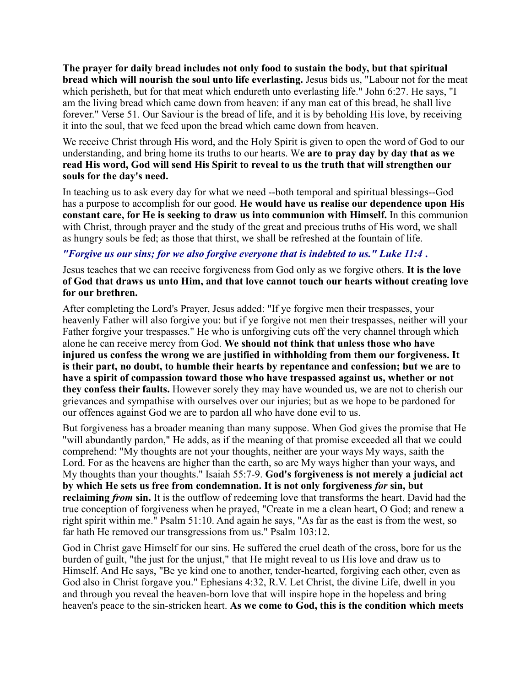**The prayer for daily bread includes not only food to sustain the body, but that spiritual bread which will nourish the soul unto life everlasting.** Jesus bids us, "Labour not for the meat which perisheth, but for that meat which endureth unto everlasting life." John 6:27. He says, "I am the living bread which came down from heaven: if any man eat of this bread, he shall live forever." Verse 51. Our Saviour is the bread of life, and it is by beholding His love, by receiving it into the soul, that we feed upon the bread which came down from heaven.

We receive Christ through His word, and the Holy Spirit is given to open the word of God to our understanding, and bring home its truths to our hearts. W**e are to pray day by day that as we read His word, God will send His Spirit to reveal to us the truth that will strengthen our souls for the day's need.** 

In teaching us to ask every day for what we need --both temporal and spiritual blessings--God has a purpose to accomplish for our good. **He would have us realise our dependence upon His constant care, for He is seeking to draw us into communion with Himself.** In this communion with Christ, through prayer and the study of the great and precious truths of His word, we shall as hungry souls be fed; as those that thirst, we shall be refreshed at the fountain of life.

#### *"Forgive us our sins; for we also forgive everyone that is indebted to us." Luke 11:4* **.**

Jesus teaches that we can receive forgiveness from God only as we forgive others. **It is the love of God that draws us unto Him, and that love cannot touch our hearts without creating love for our brethren.** 

After completing the Lord's Prayer, Jesus added: "If ye forgive men their trespasses, your heavenly Father will also forgive you: but if ye forgive not men their trespasses, neither will your Father forgive your trespasses." He who is unforgiving cuts off the very channel through which alone he can receive mercy from God. **We should not think that unless those who have injured us confess the wrong we are justified in withholding from them our forgiveness. It is their part, no doubt, to humble their hearts by repentance and confession; but we are to have a spirit of compassion toward those who have trespassed against us, whether or not they confess their faults.** However sorely they may have wounded us, we are not to cherish our grievances and sympathise with ourselves over our injuries; but as we hope to be pardoned for our offences against God we are to pardon all who have done evil to us.

But forgiveness has a broader meaning than many suppose. When God gives the promise that He "will abundantly pardon," He adds, as if the meaning of that promise exceeded all that we could comprehend: "My thoughts are not your thoughts, neither are your ways My ways, saith the Lord. For as the heavens are higher than the earth, so are My ways higher than your ways, and My thoughts than your thoughts." Isaiah 55:7-9. **God's forgiveness is not merely a judicial act by which He sets us free from condemnation. It is not only forgiveness** *for* **sin, but reclaiming** *from* sin. It is the outflow of redeeming love that transforms the heart. David had the true conception of forgiveness when he prayed, "Create in me a clean heart, O God; and renew a right spirit within me." Psalm 51:10. And again he says, "As far as the east is from the west, so far hath He removed our transgressions from us." Psalm 103:12.

God in Christ gave Himself for our sins. He suffered the cruel death of the cross, bore for us the burden of guilt, "the just for the unjust," that He might reveal to us His love and draw us to Himself. And He says, "Be ye kind one to another, tender-hearted, forgiving each other, even as God also in Christ forgave you." Ephesians 4:32, R.V. Let Christ, the divine Life, dwell in you and through you reveal the heaven-born love that will inspire hope in the hopeless and bring heaven's peace to the sin-stricken heart. **As we come to God, this is the condition which meets**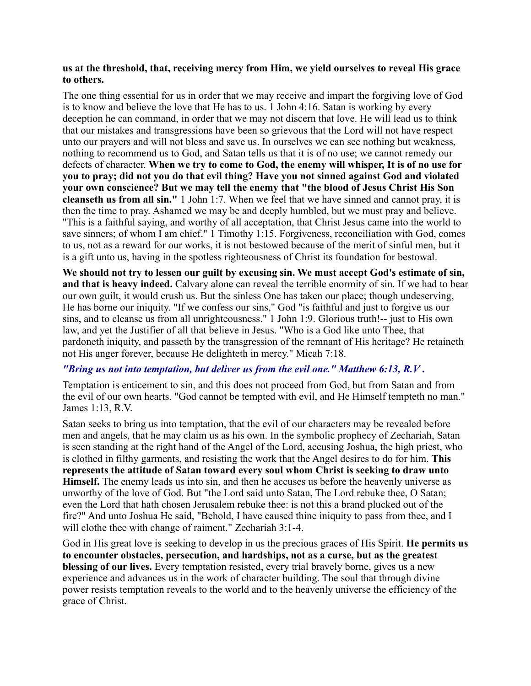#### **us at the threshold, that, receiving mercy from Him, we yield ourselves to reveal His grace to others.**

The one thing essential for us in order that we may receive and impart the forgiving love of God is to know and believe the love that He has to us. 1 John 4:16. Satan is working by every deception he can command, in order that we may not discern that love. He will lead us to think that our mistakes and transgressions have been so grievous that the Lord will not have respect unto our prayers and will not bless and save us. In ourselves we can see nothing but weakness, nothing to recommend us to God, and Satan tells us that it is of no use; we cannot remedy our defects of character. **When we try to come to God, the enemy will whisper, It is of no use for you to pray; did not you do that evil thing? Have you not sinned against God and violated your own conscience? But we may tell the enemy that "the blood of Jesus Christ His Son cleanseth us from all sin."** 1 John 1:7. When we feel that we have sinned and cannot pray, it is then the time to pray. Ashamed we may be and deeply humbled, but we must pray and believe. "This is a faithful saying, and worthy of all acceptation, that Christ Jesus came into the world to save sinners; of whom I am chief." 1 Timothy 1:15. Forgiveness, reconciliation with God, comes to us, not as a reward for our works, it is not bestowed because of the merit of sinful men, but it is a gift unto us, having in the spotless righteousness of Christ its foundation for bestowal.

**We should not try to lessen our guilt by excusing sin. We must accept God's estimate of sin, and that is heavy indeed.** Calvary alone can reveal the terrible enormity of sin. If we had to bear our own guilt, it would crush us. But the sinless One has taken our place; though undeserving, He has borne our iniquity. "If we confess our sins," God "is faithful and just to forgive us our sins, and to cleanse us from all unrighteousness." 1 John 1:9. Glorious truth!-- just to His own law, and yet the Justifier of all that believe in Jesus. "Who is a God like unto Thee, that pardoneth iniquity, and passeth by the transgression of the remnant of His heritage? He retaineth not His anger forever, because He delighteth in mercy." Micah 7:18.

#### *"Bring us not into temptation, but deliver us from the evil one." Matthew 6:13, R.V* **.**

Temptation is enticement to sin, and this does not proceed from God, but from Satan and from the evil of our own hearts. "God cannot be tempted with evil, and He Himself tempteth no man." James 1:13, R.V.

Satan seeks to bring us into temptation, that the evil of our characters may be revealed before men and angels, that he may claim us as his own. In the symbolic prophecy of Zechariah, Satan is seen standing at the right hand of the Angel of the Lord, accusing Joshua, the high priest, who is clothed in filthy garments, and resisting the work that the Angel desires to do for him. **This represents the attitude of Satan toward every soul whom Christ is seeking to draw unto Himself.** The enemy leads us into sin, and then he accuses us before the heavenly universe as unworthy of the love of God. But "the Lord said unto Satan, The Lord rebuke thee, O Satan; even the Lord that hath chosen Jerusalem rebuke thee: is not this a brand plucked out of the fire?" And unto Joshua He said, "Behold, I have caused thine iniquity to pass from thee, and I will clothe thee with change of raiment." Zechariah 3:1-4.

God in His great love is seeking to develop in us the precious graces of His Spirit. **He permits us to encounter obstacles, persecution, and hardships, not as a curse, but as the greatest blessing of our lives.** Every temptation resisted, every trial bravely borne, gives us a new experience and advances us in the work of character building. The soul that through divine power resists temptation reveals to the world and to the heavenly universe the efficiency of the grace of Christ.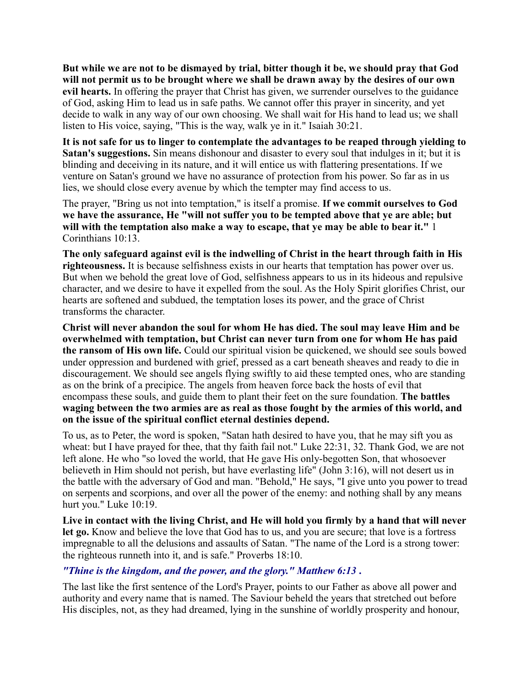**But while we are not to be dismayed by trial, bitter though it be, we should pray that God will not permit us to be brought where we shall be drawn away by the desires of our own evil hearts.** In offering the prayer that Christ has given, we surrender ourselves to the guidance of God, asking Him to lead us in safe paths. We cannot offer this prayer in sincerity, and yet decide to walk in any way of our own choosing. We shall wait for His hand to lead us; we shall listen to His voice, saying, "This is the way, walk ye in it." Isaiah 30:21.

**It is not safe for us to linger to contemplate the advantages to be reaped through yielding to Satan's suggestions.** Sin means dishonour and disaster to every soul that indulges in it; but it is blinding and deceiving in its nature, and it will entice us with flattering presentations. If we venture on Satan's ground we have no assurance of protection from his power. So far as in us lies, we should close every avenue by which the tempter may find access to us.

The prayer, "Bring us not into temptation," is itself a promise. **If we commit ourselves to God we have the assurance, He "will not suffer you to be tempted above that ye are able; but will with the temptation also make a way to escape, that ye may be able to bear it."** 1 Corinthians 10:13.

**The only safeguard against evil is the indwelling of Christ in the heart through faith in His righteousness.** It is because selfishness exists in our hearts that temptation has power over us. But when we behold the great love of God, selfishness appears to us in its hideous and repulsive character, and we desire to have it expelled from the soul. As the Holy Spirit glorifies Christ, our hearts are softened and subdued, the temptation loses its power, and the grace of Christ transforms the character.

**Christ will never abandon the soul for whom He has died. The soul may leave Him and be overwhelmed with temptation, but Christ can never turn from one for whom He has paid the ransom of His own life.** Could our spiritual vision be quickened, we should see souls bowed under oppression and burdened with grief, pressed as a cart beneath sheaves and ready to die in discouragement. We should see angels flying swiftly to aid these tempted ones, who are standing as on the brink of a precipice. The angels from heaven force back the hosts of evil that encompass these souls, and guide them to plant their feet on the sure foundation. **The battles waging between the two armies are as real as those fought by the armies of this world, and on the issue of the spiritual conflict eternal destinies depend.** 

To us, as to Peter, the word is spoken, "Satan hath desired to have you, that he may sift you as wheat: but I have prayed for thee, that thy faith fail not." Luke 22:31, 32. Thank God, we are not left alone. He who "so loved the world, that He gave His only-begotten Son, that whosoever believeth in Him should not perish, but have everlasting life" (John 3:16), will not desert us in the battle with the adversary of God and man. "Behold," He says, "I give unto you power to tread on serpents and scorpions, and over all the power of the enemy: and nothing shall by any means hurt you." Luke 10:19.

**Live in contact with the living Christ, and He will hold you firmly by a hand that will never let go.** Know and believe the love that God has to us, and you are secure; that love is a fortress impregnable to all the delusions and assaults of Satan. "The name of the Lord is a strong tower: the righteous runneth into it, and is safe." Proverbs 18:10.

#### *"Thine is the kingdom, and the power, and the glory." Matthew 6:13* **.**

The last like the first sentence of the Lord's Prayer, points to our Father as above all power and authority and every name that is named. The Saviour beheld the years that stretched out before His disciples, not, as they had dreamed, lying in the sunshine of worldly prosperity and honour,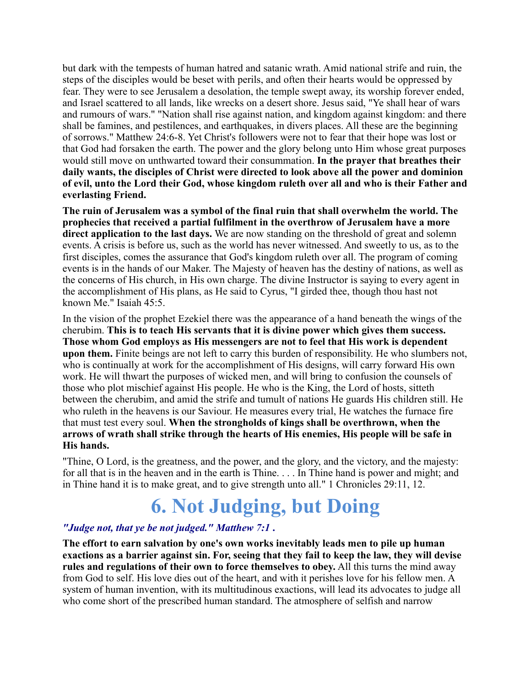but dark with the tempests of human hatred and satanic wrath. Amid national strife and ruin, the steps of the disciples would be beset with perils, and often their hearts would be oppressed by fear. They were to see Jerusalem a desolation, the temple swept away, its worship forever ended, and Israel scattered to all lands, like wrecks on a desert shore. Jesus said, "Ye shall hear of wars and rumours of wars." "Nation shall rise against nation, and kingdom against kingdom: and there shall be famines, and pestilences, and earthquakes, in divers places. All these are the beginning of sorrows." Matthew 24:6-8. Yet Christ's followers were not to fear that their hope was lost or that God had forsaken the earth. The power and the glory belong unto Him whose great purposes would still move on unthwarted toward their consummation. **In the prayer that breathes their daily wants, the disciples of Christ were directed to look above all the power and dominion of evil, unto the Lord their God, whose kingdom ruleth over all and who is their Father and everlasting Friend.** 

**The ruin of Jerusalem was a symbol of the final ruin that shall overwhelm the world. The prophecies that received a partial fulfilment in the overthrow of Jerusalem have a more direct application to the last days.** We are now standing on the threshold of great and solemn events. A crisis is before us, such as the world has never witnessed. And sweetly to us, as to the first disciples, comes the assurance that God's kingdom ruleth over all. The program of coming events is in the hands of our Maker. The Majesty of heaven has the destiny of nations, as well as the concerns of His church, in His own charge. The divine Instructor is saying to every agent in the accomplishment of His plans, as He said to Cyrus, "I girded thee, though thou hast not known Me." Isaiah 45:5.

In the vision of the prophet Ezekiel there was the appearance of a hand beneath the wings of the cherubim. **This is to teach His servants that it is divine power which gives them success. Those whom God employs as His messengers are not to feel that His work is dependent upon them.** Finite beings are not left to carry this burden of responsibility. He who slumbers not, who is continually at work for the accomplishment of His designs, will carry forward His own work. He will thwart the purposes of wicked men, and will bring to confusion the counsels of those who plot mischief against His people. He who is the King, the Lord of hosts, sitteth between the cherubim, and amid the strife and tumult of nations He guards His children still. He who ruleth in the heavens is our Saviour. He measures every trial, He watches the furnace fire that must test every soul. **When the strongholds of kings shall be overthrown, when the arrows of wrath shall strike through the hearts of His enemies, His people will be safe in His hands.** 

"Thine, O Lord, is the greatness, and the power, and the glory, and the victory, and the majesty: for all that is in the heaven and in the earth is Thine. . . . In Thine hand is power and might; and in Thine hand it is to make great, and to give strength unto all." 1 Chronicles 29:11, 12.

# **6. Not Judging, but Doing**

#### *"Judge not, that ye be not judged." Matthew 7:1* **.**

**The effort to earn salvation by one's own works inevitably leads men to pile up human exactions as a barrier against sin. For, seeing that they fail to keep the law, they will devise rules and regulations of their own to force themselves to obey.** All this turns the mind away from God to self. His love dies out of the heart, and with it perishes love for his fellow men. A system of human invention, with its multitudinous exactions, will lead its advocates to judge all who come short of the prescribed human standard. The atmosphere of selfish and narrow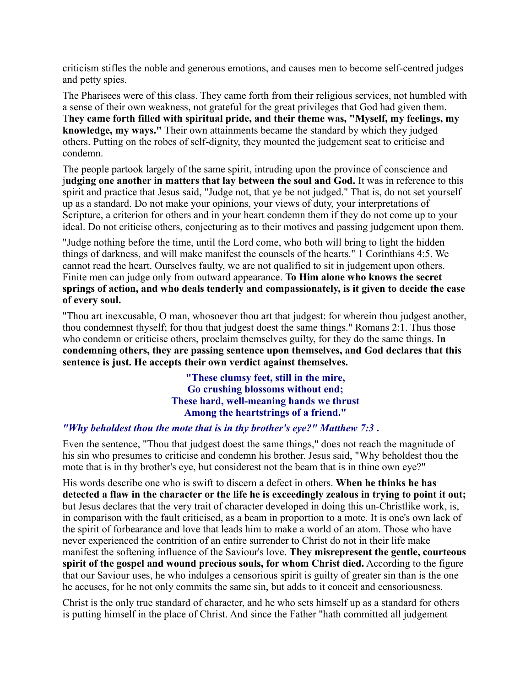criticism stifles the noble and generous emotions, and causes men to become self-centred judges and petty spies.

The Pharisees were of this class. They came forth from their religious services, not humbled with a sense of their own weakness, not grateful for the great privileges that God had given them. T**hey came forth filled with spiritual pride, and their theme was, "Myself, my feelings, my knowledge, my ways."** Their own attainments became the standard by which they judged others. Putting on the robes of self-dignity, they mounted the judgement seat to criticise and condemn.

The people partook largely of the same spirit, intruding upon the province of conscience and j**udging one another in matters that lay between the soul and God.** It was in reference to this spirit and practice that Jesus said, "Judge not, that ye be not judged." That is, do not set yourself up as a standard. Do not make your opinions, your views of duty, your interpretations of Scripture, a criterion for others and in your heart condemn them if they do not come up to your ideal. Do not criticise others, conjecturing as to their motives and passing judgement upon them.

"Judge nothing before the time, until the Lord come, who both will bring to light the hidden things of darkness, and will make manifest the counsels of the hearts." 1 Corinthians 4:5. We cannot read the heart. Ourselves faulty, we are not qualified to sit in judgement upon others. Finite men can judge only from outward appearance. **To Him alone who knows the secret springs of action, and who deals tenderly and compassionately, is it given to decide the case of every soul.**

"Thou art inexcusable, O man, whosoever thou art that judgest: for wherein thou judgest another, thou condemnest thyself; for thou that judgest doest the same things." Romans 2:1. Thus those who condemn or criticise others, proclaim themselves guilty, for they do the same things. I**n condemning others, they are passing sentence upon themselves, and God declares that this sentence is just. He accepts their own verdict against themselves.** 

> **"These clumsy feet, still in the mire, Go crushing blossoms without end; These hard, well-meaning hands we thrust Among the heartstrings of a friend."**

#### *"Why beholdest thou the mote that is in thy brother's eye?" Matthew 7:3* **.**

Even the sentence, "Thou that judgest doest the same things," does not reach the magnitude of his sin who presumes to criticise and condemn his brother. Jesus said, "Why beholdest thou the mote that is in thy brother's eye, but considerest not the beam that is in thine own eye?"

His words describe one who is swift to discern a defect in others. **When he thinks he has detected a flaw in the character or the life he is exceedingly zealous in trying to point it out;** but Jesus declares that the very trait of character developed in doing this un-Christlike work, is, in comparison with the fault criticised, as a beam in proportion to a mote. It is one's own lack of the spirit of forbearance and love that leads him to make a world of an atom. Those who have never experienced the contrition of an entire surrender to Christ do not in their life make manifest the softening influence of the Saviour's love. **They misrepresent the gentle, courteous spirit of the gospel and wound precious souls, for whom Christ died.** According to the figure that our Saviour uses, he who indulges a censorious spirit is guilty of greater sin than is the one he accuses, for he not only commits the same sin, but adds to it conceit and censoriousness.

Christ is the only true standard of character, and he who sets himself up as a standard for others is putting himself in the place of Christ. And since the Father "hath committed all judgement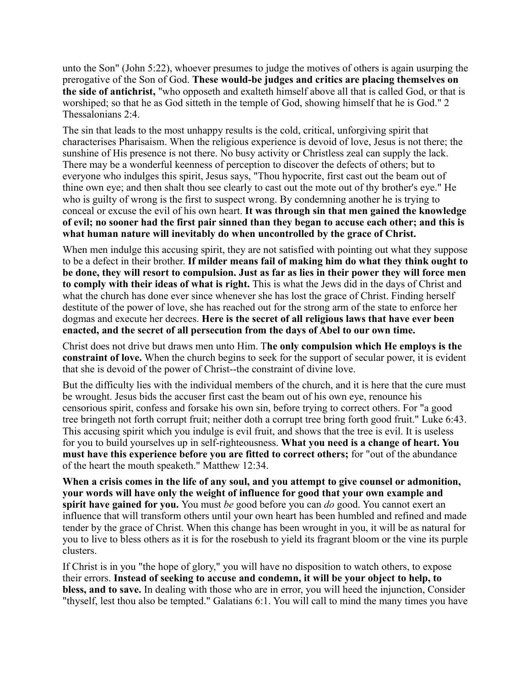unto the Son" (John 5:22), whoever presumes to judge the motives of others is again usurping the prerogative of the Son of God. **These would-be judges and critics are placing themselves on the side of antichrist,** "who opposeth and exalteth himself above all that is called God, or that is worshiped; so that he as God sitteth in the temple of God, showing himself that he is God." 2 Thessalonians 2:4.

The sin that leads to the most unhappy results is the cold, critical, unforgiving spirit that characterises Pharisaism. When the religious experience is devoid of love, Jesus is not there; the sunshine of His presence is not there. No busy activity or Christless zeal can supply the lack. There may be a wonderful keenness of perception to discover the defects of others; but to everyone who indulges this spirit, Jesus says, "Thou hypocrite, first cast out the beam out of thine own eye; and then shalt thou see clearly to cast out the mote out of thy brother's eye." He who is guilty of wrong is the first to suspect wrong. By condemning another he is trying to conceal or excuse the evil of his own heart. **It was through sin that men gained the knowledge of evil; no sooner had the first pair sinned than they began to accuse each other; and this is what human nature will inevitably do when uncontrolled by the grace of Christ.** 

When men indulge this accusing spirit, they are not satisfied with pointing out what they suppose to be a defect in their brother. **If milder means fail of making him do what they think ought to be done, they will resort to compulsion. Just as far as lies in their power they will force men to comply with their ideas of what is right.** This is what the Jews did in the days of Christ and what the church has done ever since whenever she has lost the grace of Christ. Finding herself destitute of the power of love, she has reached out for the strong arm of the state to enforce her dogmas and execute her decrees. **Here is the secret of all religious laws that have ever been enacted, and the secret of all persecution from the days of Abel to our own time.** 

Christ does not drive but draws men unto Him. T**he only compulsion which He employs is the constraint of love.** When the church begins to seek for the support of secular power, it is evident that she is devoid of the power of Christ--the constraint of divine love.

But the difficulty lies with the individual members of the church, and it is here that the cure must be wrought. Jesus bids the accuser first cast the beam out of his own eye, renounce his censorious spirit, confess and forsake his own sin, before trying to correct others. For "a good tree bringeth not forth corrupt fruit; neither doth a corrupt tree bring forth good fruit." Luke 6:43. This accusing spirit which you indulge is evil fruit, and shows that the tree is evil. It is useless for you to build yourselves up in self-righteousness. **What you need is a change of heart. You must have this experience before you are fitted to correct others;** for "out of the abundance of the heart the mouth speaketh." Matthew 12:34.

**When a crisis comes in the life of any soul, and you attempt to give counsel or admonition, your words will have only the weight of influence for good that your own example and spirit have gained for you.** You must *be* good before you can *do* good. You cannot exert an influence that will transform others until your own heart has been humbled and refined and made tender by the grace of Christ. When this change has been wrought in you, it will be as natural for you to live to bless others as it is for the rosebush to yield its fragrant bloom or the vine its purple clusters.

If Christ is in you "the hope of glory," you will have no disposition to watch others, to expose their errors. **Instead of seeking to accuse and condemn, it will be your object to help, to bless, and to save.** In dealing with those who are in error, you will heed the injunction, Consider "thyself, lest thou also be tempted." Galatians 6:1. You will call to mind the many times you have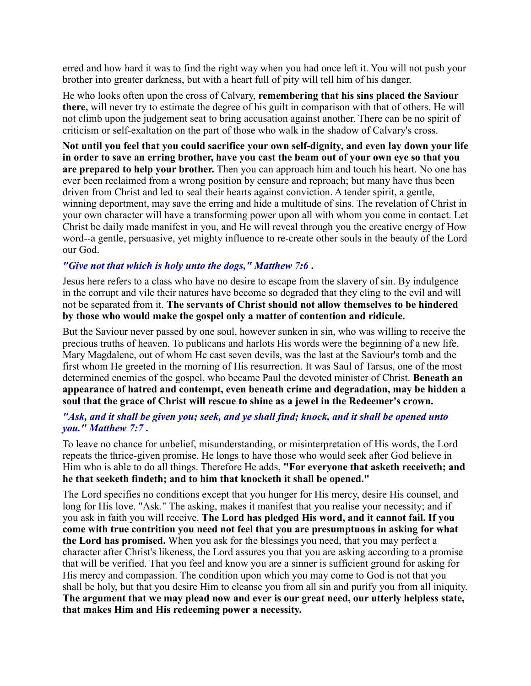erred and how hard it was to find the right way when you had once left it. You will not push your brother into greater darkness, but with a heart full of pity will tell him of his danger.

He who looks often upon the cross of Calvary, **remembering that his sins placed the Saviour there,** will never try to estimate the degree of his guilt in comparison with that of others. He will not climb upon the judgement seat to bring accusation against another. There can be no spirit of criticism or self-exaltation on the part of those who walk in the shadow of Calvary's cross.

**Not until you feel that you could sacrifice your own self-dignity, and even lay down your life in order to save an erring brother, have you cast the beam out of your own eye so that you are prepared to help your brother.** Then you can approach him and touch his heart. No one has ever been reclaimed from a wrong position by censure and reproach; but many have thus been driven from Christ and led to seal their hearts against conviction. A tender spirit, a gentle, winning deportment, may save the erring and hide a multitude of sins. The revelation of Christ in your own character will have a transforming power upon all with whom you come in contact. Let Christ be daily made manifest in you, and He will reveal through you the creative energy of How word--a gentle, persuasive, yet mighty influence to re-create other souls in the beauty of the Lord our God.

#### *"Give not that which is holy unto the dogs," Matthew 7:6* **.**

Jesus here refers to a class who have no desire to escape from the slavery of sin. By indulgence in the corrupt and vile their natures have become so degraded that they cling to the evil and will not be separated from it. **The servants of Christ should not allow themselves to be hindered by those who would make the gospel only a matter of contention and ridicule.**

But the Saviour never passed by one soul, however sunken in sin, who was willing to receive the precious truths of heaven. To publicans and harlots His words were the beginning of a new life. Mary Magdalene, out of whom He cast seven devils, was the last at the Saviour's tomb and the first whom He greeted in the morning of His resurrection. It was Saul of Tarsus, one of the most determined enemies of the gospel, who became Paul the devoted minister of Christ. **Beneath an appearance of hatred and contempt, even beneath crime and degradation, may be hidden a soul that the grace of Christ will rescue to shine as a jewel in the Redeemer's crown.** 

#### *"Ask, and it shall be given you; seek, and ye shall find; knock, and it shall be opened unto you." Matthew 7:7* **.**

To leave no chance for unbelief, misunderstanding, or misinterpretation of His words, the Lord repeats the thrice-given promise. He longs to have those who would seek after God believe in Him who is able to do all things. Therefore He adds, **"For everyone that asketh receiveth; and he that seeketh findeth; and to him that knocketh it shall be opened."** 

The Lord specifies no conditions except that you hunger for His mercy, desire His counsel, and long for His love. "Ask." The asking, makes it manifest that you realise your necessity; and if you ask in faith you will receive. **The Lord has pledged His word, and it cannot fail. If you come with true contrition you need not feel that you are presumptuous in asking for what the Lord has promised.** When you ask for the blessings you need, that you may perfect a character after Christ's likeness, the Lord assures you that you are asking according to a promise that will be verified. That you feel and know you are a sinner is sufficient ground for asking for His mercy and compassion. The condition upon which you may come to God is not that you shall be holy, but that you desire Him to cleanse you from all sin and purify you from all iniquity. **The argument that we may plead now and ever is our great need, our utterly helpless state, that makes Him and His redeeming power a necessity.**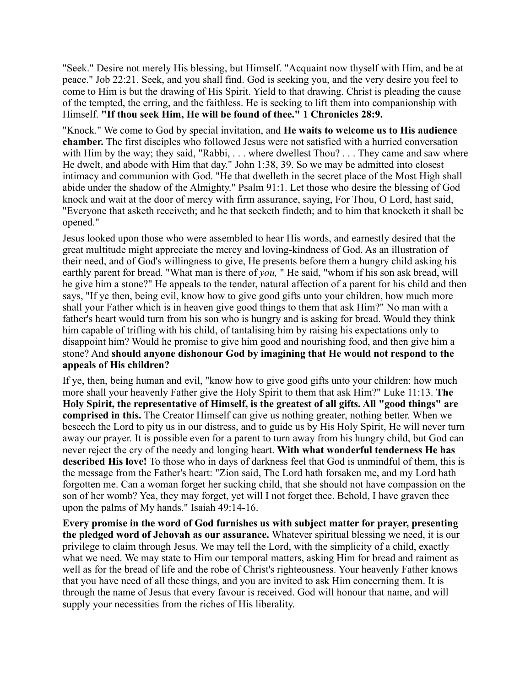"Seek." Desire not merely His blessing, but Himself. "Acquaint now thyself with Him, and be at peace." Job 22:21. Seek, and you shall find. God is seeking you, and the very desire you feel to come to Him is but the drawing of His Spirit. Yield to that drawing. Christ is pleading the cause of the tempted, the erring, and the faithless. He is seeking to lift them into companionship with Himself. **"If thou seek Him, He will be found of thee." 1 Chronicles 28:9.** 

"Knock." We come to God by special invitation, and **He waits to welcome us to His audience chamber.** The first disciples who followed Jesus were not satisfied with a hurried conversation with Him by the way; they said, "Rabbi, ... where dwellest Thou? ... They came and saw where He dwelt, and abode with Him that day." John 1:38, 39. So we may be admitted into closest intimacy and communion with God. "He that dwelleth in the secret place of the Most High shall abide under the shadow of the Almighty." Psalm 91:1. Let those who desire the blessing of God knock and wait at the door of mercy with firm assurance, saying, For Thou, O Lord, hast said, "Everyone that asketh receiveth; and he that seeketh findeth; and to him that knocketh it shall be opened."

Jesus looked upon those who were assembled to hear His words, and earnestly desired that the great multitude might appreciate the mercy and loving-kindness of God. As an illustration of their need, and of God's willingness to give, He presents before them a hungry child asking his earthly parent for bread. "What man is there of *you,* " He said, "whom if his son ask bread, will he give him a stone?" He appeals to the tender, natural affection of a parent for his child and then says, "If ye then, being evil, know how to give good gifts unto your children, how much more shall your Father which is in heaven give good things to them that ask Him?" No man with a father's heart would turn from his son who is hungry and is asking for bread. Would they think him capable of trifling with his child, of tantalising him by raising his expectations only to disappoint him? Would he promise to give him good and nourishing food, and then give him a stone? And **should anyone dishonour God by imagining that He would not respond to the appeals of His children?** 

If ye, then, being human and evil, "know how to give good gifts unto your children: how much more shall your heavenly Father give the Holy Spirit to them that ask Him?" Luke 11:13. **The Holy Spirit, the representative of Himself, is the greatest of all gifts. All "good things" are comprised in this.** The Creator Himself can give us nothing greater, nothing better. When we beseech the Lord to pity us in our distress, and to guide us by His Holy Spirit, He will never turn away our prayer. It is possible even for a parent to turn away from his hungry child, but God can never reject the cry of the needy and longing heart. **With what wonderful tenderness He has described His love!** To those who in days of darkness feel that God is unmindful of them, this is the message from the Father's heart: "Zion said, The Lord hath forsaken me, and my Lord hath forgotten me. Can a woman forget her sucking child, that she should not have compassion on the son of her womb? Yea, they may forget, yet will I not forget thee. Behold, I have graven thee upon the palms of My hands." Isaiah 49:14-16.

**Every promise in the word of God furnishes us with subject matter for prayer, presenting the pledged word of Jehovah as our assurance.** Whatever spiritual blessing we need, it is our privilege to claim through Jesus. We may tell the Lord, with the simplicity of a child, exactly what we need. We may state to Him our temporal matters, asking Him for bread and raiment as well as for the bread of life and the robe of Christ's righteousness. Your heavenly Father knows that you have need of all these things, and you are invited to ask Him concerning them. It is through the name of Jesus that every favour is received. God will honour that name, and will supply your necessities from the riches of His liberality.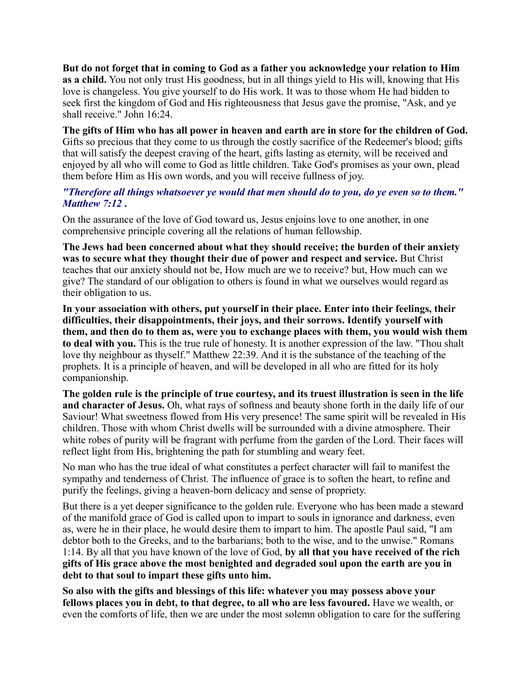**But do not forget that in coming to God as a father you acknowledge your relation to Him as a child.** You not only trust His goodness, but in all things yield to His will, knowing that His love is changeless. You give yourself to do His work. It was to those whom He had bidden to seek first the kingdom of God and His righteousness that Jesus gave the promise, "Ask, and ye shall receive." John 16:24.

**The gifts of Him who has all power in heaven and earth are in store for the children of God.** Gifts so precious that they come to us through the costly sacrifice of the Redeemer's blood; gifts that will satisfy the deepest craving of the heart, gifts lasting as eternity, will be received and enjoyed by all who will come to God as little children. Take God's promises as your own, plead them before Him as His own words, and you will receive fullness of joy.

#### *"Therefore all things whatsoever ye would that men should do to you, do ye even so to them." Matthew 7:12* **.**

On the assurance of the love of God toward us, Jesus enjoins love to one another, in one comprehensive principle covering all the relations of human fellowship.

**The Jews had been concerned about what they should receive; the burden of their anxiety was to secure what they thought their due of power and respect and service.** But Christ teaches that our anxiety should not be, How much are we to receive? but, How much can we give? The standard of our obligation to others is found in what we ourselves would regard as their obligation to us.

**In your association with others, put yourself in their place. Enter into their feelings, their difficulties, their disappointments, their joys, and their sorrows. Identify yourself with them, and then do to them as, were you to exchange places with them, you would wish them to deal with you.** This is the true rule of honesty. It is another expression of the law. "Thou shalt love thy neighbour as thyself." Matthew 22:39. And it is the substance of the teaching of the prophets. It is a principle of heaven, and will be developed in all who are fitted for its holy companionship.

**The golden rule is the principle of true courtesy, and its truest illustration is seen in the life and character of Jesus.** Oh, what rays of softness and beauty shone forth in the daily life of our Saviour! What sweetness flowed from His very presence! The same spirit will be revealed in His children. Those with whom Christ dwells will be surrounded with a divine atmosphere. Their white robes of purity will be fragrant with perfume from the garden of the Lord. Their faces will reflect light from His, brightening the path for stumbling and weary feet.

No man who has the true ideal of what constitutes a perfect character will fail to manifest the sympathy and tenderness of Christ. The influence of grace is to soften the heart, to refine and purify the feelings, giving a heaven-born delicacy and sense of propriety.

But there is a yet deeper significance to the golden rule. Everyone who has been made a steward of the manifold grace of God is called upon to impart to souls in ignorance and darkness, even as, were he in their place, he would desire them to impart to him. The apostle Paul said, "I am debtor both to the Greeks, and to the barbarians; both to the wise, and to the unwise." Romans 1:14. By all that you have known of the love of God, **by all that you have received of the rich gifts of His grace above the most benighted and degraded soul upon the earth are you in debt to that soul to impart these gifts unto him.**

**So also with the gifts and blessings of this life: whatever you may possess above your fellows places you in debt, to that degree, to all who are less favoured.** Have we wealth, or even the comforts of life, then we are under the most solemn obligation to care for the suffering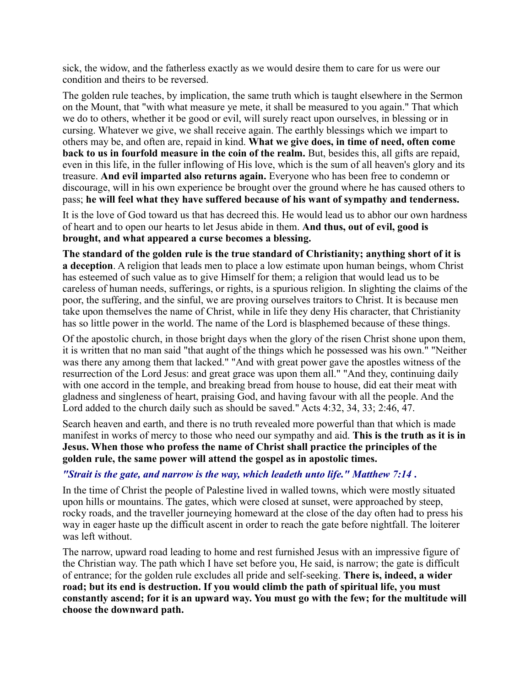sick, the widow, and the fatherless exactly as we would desire them to care for us were our condition and theirs to be reversed.

The golden rule teaches, by implication, the same truth which is taught elsewhere in the Sermon on the Mount, that "with what measure ye mete, it shall be measured to you again." That which we do to others, whether it be good or evil, will surely react upon ourselves, in blessing or in cursing. Whatever we give, we shall receive again. The earthly blessings which we impart to others may be, and often are, repaid in kind. **What we give does, in time of need, often come back to us in fourfold measure in the coin of the realm.** But, besides this, all gifts are repaid, even in this life, in the fuller inflowing of His love, which is the sum of all heaven's glory and its treasure. **And evil imparted also returns again.** Everyone who has been free to condemn or discourage, will in his own experience be brought over the ground where he has caused others to pass; **he will feel what they have suffered because of his want of sympathy and tenderness.** 

It is the love of God toward us that has decreed this. He would lead us to abhor our own hardness of heart and to open our hearts to let Jesus abide in them. **And thus, out of evil, good is brought, and what appeared a curse becomes a blessing.** 

**The standard of the golden rule is the true standard of Christianity; anything short of it is a deception**. A religion that leads men to place a low estimate upon human beings, whom Christ has esteemed of such value as to give Himself for them; a religion that would lead us to be careless of human needs, sufferings, or rights, is a spurious religion. In slighting the claims of the poor, the suffering, and the sinful, we are proving ourselves traitors to Christ. It is because men take upon themselves the name of Christ, while in life they deny His character, that Christianity has so little power in the world. The name of the Lord is blasphemed because of these things.

Of the apostolic church, in those bright days when the glory of the risen Christ shone upon them, it is written that no man said "that aught of the things which he possessed was his own." "Neither was there any among them that lacked." "And with great power gave the apostles witness of the resurrection of the Lord Jesus: and great grace was upon them all." "And they, continuing daily with one accord in the temple, and breaking bread from house to house, did eat their meat with gladness and singleness of heart, praising God, and having favour with all the people. And the Lord added to the church daily such as should be saved." Acts 4:32, 34, 33; 2:46, 47.

Search heaven and earth, and there is no truth revealed more powerful than that which is made manifest in works of mercy to those who need our sympathy and aid. **This is the truth as it is in Jesus. When those who profess the name of Christ shall practice the principles of the golden rule, the same power will attend the gospel as in apostolic times.** 

#### *"Strait is the gate, and narrow is the way, which leadeth unto life." Matthew 7:14* **.**

In the time of Christ the people of Palestine lived in walled towns, which were mostly situated upon hills or mountains. The gates, which were closed at sunset, were approached by steep, rocky roads, and the traveller journeying homeward at the close of the day often had to press his way in eager haste up the difficult ascent in order to reach the gate before nightfall. The loiterer was left without.

The narrow, upward road leading to home and rest furnished Jesus with an impressive figure of the Christian way. The path which I have set before you, He said, is narrow; the gate is difficult of entrance; for the golden rule excludes all pride and self-seeking. **There is, indeed, a wider road; but its end is destruction. If you would climb the path of spiritual life, you must constantly ascend; for it is an upward way. You must go with the few; for the multitude will choose the downward path.**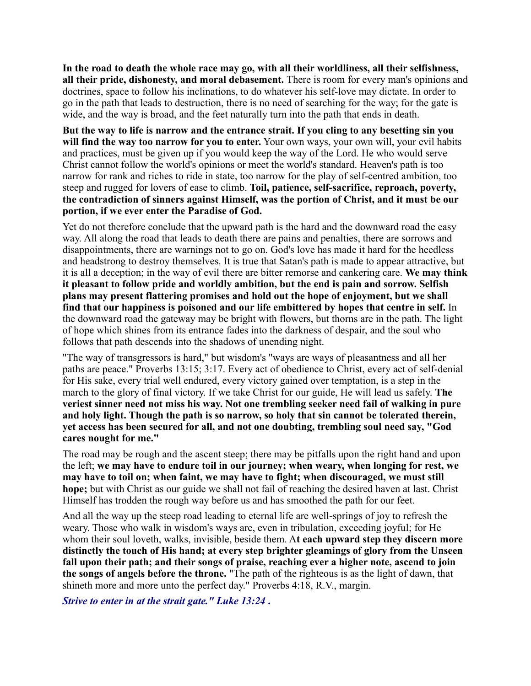**In the road to death the whole race may go, with all their worldliness, all their selfishness, all their pride, dishonesty, and moral debasement.** There is room for every man's opinions and doctrines, space to follow his inclinations, to do whatever his self-love may dictate. In order to go in the path that leads to destruction, there is no need of searching for the way; for the gate is wide, and the way is broad, and the feet naturally turn into the path that ends in death.

**But the way to life is narrow and the entrance strait. If you cling to any besetting sin you** will find the way too narrow for you to enter. Your own ways, your own will, your evil habits and practices, must be given up if you would keep the way of the Lord. He who would serve Christ cannot follow the world's opinions or meet the world's standard. Heaven's path is too narrow for rank and riches to ride in state, too narrow for the play of self-centred ambition, too steep and rugged for lovers of ease to climb. **Toil, patience, self-sacrifice, reproach, poverty, the contradiction of sinners against Himself, was the portion of Christ, and it must be our portion, if we ever enter the Paradise of God.** 

Yet do not therefore conclude that the upward path is the hard and the downward road the easy way. All along the road that leads to death there are pains and penalties, there are sorrows and disappointments, there are warnings not to go on. God's love has made it hard for the heedless and headstrong to destroy themselves. It is true that Satan's path is made to appear attractive, but it is all a deception; in the way of evil there are bitter remorse and cankering care. **We may think it pleasant to follow pride and worldly ambition, but the end is pain and sorrow. Selfish plans may present flattering promises and hold out the hope of enjoyment, but we shall find that our happiness is poisoned and our life embittered by hopes that centre in self.** In the downward road the gateway may be bright with flowers, but thorns are in the path. The light of hope which shines from its entrance fades into the darkness of despair, and the soul who follows that path descends into the shadows of unending night.

"The way of transgressors is hard," but wisdom's "ways are ways of pleasantness and all her paths are peace." Proverbs 13:15; 3:17. Every act of obedience to Christ, every act of self-denial for His sake, every trial well endured, every victory gained over temptation, is a step in the march to the glory of final victory. If we take Christ for our guide, He will lead us safely. **The veriest sinner need not miss his way. Not one trembling seeker need fail of walking in pure and holy light. Though the path is so narrow, so holy that sin cannot be tolerated therein, yet access has been secured for all, and not one doubting, trembling soul need say, "God cares nought for me."** 

The road may be rough and the ascent steep; there may be pitfalls upon the right hand and upon the left; **we may have to endure toil in our journey; when weary, when longing for rest, we may have to toil on; when faint, we may have to fight; when discouraged, we must still hope;** but with Christ as our guide we shall not fail of reaching the desired haven at last. Christ Himself has trodden the rough way before us and has smoothed the path for our feet.

And all the way up the steep road leading to eternal life are well-springs of joy to refresh the weary. Those who walk in wisdom's ways are, even in tribulation, exceeding joyful; for He whom their soul loveth, walks, invisible, beside them. A**t each upward step they discern more distinctly the touch of His hand; at every step brighter gleamings of glory from the Unseen fall upon their path; and their songs of praise, reaching ever a higher note, ascend to join the songs of angels before the throne.** "The path of the righteous is as the light of dawn, that shineth more and more unto the perfect day." Proverbs 4:18, R.V., margin.

*Strive to enter in at the strait gate." Luke 13:24* **.**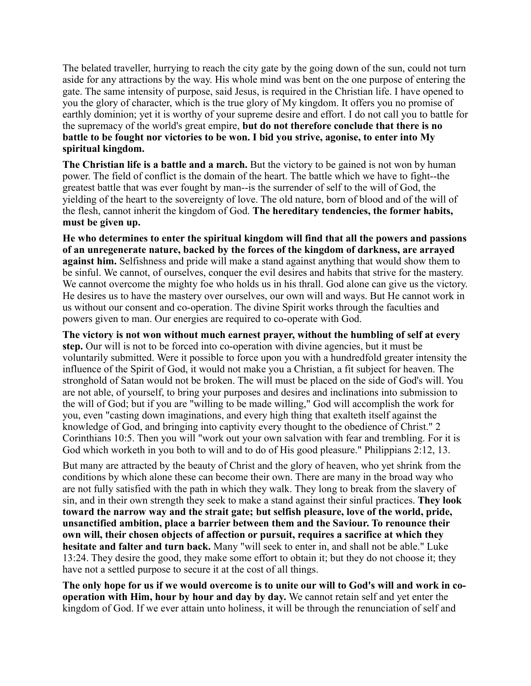The belated traveller, hurrying to reach the city gate by the going down of the sun, could not turn aside for any attractions by the way. His whole mind was bent on the one purpose of entering the gate. The same intensity of purpose, said Jesus, is required in the Christian life. I have opened to you the glory of character, which is the true glory of My kingdom. It offers you no promise of earthly dominion; yet it is worthy of your supreme desire and effort. I do not call you to battle for the supremacy of the world's great empire, **but do not therefore conclude that there is no battle to be fought nor victories to be won. I bid you strive, agonise, to enter into My spiritual kingdom.**

**The Christian life is a battle and a march.** But the victory to be gained is not won by human power. The field of conflict is the domain of the heart. The battle which we have to fight--the greatest battle that was ever fought by man--is the surrender of self to the will of God, the yielding of the heart to the sovereignty of love. The old nature, born of blood and of the will of the flesh, cannot inherit the kingdom of God. **The hereditary tendencies, the former habits, must be given up.** 

**He who determines to enter the spiritual kingdom will find that all the powers and passions of an unregenerate nature, backed by the forces of the kingdom of darkness, are arrayed against him.** Selfishness and pride will make a stand against anything that would show them to be sinful. We cannot, of ourselves, conquer the evil desires and habits that strive for the mastery. We cannot overcome the mighty foe who holds us in his thrall. God alone can give us the victory. He desires us to have the mastery over ourselves, our own will and ways. But He cannot work in us without our consent and co-operation. The divine Spirit works through the faculties and powers given to man. Our energies are required to co-operate with God.

**The victory is not won without much earnest prayer, without the humbling of self at every step.** Our will is not to be forced into co-operation with divine agencies, but it must be voluntarily submitted. Were it possible to force upon you with a hundredfold greater intensity the influence of the Spirit of God, it would not make you a Christian, a fit subject for heaven. The stronghold of Satan would not be broken. The will must be placed on the side of God's will. You are not able, of yourself, to bring your purposes and desires and inclinations into submission to the will of God; but if you are "willing to be made willing," God will accomplish the work for you, even "casting down imaginations, and every high thing that exalteth itself against the knowledge of God, and bringing into captivity every thought to the obedience of Christ." 2 Corinthians 10:5. Then you will "work out your own salvation with fear and trembling. For it is God which worketh in you both to will and to do of His good pleasure." Philippians 2:12, 13.

But many are attracted by the beauty of Christ and the glory of heaven, who yet shrink from the conditions by which alone these can become their own. There are many in the broad way who are not fully satisfied with the path in which they walk. They long to break from the slavery of sin, and in their own strength they seek to make a stand against their sinful practices. **They look toward the narrow way and the strait gate; but selfish pleasure, love of the world, pride, unsanctified ambition, place a barrier between them and the Saviour. To renounce their own will, their chosen objects of affection or pursuit, requires a sacrifice at which they hesitate and falter and turn back.** Many "will seek to enter in, and shall not be able." Luke 13:24. They desire the good, they make some effort to obtain it; but they do not choose it; they have not a settled purpose to secure it at the cost of all things.

**The only hope for us if we would overcome is to unite our will to God's will and work in cooperation with Him, hour by hour and day by day.** We cannot retain self and yet enter the kingdom of God. If we ever attain unto holiness, it will be through the renunciation of self and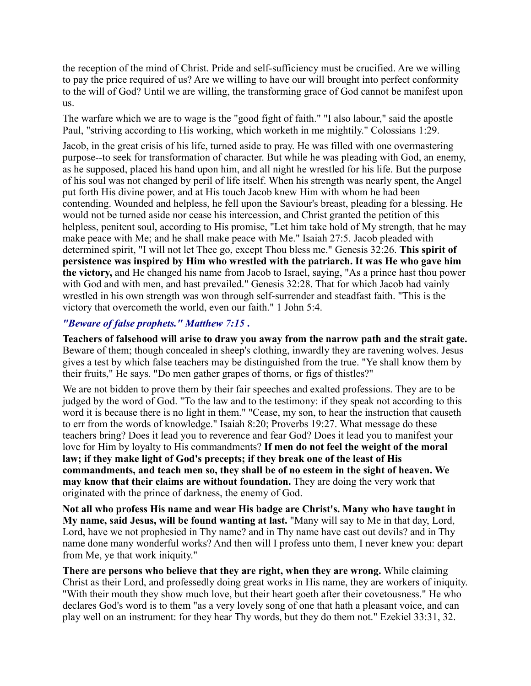the reception of the mind of Christ. Pride and self-sufficiency must be crucified. Are we willing to pay the price required of us? Are we willing to have our will brought into perfect conformity to the will of God? Until we are willing, the transforming grace of God cannot be manifest upon us.

The warfare which we are to wage is the "good fight of faith." "I also labour," said the apostle Paul, "striving according to His working, which worketh in me mightily." Colossians 1:29.

Jacob, in the great crisis of his life, turned aside to pray. He was filled with one overmastering purpose--to seek for transformation of character. But while he was pleading with God, an enemy, as he supposed, placed his hand upon him, and all night he wrestled for his life. But the purpose of his soul was not changed by peril of life itself. When his strength was nearly spent, the Angel put forth His divine power, and at His touch Jacob knew Him with whom he had been contending. Wounded and helpless, he fell upon the Saviour's breast, pleading for a blessing. He would not be turned aside nor cease his intercession, and Christ granted the petition of this helpless, penitent soul, according to His promise, "Let him take hold of My strength, that he may make peace with Me; and he shall make peace with Me." Isaiah 27:5. Jacob pleaded with determined spirit, "I will not let Thee go, except Thou bless me." Genesis 32:26. **This spirit of persistence was inspired by Him who wrestled with the patriarch. It was He who gave him the victory,** and He changed his name from Jacob to Israel, saying, "As a prince hast thou power with God and with men, and hast prevailed." Genesis 32:28. That for which Jacob had vainly wrestled in his own strength was won through self-surrender and steadfast faith. "This is the victory that overcometh the world, even our faith." 1 John 5:4.

#### *"Beware of false prophets." Matthew 7:15* **.**

**Teachers of falsehood will arise to draw you away from the narrow path and the strait gate.** Beware of them; though concealed in sheep's clothing, inwardly they are ravening wolves. Jesus gives a test by which false teachers may be distinguished from the true. "Ye shall know them by their fruits," He says. "Do men gather grapes of thorns, or figs of thistles?"

We are not bidden to prove them by their fair speeches and exalted professions. They are to be judged by the word of God. "To the law and to the testimony: if they speak not according to this word it is because there is no light in them." "Cease, my son, to hear the instruction that causeth to err from the words of knowledge." Isaiah 8:20; Proverbs 19:27. What message do these teachers bring? Does it lead you to reverence and fear God? Does it lead you to manifest your love for Him by loyalty to His commandments? **If men do not feel the weight of the moral law; if they make light of God's precepts; if they break one of the least of His commandments, and teach men so, they shall be of no esteem in the sight of heaven. We may know that their claims are without foundation.** They are doing the very work that originated with the prince of darkness, the enemy of God.

**Not all who profess His name and wear His badge are Christ's. Many who have taught in My name, said Jesus, will be found wanting at last.** "Many will say to Me in that day, Lord, Lord, have we not prophesied in Thy name? and in Thy name have cast out devils? and in Thy name done many wonderful works? And then will I profess unto them, I never knew you: depart from Me, ye that work iniquity."

**There are persons who believe that they are right, when they are wrong.** While claiming Christ as their Lord, and professedly doing great works in His name, they are workers of iniquity. "With their mouth they show much love, but their heart goeth after their covetousness." He who declares God's word is to them "as a very lovely song of one that hath a pleasant voice, and can play well on an instrument: for they hear Thy words, but they do them not." Ezekiel 33:31, 32.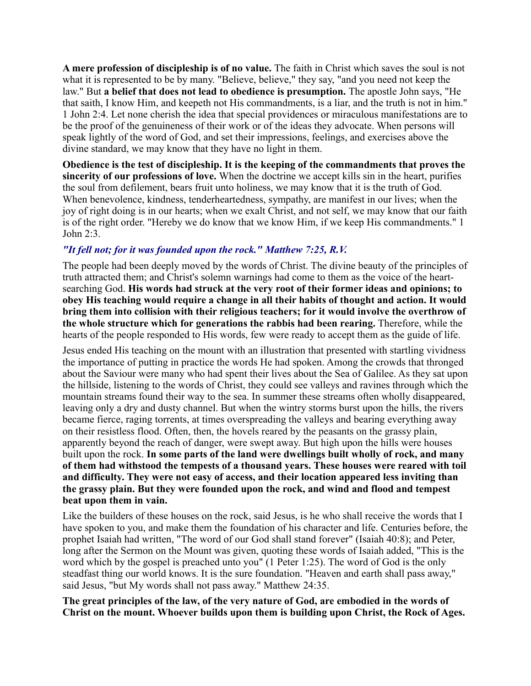**A mere profession of discipleship is of no value.** The faith in Christ which saves the soul is not what it is represented to be by many. "Believe, believe," they say, "and you need not keep the law." But **a belief that does not lead to obedience is presumption.** The apostle John says, "He that saith, I know Him, and keepeth not His commandments, is a liar, and the truth is not in him." 1 John 2:4. Let none cherish the idea that special providences or miraculous manifestations are to be the proof of the genuineness of their work or of the ideas they advocate. When persons will speak lightly of the word of God, and set their impressions, feelings, and exercises above the divine standard, we may know that they have no light in them.

**Obedience is the test of discipleship. It is the keeping of the commandments that proves the sincerity of our professions of love.** When the doctrine we accept kills sin in the heart, purifies the soul from defilement, bears fruit unto holiness, we may know that it is the truth of God. When benevolence, kindness, tenderheartedness, sympathy, are manifest in our lives; when the joy of right doing is in our hearts; when we exalt Christ, and not self, we may know that our faith is of the right order. "Hereby we do know that we know Him, if we keep His commandments." 1 John 2:3.

#### *"It fell not; for it was founded upon the rock." Matthew 7:25, R.V.*

The people had been deeply moved by the words of Christ. The divine beauty of the principles of truth attracted them; and Christ's solemn warnings had come to them as the voice of the heartsearching God. **His words had struck at the very root of their former ideas and opinions; to obey His teaching would require a change in all their habits of thought and action. It would bring them into collision with their religious teachers; for it would involve the overthrow of the whole structure which for generations the rabbis had been rearing.** Therefore, while the hearts of the people responded to His words, few were ready to accept them as the guide of life.

Jesus ended His teaching on the mount with an illustration that presented with startling vividness the importance of putting in practice the words He had spoken. Among the crowds that thronged about the Saviour were many who had spent their lives about the Sea of Galilee. As they sat upon the hillside, listening to the words of Christ, they could see valleys and ravines through which the mountain streams found their way to the sea. In summer these streams often wholly disappeared, leaving only a dry and dusty channel. But when the wintry storms burst upon the hills, the rivers became fierce, raging torrents, at times overspreading the valleys and bearing everything away on their resistless flood. Often, then, the hovels reared by the peasants on the grassy plain, apparently beyond the reach of danger, were swept away. But high upon the hills were houses built upon the rock. **In some parts of the land were dwellings built wholly of rock, and many of them had withstood the tempests of a thousand years. These houses were reared with toil and difficulty. They were not easy of access, and their location appeared less inviting than the grassy plain. But they were founded upon the rock, and wind and flood and tempest beat upon them in vain.** 

Like the builders of these houses on the rock, said Jesus, is he who shall receive the words that I have spoken to you, and make them the foundation of his character and life. Centuries before, the prophet Isaiah had written, "The word of our God shall stand forever" (Isaiah 40:8); and Peter, long after the Sermon on the Mount was given, quoting these words of Isaiah added, "This is the word which by the gospel is preached unto you" (1 Peter 1:25). The word of God is the only steadfast thing our world knows. It is the sure foundation. "Heaven and earth shall pass away," said Jesus, "but My words shall not pass away." Matthew 24:35.

**The great principles of the law, of the very nature of God, are embodied in the words of Christ on the mount. Whoever builds upon them is building upon Christ, the Rock of Ages.**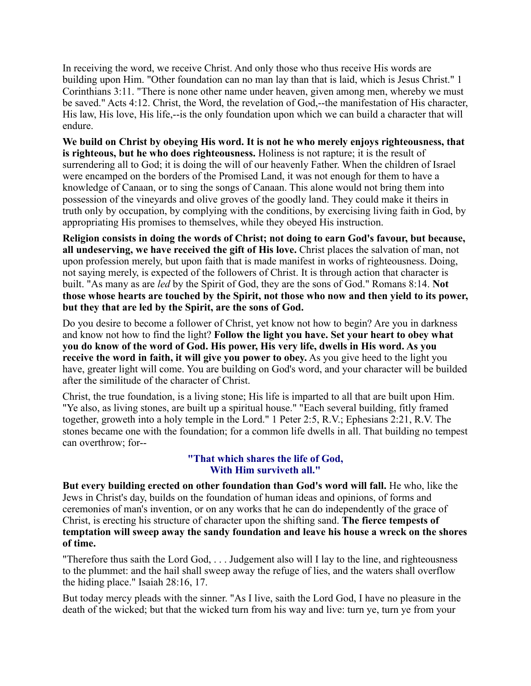In receiving the word, we receive Christ. And only those who thus receive His words are building upon Him. "Other foundation can no man lay than that is laid, which is Jesus Christ." 1 Corinthians 3:11. "There is none other name under heaven, given among men, whereby we must be saved." Acts 4:12. Christ, the Word, the revelation of God,--the manifestation of His character, His law, His love, His life,--is the only foundation upon which we can build a character that will endure.

**We build on Christ by obeying His word. It is not he who merely enjoys righteousness, that is righteous, but he who does righteousness.** Holiness is not rapture; it is the result of surrendering all to God; it is doing the will of our heavenly Father. When the children of Israel were encamped on the borders of the Promised Land, it was not enough for them to have a knowledge of Canaan, or to sing the songs of Canaan. This alone would not bring them into possession of the vineyards and olive groves of the goodly land. They could make it theirs in truth only by occupation, by complying with the conditions, by exercising living faith in God, by appropriating His promises to themselves, while they obeyed His instruction.

**Religion consists in doing the words of Christ; not doing to earn God's favour, but because, all undeserving, we have received the gift of His love.** Christ places the salvation of man, not upon profession merely, but upon faith that is made manifest in works of righteousness. Doing, not saying merely, is expected of the followers of Christ. It is through action that character is built. "As many as are *led* by the Spirit of God, they are the sons of God." Romans 8:14. **Not those whose hearts are touched by the Spirit, not those who now and then yield to its power, but they that are led by the Spirit, are the sons of God.** 

Do you desire to become a follower of Christ, yet know not how to begin? Are you in darkness and know not how to find the light? **Follow the light you have. Set your heart to obey what you do know of the word of God. His power, His very life, dwells in His word. As you receive the word in faith, it will give you power to obey.** As you give heed to the light you have, greater light will come. You are building on God's word, and your character will be builded after the similitude of the character of Christ.

Christ, the true foundation, is a living stone; His life is imparted to all that are built upon Him. "Ye also, as living stones, are built up a spiritual house." "Each several building, fitly framed together, groweth into a holy temple in the Lord." 1 Peter 2:5, R.V.; Ephesians 2:21, R.V. The stones became one with the foundation; for a common life dwells in all. That building no tempest can overthrow; for--

#### **"That which shares the life of God, With Him surviveth all."**

**But every building erected on other foundation than God's word will fall.** He who, like the Jews in Christ's day, builds on the foundation of human ideas and opinions, of forms and ceremonies of man's invention, or on any works that he can do independently of the grace of Christ, is erecting his structure of character upon the shifting sand. **The fierce tempests of temptation will sweep away the sandy foundation and leave his house a wreck on the shores of time.** 

"Therefore thus saith the Lord God, . . . Judgement also will I lay to the line, and righteousness to the plummet: and the hail shall sweep away the refuge of lies, and the waters shall overflow the hiding place." Isaiah 28:16, 17.

But today mercy pleads with the sinner. "As I live, saith the Lord God, I have no pleasure in the death of the wicked; but that the wicked turn from his way and live: turn ye, turn ye from your